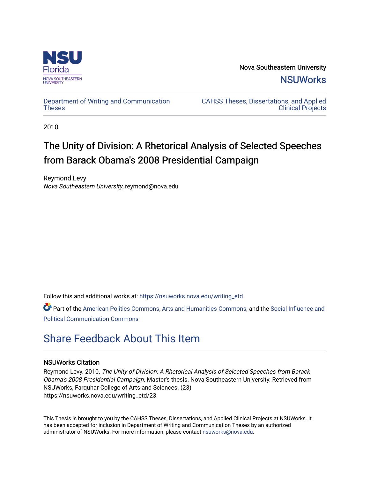

Nova Southeastern University **NSUWorks** 

[Department of Writing and Communication](https://nsuworks.nova.edu/writing_etd)  **Theses** 

[CAHSS Theses, Dissertations, and Applied](https://nsuworks.nova.edu/cahss_etd)  [Clinical Projects](https://nsuworks.nova.edu/cahss_etd) 

2010

# The Unity of Division: A Rhetorical Analysis of Selected Speeches from Barack Obama's 2008 Presidential Campaign

Reymond Levy Nova Southeastern University, reymond@nova.edu

Follow this and additional works at: [https://nsuworks.nova.edu/writing\\_etd](https://nsuworks.nova.edu/writing_etd?utm_source=nsuworks.nova.edu%2Fwriting_etd%2F23&utm_medium=PDF&utm_campaign=PDFCoverPages)

Part of the [American Politics Commons,](http://network.bepress.com/hgg/discipline/387?utm_source=nsuworks.nova.edu%2Fwriting_etd%2F23&utm_medium=PDF&utm_campaign=PDFCoverPages) [Arts and Humanities Commons,](http://network.bepress.com/hgg/discipline/438?utm_source=nsuworks.nova.edu%2Fwriting_etd%2F23&utm_medium=PDF&utm_campaign=PDFCoverPages) and the [Social Influence and](http://network.bepress.com/hgg/discipline/337?utm_source=nsuworks.nova.edu%2Fwriting_etd%2F23&utm_medium=PDF&utm_campaign=PDFCoverPages) [Political Communication Commons](http://network.bepress.com/hgg/discipline/337?utm_source=nsuworks.nova.edu%2Fwriting_etd%2F23&utm_medium=PDF&utm_campaign=PDFCoverPages)

# [Share Feedback About This Item](http://nsuworks.nova.edu/user_survey.html)

### NSUWorks Citation

Reymond Levy. 2010. The Unity of Division: A Rhetorical Analysis of Selected Speeches from Barack Obama's 2008 Presidential Campaign. Master's thesis. Nova Southeastern University. Retrieved from NSUWorks, Farquhar College of Arts and Sciences. (23) https://nsuworks.nova.edu/writing\_etd/23.

This Thesis is brought to you by the CAHSS Theses, Dissertations, and Applied Clinical Projects at NSUWorks. It has been accepted for inclusion in Department of Writing and Communication Theses by an authorized administrator of NSUWorks. For more information, please contact [nsuworks@nova.edu.](mailto:nsuworks@nova.edu)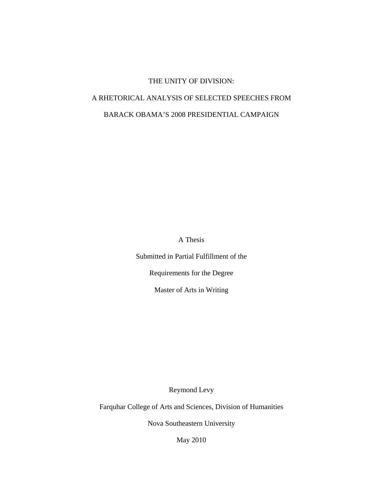### THE UNITY OF DIVISION:

## A RHETORICAL ANALYSIS OF SELECTED SPEECHES FROM BARACK OBAMA'S 2008 PRESIDENTIAL CAMPAIGN

A Thesis

Submitted in Partial Fulfillment of the

Requirements for the Degree

Master of Arts in Writing

Reymond Levy

Farquhar College of Arts and Sciences, Division of Humanities

Nova Southeastern University

May 2010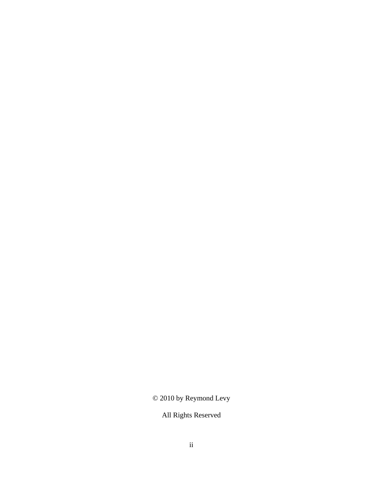## © 2010 by Reymond Levy

## All Rights Reserved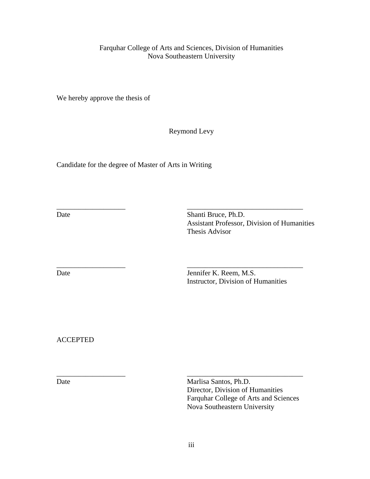Farquhar College of Arts and Sciences, Division of Humanities Nova Southeastern University

We hereby approve the thesis of

Reymond Levy

\_\_\_\_\_\_\_\_\_\_\_\_\_\_\_\_\_\_\_ \_\_\_\_\_\_\_\_\_\_\_\_\_\_\_\_\_\_\_\_\_\_\_\_\_\_\_\_\_\_\_\_

Candidate for the degree of Master of Arts in Writing

\_\_\_\_\_\_\_\_\_\_\_\_\_\_\_\_\_\_\_ \_\_\_\_\_\_\_\_\_\_\_\_\_\_\_\_\_\_\_\_\_\_\_\_\_\_\_\_\_\_\_\_

Date Shanti Bruce, Ph.D. Assistant Professor, Division of Humanities Thesis Advisor

Date Jennifer K. Reem, M.S. Instructor, Division of Humanities

ACCEPTED

Date Marlisa Santos, Ph.D. Director, Division of Humanities Farquhar College of Arts and Sciences Nova Southeastern University

\_\_\_\_\_\_\_\_\_\_\_\_\_\_\_\_\_\_\_ \_\_\_\_\_\_\_\_\_\_\_\_\_\_\_\_\_\_\_\_\_\_\_\_\_\_\_\_\_\_\_\_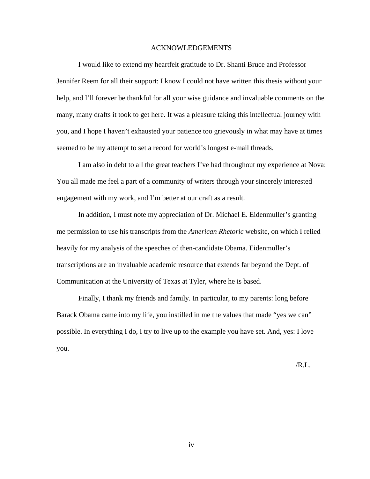#### ACKNOWLEDGEMENTS

 I would like to extend my heartfelt gratitude to Dr. Shanti Bruce and Professor Jennifer Reem for all their support: I know I could not have written this thesis without your help, and I'll forever be thankful for all your wise guidance and invaluable comments on the many, many drafts it took to get here. It was a pleasure taking this intellectual journey with you, and I hope I haven't exhausted your patience too grievously in what may have at times seemed to be my attempt to set a record for world's longest e-mail threads.

 I am also in debt to all the great teachers I've had throughout my experience at Nova: You all made me feel a part of a community of writers through your sincerely interested engagement with my work, and I'm better at our craft as a result.

 In addition, I must note my appreciation of Dr. Michael E. Eidenmuller's granting me permission to use his transcripts from the *American Rhetoric* website, on which I relied heavily for my analysis of the speeches of then-candidate Obama. Eidenmuller's transcriptions are an invaluable academic resource that extends far beyond the Dept. of Communication at the University of Texas at Tyler, where he is based.

 Finally, I thank my friends and family. In particular, to my parents: long before Barack Obama came into my life, you instilled in me the values that made "yes we can" possible. In everything I do, I try to live up to the example you have set. And, yes: I love you.

/R.L.

iv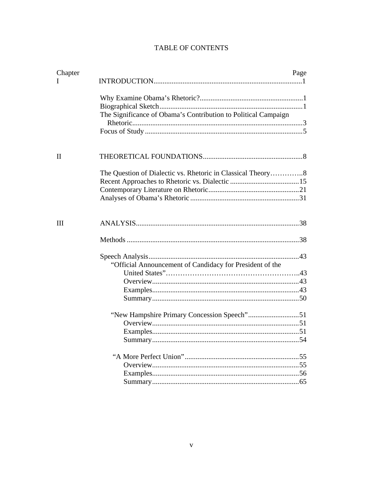## TABLE OF CONTENTS

| Chapter<br>Ι. |                                                                | Page |
|---------------|----------------------------------------------------------------|------|
|               | The Significance of Obama's Contribution to Political Campaign |      |
|               |                                                                |      |
| $\mathbf{H}$  |                                                                |      |
|               | The Question of Dialectic vs. Rhetoric in Classical Theory8    |      |
| III           |                                                                |      |
|               |                                                                |      |
|               | "Official Announcement of Candidacy for President of the       |      |
|               |                                                                |      |
|               |                                                                |      |
|               |                                                                |      |
|               |                                                                |      |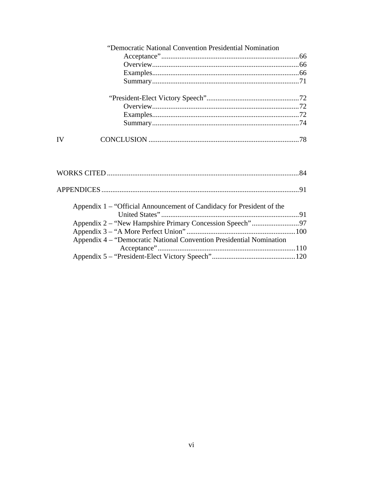| "Democratic National Convention Presidential Nomination |  |
|---------------------------------------------------------|--|
|                                                         |  |
|                                                         |  |
|                                                         |  |
|                                                         |  |
|                                                         |  |
|                                                         |  |
|                                                         |  |
|                                                         |  |
|                                                         |  |

| Appendix 1 – "Official Announcement of Candidacy for President of the |  |
|-----------------------------------------------------------------------|--|
|                                                                       |  |
|                                                                       |  |
| Appendix 4 – "Democratic National Convention Presidential Nomination  |  |
|                                                                       |  |
|                                                                       |  |
|                                                                       |  |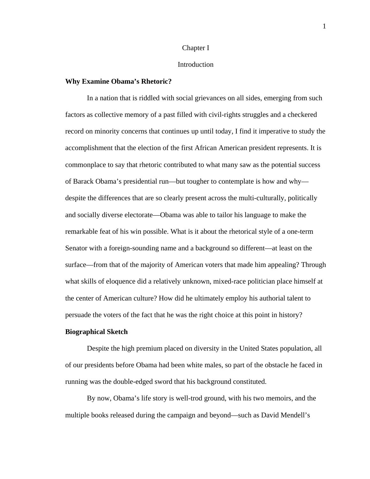#### Chapter I

#### Introduction

#### **Why Examine Obama's Rhetoric?**

In a nation that is riddled with social grievances on all sides, emerging from such factors as collective memory of a past filled with civil-rights struggles and a checkered record on minority concerns that continues up until today, I find it imperative to study the accomplishment that the election of the first African American president represents. It is commonplace to say that rhetoric contributed to what many saw as the potential success of Barack Obama's presidential run—but tougher to contemplate is how and why despite the differences that are so clearly present across the multi-culturally, politically and socially diverse electorate—Obama was able to tailor his language to make the remarkable feat of his win possible. What is it about the rhetorical style of a one-term Senator with a foreign-sounding name and a background so different—at least on the surface—from that of the majority of American voters that made him appealing? Through what skills of eloquence did a relatively unknown, mixed-race politician place himself at the center of American culture? How did he ultimately employ his authorial talent to persuade the voters of the fact that he was the right choice at this point in history?

#### **Biographical Sketch**

Despite the high premium placed on diversity in the United States population, all of our presidents before Obama had been white males, so part of the obstacle he faced in running was the double-edged sword that his background constituted.

By now, Obama's life story is well-trod ground, with his two memoirs, and the multiple books released during the campaign and beyond—such as David Mendell's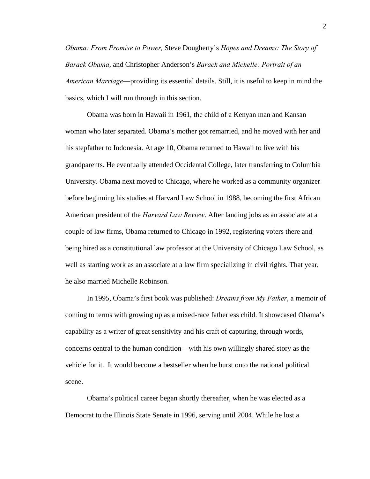*Obama: From Promise to Power,* Steve Dougherty's *Hopes and Dreams: The Story of Barack Obama*, and Christopher Anderson's *Barack and Michelle: Portrait of an American Marriage*—providing its essential details. Still, it is useful to keep in mind the basics, which I will run through in this section.

Obama was born in Hawaii in 1961, the child of a Kenyan man and Kansan woman who later separated. Obama's mother got remarried, and he moved with her and his stepfather to Indonesia. At age 10, Obama returned to Hawaii to live with his grandparents. He eventually attended Occidental College, later transferring to Columbia University. Obama next moved to Chicago, where he worked as a community organizer before beginning his studies at Harvard Law School in 1988, becoming the first African American president of the *Harvard Law Review*. After landing jobs as an associate at a couple of law firms, Obama returned to Chicago in 1992, registering voters there and being hired as a constitutional law professor at the University of Chicago Law School, as well as starting work as an associate at a law firm specializing in civil rights. That year, he also married Michelle Robinson.

In 1995, Obama's first book was published: *Dreams from My Father*, a memoir of coming to terms with growing up as a mixed-race fatherless child. It showcased Obama's capability as a writer of great sensitivity and his craft of capturing, through words, concerns central to the human condition—with his own willingly shared story as the vehicle for it. It would become a bestseller when he burst onto the national political scene.

Obama's political career began shortly thereafter, when he was elected as a Democrat to the Illinois State Senate in 1996, serving until 2004. While he lost a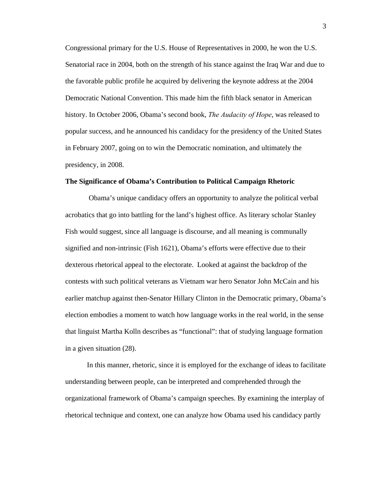Congressional primary for the U.S. House of Representatives in 2000, he won the U.S. Senatorial race in 2004, both on the strength of his stance against the Iraq War and due to the favorable public profile he acquired by delivering the keynote address at the 2004 Democratic National Convention. This made him the fifth black senator in American history. In October 2006, Obama's second book, *The Audacity of Hope*, was released to popular success, and he announced his candidacy for the presidency of the United States in February 2007, going on to win the Democratic nomination, and ultimately the presidency, in 2008.

#### **The Significance of Obama's Contribution to Political Campaign Rhetoric**

 Obama's unique candidacy offers an opportunity to analyze the political verbal acrobatics that go into battling for the land's highest office. As literary scholar Stanley Fish would suggest, since all language is discourse, and all meaning is communally signified and non-intrinsic (Fish 1621), Obama's efforts were effective due to their dexterous rhetorical appeal to the electorate. Looked at against the backdrop of the contests with such political veterans as Vietnam war hero Senator John McCain and his earlier matchup against then-Senator Hillary Clinton in the Democratic primary, Obama's election embodies a moment to watch how language works in the real world, in the sense that linguist Martha Kolln describes as "functional": that of studying language formation in a given situation (28).

In this manner, rhetoric, since it is employed for the exchange of ideas to facilitate understanding between people, can be interpreted and comprehended through the organizational framework of Obama's campaign speeches. By examining the interplay of rhetorical technique and context, one can analyze how Obama used his candidacy partly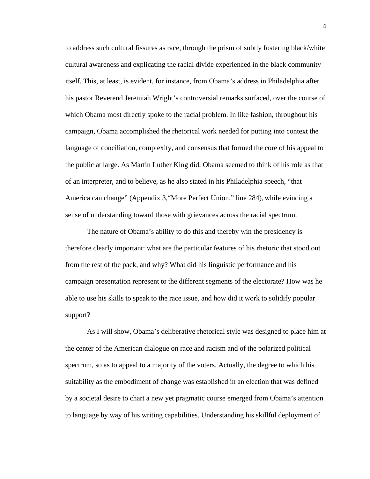to address such cultural fissures as race, through the prism of subtly fostering black/white cultural awareness and explicating the racial divide experienced in the black community itself. This, at least, is evident, for instance, from Obama's address in Philadelphia after his pastor Reverend Jeremiah Wright's controversial remarks surfaced, over the course of which Obama most directly spoke to the racial problem. In like fashion, throughout his campaign, Obama accomplished the rhetorical work needed for putting into context the language of conciliation, complexity, and consensus that formed the core of his appeal to the public at large. As Martin Luther King did, Obama seemed to think of his role as that of an interpreter, and to believe, as he also stated in his Philadelphia speech, "that America can change" (Appendix 3,"More Perfect Union," line 284), while evincing a sense of understanding toward those with grievances across the racial spectrum.

The nature of Obama's ability to do this and thereby win the presidency is therefore clearly important: what are the particular features of his rhetoric that stood out from the rest of the pack, and why? What did his linguistic performance and his campaign presentation represent to the different segments of the electorate? How was he able to use his skills to speak to the race issue, and how did it work to solidify popular support?

As I will show, Obama's deliberative rhetorical style was designed to place him at the center of the American dialogue on race and racism and of the polarized political spectrum, so as to appeal to a majority of the voters. Actually, the degree to which his suitability as the embodiment of change was established in an election that was defined by a societal desire to chart a new yet pragmatic course emerged from Obama's attention to language by way of his writing capabilities. Understanding his skillful deployment of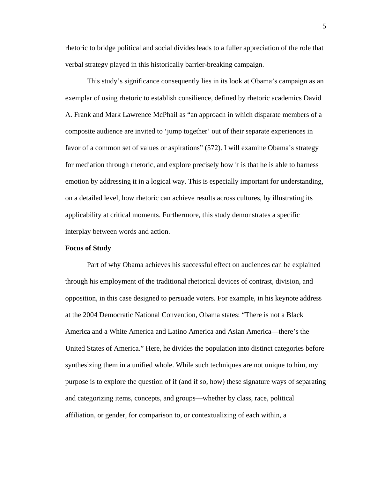rhetoric to bridge political and social divides leads to a fuller appreciation of the role that verbal strategy played in this historically barrier-breaking campaign.

This study's significance consequently lies in its look at Obama's campaign as an exemplar of using rhetoric to establish consilience, defined by rhetoric academics David A. Frank and Mark Lawrence McPhail as "an approach in which disparate members of a composite audience are invited to 'jump together' out of their separate experiences in favor of a common set of values or aspirations" (572). I will examine Obama's strategy for mediation through rhetoric, and explore precisely how it is that he is able to harness emotion by addressing it in a logical way. This is especially important for understanding, on a detailed level, how rhetoric can achieve results across cultures, by illustrating its applicability at critical moments. Furthermore, this study demonstrates a specific interplay between words and action.

#### **Focus of Study**

Part of why Obama achieves his successful effect on audiences can be explained through his employment of the traditional rhetorical devices of contrast, division, and opposition, in this case designed to persuade voters. For example, in his keynote address at the 2004 Democratic National Convention, Obama states: "There is not a Black America and a White America and Latino America and Asian America—there's the United States of America." Here, he divides the population into distinct categories before synthesizing them in a unified whole. While such techniques are not unique to him, my purpose is to explore the question of if (and if so, how) these signature ways of separating and categorizing items, concepts, and groups—whether by class, race, political affiliation, or gender, for comparison to, or contextualizing of each within, a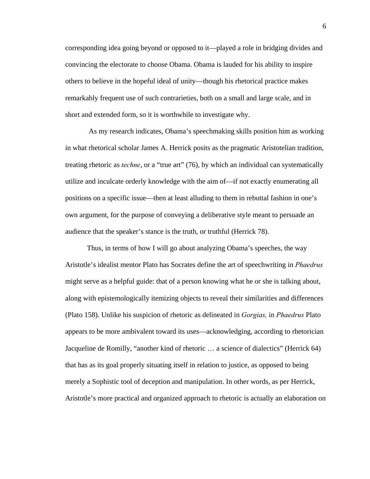corresponding idea going beyond or opposed to it—played a role in bridging divides and convincing the electorate to choose Obama. Obama is lauded for his ability to inspire others to believe in the hopeful ideal of unity—though his rhetorical practice makes remarkably frequent use of such contrarieties, both on a small and large scale, and in short and extended form, so it is worthwhile to investigate why.

 As my research indicates, Obama's speechmaking skills position him as working in what rhetorical scholar James A. Herrick posits as the pragmatic Aristotelian tradition, treating rhetoric as *techne*, or a "true art" (76), by which an individual can systematically utilize and inculcate orderly knowledge with the aim of—if not exactly enumerating all positions on a specific issue—then at least alluding to them in rebuttal fashion in one's own argument, for the purpose of conveying a deliberative style meant to persuade an audience that the speaker's stance is the truth, or truthful (Herrick 78).

Thus, in terms of how I will go about analyzing Obama's speeches, the way Aristotle's idealist mentor Plato has Socrates define the art of speechwriting in *Phaedrus* might serve as a helpful guide: that of a person knowing what he or she is talking about, along with epistemologically itemizing objects to reveal their similarities and differences (Plato 158). Unlike his suspicion of rhetoric as delineated in *Gorgias,* in *Phaedrus* Plato appears to be more ambivalent toward its uses—acknowledging, according to rhetorician Jacqueline de Romilly, "another kind of rhetoric … a science of dialectics" (Herrick 64) that has as its goal properly situating itself in relation to justice, as opposed to being merely a Sophistic tool of deception and manipulation. In other words, as per Herrick, Aristotle's more practical and organized approach to rhetoric is actually an elaboration on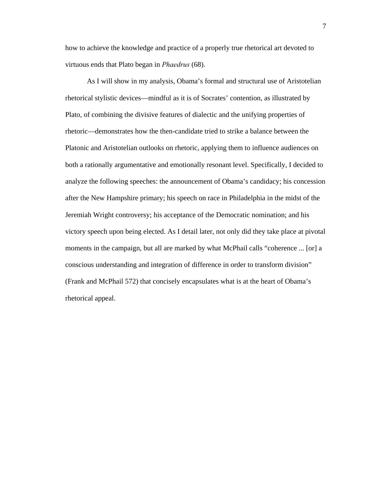how to achieve the knowledge and practice of a properly true rhetorical art devoted to virtuous ends that Plato began in *Phaedrus* (68).

As I will show in my analysis, Obama's formal and structural use of Aristotelian rhetorical stylistic devices—mindful as it is of Socrates' contention, as illustrated by Plato, of combining the divisive features of dialectic and the unifying properties of rhetoric—demonstrates how the then-candidate tried to strike a balance between the Platonic and Aristotelian outlooks on rhetoric, applying them to influence audiences on both a rationally argumentative and emotionally resonant level. Specifically, I decided to analyze the following speeches: the announcement of Obama's candidacy; his concession after the New Hampshire primary; his speech on race in Philadelphia in the midst of the Jeremiah Wright controversy; his acceptance of the Democratic nomination; and his victory speech upon being elected. As I detail later, not only did they take place at pivotal moments in the campaign, but all are marked by what McPhail calls "coherence ... [or] a conscious understanding and integration of difference in order to transform division" (Frank and McPhail 572) that concisely encapsulates what is at the heart of Obama's rhetorical appeal.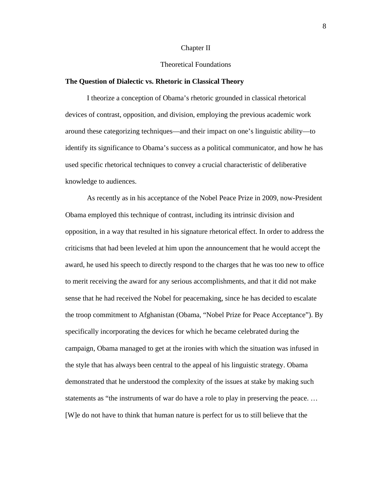#### Chapter II

#### Theoretical Foundations

#### **The Question of Dialectic vs. Rhetoric in Classical Theory**

I theorize a conception of Obama's rhetoric grounded in classical rhetorical devices of contrast, opposition, and division, employing the previous academic work around these categorizing techniques—and their impact on one's linguistic ability—to identify its significance to Obama's success as a political communicator, and how he has used specific rhetorical techniques to convey a crucial characteristic of deliberative knowledge to audiences.

As recently as in his acceptance of the Nobel Peace Prize in 2009, now-President Obama employed this technique of contrast, including its intrinsic division and opposition, in a way that resulted in his signature rhetorical effect. In order to address the criticisms that had been leveled at him upon the announcement that he would accept the award, he used his speech to directly respond to the charges that he was too new to office to merit receiving the award for any serious accomplishments, and that it did not make sense that he had received the Nobel for peacemaking, since he has decided to escalate the troop commitment to Afghanistan (Obama, "Nobel Prize for Peace Acceptance"). By specifically incorporating the devices for which he became celebrated during the campaign, Obama managed to get at the ironies with which the situation was infused in the style that has always been central to the appeal of his linguistic strategy. Obama demonstrated that he understood the complexity of the issues at stake by making such statements as "the instruments of war do have a role to play in preserving the peace. … [W]e do not have to think that human nature is perfect for us to still believe that the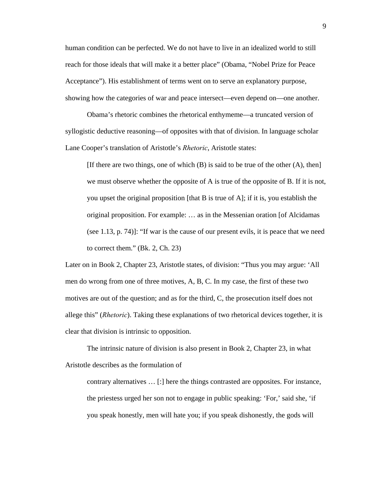human condition can be perfected. We do not have to live in an idealized world to still reach for those ideals that will make it a better place" (Obama, "Nobel Prize for Peace Acceptance"). His establishment of terms went on to serve an explanatory purpose, showing how the categories of war and peace intersect—even depend on—one another.

 Obama's rhetoric combines the rhetorical enthymeme—a truncated version of syllogistic deductive reasoning—of opposites with that of division. In language scholar Lane Cooper's translation of Aristotle's *Rhetoric*, Aristotle states:

[If there are two things, one of which  $(B)$  is said to be true of the other  $(A)$ , then] we must observe whether the opposite of A is true of the opposite of B. If it is not, you upset the original proposition [that B is true of A]; if it is, you establish the original proposition. For example: … as in the Messenian oration [of Alcidamas (see 1.13, p. 74)]: "If war is the cause of our present evils, it is peace that we need to correct them." (Bk. 2, Ch. 23)

Later on in Book 2, Chapter 23, Aristotle states, of division: "Thus you may argue: 'All men do wrong from one of three motives, A, B, C. In my case, the first of these two motives are out of the question; and as for the third, C, the prosecution itself does not allege this" (*Rhetoric*). Taking these explanations of two rhetorical devices together, it is clear that division is intrinsic to opposition.

 The intrinsic nature of division is also present in Book 2, Chapter 23, in what Aristotle describes as the formulation of

contrary alternatives … [:] here the things contrasted are opposites. For instance, the priestess urged her son not to engage in public speaking: 'For,' said she, 'if you speak honestly, men will hate you; if you speak dishonestly, the gods will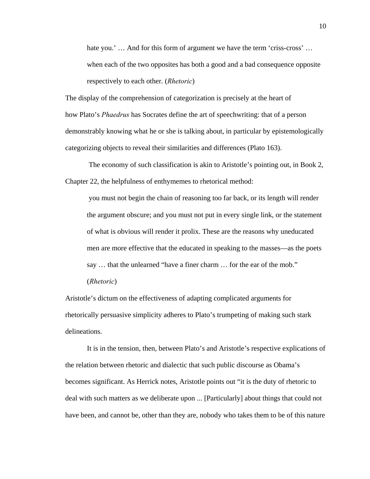hate you.' ... And for this form of argument we have the term 'criss-cross' ... when each of the two opposites has both a good and a bad consequence opposite respectively to each other. (*Rhetoric*)

The display of the comprehension of categorization is precisely at the heart of how Plato's *Phaedrus* has Socrates define the art of speechwriting: that of a person demonstrably knowing what he or she is talking about, in particular by epistemologically categorizing objects to reveal their similarities and differences (Plato 163).

 The economy of such classification is akin to Aristotle's pointing out, in Book 2, Chapter 22, the helpfulness of enthymemes to rhetorical method:

you must not begin the chain of reasoning too far back, or its length will render the argument obscure; and you must not put in every single link, or the statement of what is obvious will render it prolix. These are the reasons why uneducated men are more effective that the educated in speaking to the masses—as the poets say … that the unlearned "have a finer charm … for the ear of the mob."

(*Rhetoric*)

Aristotle's dictum on the effectiveness of adapting complicated arguments for rhetorically persuasive simplicity adheres to Plato's trumpeting of making such stark delineations.

 It is in the tension, then, between Plato's and Aristotle's respective explications of the relation between rhetoric and dialectic that such public discourse as Obama's becomes significant. As Herrick notes, Aristotle points out "it is the duty of rhetoric to deal with such matters as we deliberate upon ... [Particularly] about things that could not have been, and cannot be, other than they are, nobody who takes them to be of this nature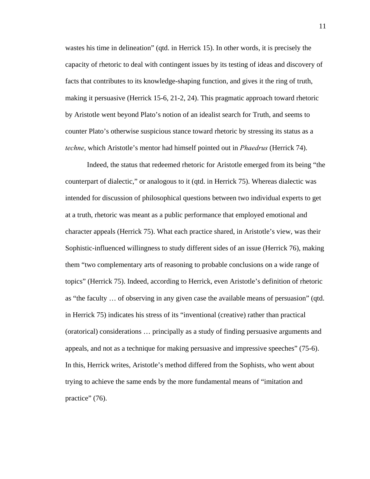wastes his time in delineation" (qtd. in Herrick 15). In other words, it is precisely the capacity of rhetoric to deal with contingent issues by its testing of ideas and discovery of facts that contributes to its knowledge-shaping function, and gives it the ring of truth, making it persuasive (Herrick 15-6, 21-2, 24). This pragmatic approach toward rhetoric by Aristotle went beyond Plato's notion of an idealist search for Truth, and seems to counter Plato's otherwise suspicious stance toward rhetoric by stressing its status as a *techne*, which Aristotle's mentor had himself pointed out in *Phaedrus* (Herrick 74).

Indeed, the status that redeemed rhetoric for Aristotle emerged from its being "the counterpart of dialectic," or analogous to it (qtd. in Herrick 75). Whereas dialectic was intended for discussion of philosophical questions between two individual experts to get at a truth, rhetoric was meant as a public performance that employed emotional and character appeals (Herrick 75). What each practice shared, in Aristotle's view, was their Sophistic-influenced willingness to study different sides of an issue (Herrick 76), making them "two complementary arts of reasoning to probable conclusions on a wide range of topics" (Herrick 75). Indeed, according to Herrick, even Aristotle's definition of rhetoric as "the faculty … of observing in any given case the available means of persuasion" (qtd. in Herrick 75) indicates his stress of its "inventional (creative) rather than practical (oratorical) considerations … principally as a study of finding persuasive arguments and appeals, and not as a technique for making persuasive and impressive speeches" (75-6). In this, Herrick writes, Aristotle's method differed from the Sophists, who went about trying to achieve the same ends by the more fundamental means of "imitation and practice" (76).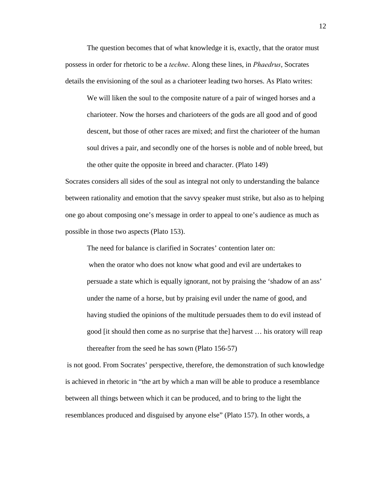The question becomes that of what knowledge it is, exactly, that the orator must possess in order for rhetoric to be a *techne*. Along these lines, in *Phaedrus*, Socrates details the envisioning of the soul as a charioteer leading two horses. As Plato writes:

We will liken the soul to the composite nature of a pair of winged horses and a charioteer. Now the horses and charioteers of the gods are all good and of good descent, but those of other races are mixed; and first the charioteer of the human soul drives a pair, and secondly one of the horses is noble and of noble breed, but the other quite the opposite in breed and character. (Plato 149)

Socrates considers all sides of the soul as integral not only to understanding the balance between rationality and emotion that the savvy speaker must strike, but also as to helping one go about composing one's message in order to appeal to one's audience as much as possible in those two aspects (Plato 153).

The need for balance is clarified in Socrates' contention later on:

when the orator who does not know what good and evil are undertakes to persuade a state which is equally ignorant, not by praising the 'shadow of an ass' under the name of a horse, but by praising evil under the name of good, and having studied the opinions of the multitude persuades them to do evil instead of good [it should then come as no surprise that the] harvest … his oratory will reap thereafter from the seed he has sown (Plato 156-57)

 is not good. From Socrates' perspective, therefore, the demonstration of such knowledge is achieved in rhetoric in "the art by which a man will be able to produce a resemblance between all things between which it can be produced, and to bring to the light the resemblances produced and disguised by anyone else" (Plato 157). In other words, a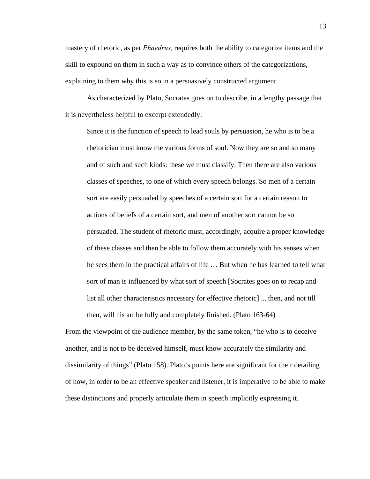mastery of rhetoric, as per *Phaedrus,* requires both the ability to categorize items and the skill to expound on them in such a way as to convince others of the categorizations, explaining to them why this is so in a persuasively constructed argument.

As characterized by Plato, Socrates goes on to describe, in a lengthy passage that it is nevertheless helpful to excerpt extendedly:

Since it is the function of speech to lead souls by persuasion, he who is to be a rhetorician must know the various forms of soul. Now they are so and so many and of such and such kinds: these we must classify. Then there are also various classes of speeches, to one of which every speech belongs. So men of a certain sort are easily persuaded by speeches of a certain sort for a certain reason to actions of beliefs of a certain sort, and men of another sort cannot be so persuaded. The student of rhetoric must, accordingly, acquire a proper knowledge of these classes and then be able to follow them accurately with his senses when he sees them in the practical affairs of life … But when he has learned to tell what sort of man is influenced by what sort of speech [Socrates goes on to recap and list all other characteristics necessary for effective rhetoric] ... then, and not till then, will his art be fully and completely finished. (Plato 163-64)

From the viewpoint of the audience member, by the same token, "he who is to deceive another, and is not to be deceived himself, must know accurately the similarity and dissimilarity of things" (Plato 158). Plato's points here are significant for their detailing of how, in order to be an effective speaker and listener, it is imperative to be able to make these distinctions and properly articulate them in speech implicitly expressing it.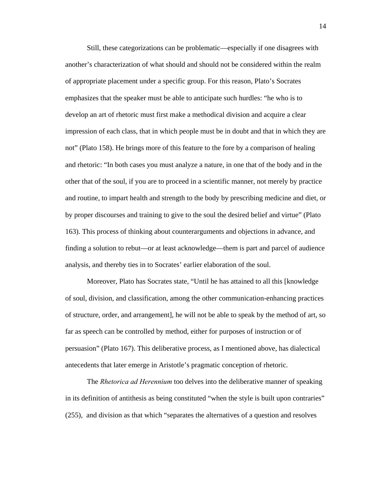Still, these categorizations can be problematic—especially if one disagrees with another's characterization of what should and should not be considered within the realm of appropriate placement under a specific group. For this reason, Plato's Socrates emphasizes that the speaker must be able to anticipate such hurdles: "he who is to develop an art of rhetoric must first make a methodical division and acquire a clear impression of each class, that in which people must be in doubt and that in which they are not" (Plato 158). He brings more of this feature to the fore by a comparison of healing and rhetoric: "In both cases you must analyze a nature, in one that of the body and in the other that of the soul, if you are to proceed in a scientific manner, not merely by practice and routine, to impart health and strength to the body by prescribing medicine and diet, or by proper discourses and training to give to the soul the desired belief and virtue" (Plato 163). This process of thinking about counterarguments and objections in advance, and finding a solution to rebut—or at least acknowledge—them is part and parcel of audience analysis, and thereby ties in to Socrates' earlier elaboration of the soul.

Moreover, Plato has Socrates state, "Until he has attained to all this [knowledge of soul, division, and classification, among the other communication-enhancing practices of structure, order, and arrangement], he will not be able to speak by the method of art, so far as speech can be controlled by method, either for purposes of instruction or of persuasion" (Plato 167). This deliberative process, as I mentioned above, has dialectical antecedents that later emerge in Aristotle's pragmatic conception of rhetoric.

The *Rhetorica ad Herennium* too delves into the deliberative manner of speaking in its definition of antithesis as being constituted "when the style is built upon contraries" (255), and division as that which "separates the alternatives of a question and resolves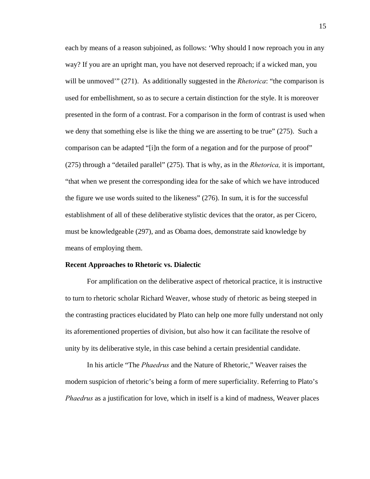each by means of a reason subjoined, as follows: 'Why should I now reproach you in any way? If you are an upright man, you have not deserved reproach; if a wicked man, you will be unmoved'" (271). As additionally suggested in the *Rhetorica*: "the comparison is used for embellishment, so as to secure a certain distinction for the style. It is moreover presented in the form of a contrast. For a comparison in the form of contrast is used when we deny that something else is like the thing we are asserting to be true" (275). Such a comparison can be adapted "[i]n the form of a negation and for the purpose of proof" (275) through a "detailed parallel" (275). That is why, as in the *Rhetorica,* it is important, "that when we present the corresponding idea for the sake of which we have introduced the figure we use words suited to the likeness" (276). In sum, it is for the successful establishment of all of these deliberative stylistic devices that the orator, as per Cicero, must be knowledgeable (297), and as Obama does, demonstrate said knowledge by means of employing them.

#### **Recent Approaches to Rhetoric vs. Dialectic**

For amplification on the deliberative aspect of rhetorical practice, it is instructive to turn to rhetoric scholar Richard Weaver, whose study of rhetoric as being steeped in the contrasting practices elucidated by Plato can help one more fully understand not only its aforementioned properties of division, but also how it can facilitate the resolve of unity by its deliberative style, in this case behind a certain presidential candidate.

In his article "The *Phaedrus* and the Nature of Rhetoric," Weaver raises the modern suspicion of rhetoric's being a form of mere superficiality. Referring to Plato's *Phaedrus* as a justification for love, which in itself is a kind of madness, Weaver places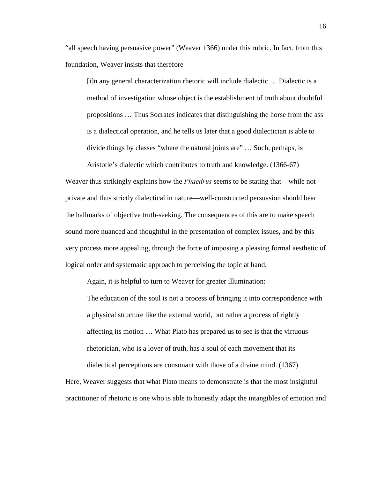"all speech having persuasive power" (Weaver 1366) under this rubric. In fact, from this foundation, Weaver insists that therefore

[i]n any general characterization rhetoric will include dialectic … Dialectic is a method of investigation whose object is the establishment of truth about doubtful propositions … Thus Socrates indicates that distinguishing the horse from the ass is a dialectical operation, and he tells us later that a good dialectician is able to divide things by classes "where the natural joints are" … Such, perhaps, is

Aristotle's dialectic which contributes to truth and knowledge. (1366-67) Weaver thus strikingly explains how the *Phaedrus* seems to be stating that—while not private and thus strictly dialectical in nature—well-constructed persuasion should bear the hallmarks of objective truth-seeking. The consequences of this are to make speech sound more nuanced and thoughtful in the presentation of complex issues, and by this very process more appealing, through the force of imposing a pleasing formal aesthetic of logical order and systematic approach to perceiving the topic at hand.

Again, it is helpful to turn to Weaver for greater illumination:

The education of the soul is not a process of bringing it into correspondence with a physical structure like the external world, but rather a process of rightly affecting its motion … What Plato has prepared us to see is that the virtuous rhetorician, who is a lover of truth, has a soul of each movement that its dialectical perceptions are consonant with those of a divine mind. (1367)

Here, Weaver suggests that what Plato means to demonstrate is that the most insightful practitioner of rhetoric is one who is able to honestly adapt the intangibles of emotion and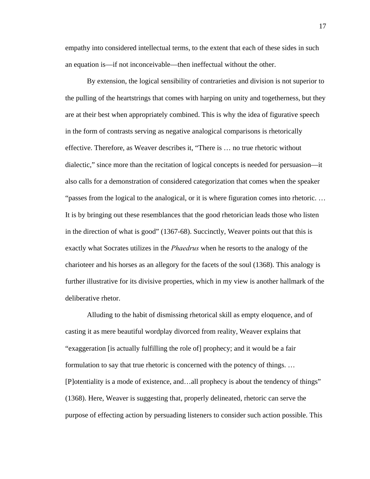empathy into considered intellectual terms, to the extent that each of these sides in such an equation is—if not inconceivable—then ineffectual without the other.

By extension, the logical sensibility of contrarieties and division is not superior to the pulling of the heartstrings that comes with harping on unity and togetherness, but they are at their best when appropriately combined. This is why the idea of figurative speech in the form of contrasts serving as negative analogical comparisons is rhetorically effective. Therefore, as Weaver describes it, "There is … no true rhetoric without dialectic," since more than the recitation of logical concepts is needed for persuasion—it also calls for a demonstration of considered categorization that comes when the speaker "passes from the logical to the analogical, or it is where figuration comes into rhetoric. … It is by bringing out these resemblances that the good rhetorician leads those who listen in the direction of what is good" (1367-68). Succinctly, Weaver points out that this is exactly what Socrates utilizes in the *Phaedrus* when he resorts to the analogy of the charioteer and his horses as an allegory for the facets of the soul (1368). This analogy is further illustrative for its divisive properties, which in my view is another hallmark of the deliberative rhetor.

 Alluding to the habit of dismissing rhetorical skill as empty eloquence, and of casting it as mere beautiful wordplay divorced from reality, Weaver explains that "exaggeration [is actually fulfilling the role of] prophecy; and it would be a fair formulation to say that true rhetoric is concerned with the potency of things. … [P]otentiality is a mode of existence, and…all prophecy is about the tendency of things" (1368). Here, Weaver is suggesting that, properly delineated, rhetoric can serve the purpose of effecting action by persuading listeners to consider such action possible. This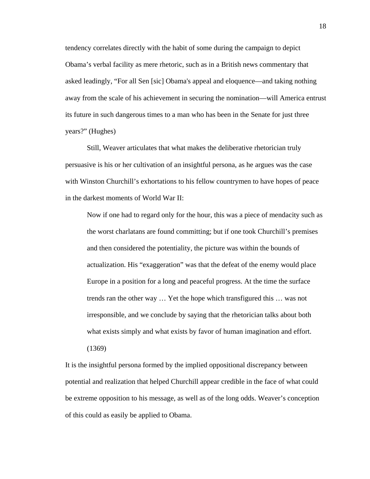tendency correlates directly with the habit of some during the campaign to depict Obama's verbal facility as mere rhetoric, such as in a British news commentary that asked leadingly, "For all Sen [sic] Obama's appeal and eloquence—and taking nothing away from the scale of his achievement in securing the nomination—will America entrust its future in such dangerous times to a man who has been in the Senate for just three years?" (Hughes)

Still, Weaver articulates that what makes the deliberative rhetorician truly persuasive is his or her cultivation of an insightful persona, as he argues was the case with Winston Churchill's exhortations to his fellow countrymen to have hopes of peace in the darkest moments of World War II:

Now if one had to regard only for the hour, this was a piece of mendacity such as the worst charlatans are found committing; but if one took Churchill's premises and then considered the potentiality, the picture was within the bounds of actualization. His "exaggeration" was that the defeat of the enemy would place Europe in a position for a long and peaceful progress. At the time the surface trends ran the other way … Yet the hope which transfigured this … was not irresponsible, and we conclude by saying that the rhetorician talks about both what exists simply and what exists by favor of human imagination and effort. (1369)

It is the insightful persona formed by the implied oppositional discrepancy between potential and realization that helped Churchill appear credible in the face of what could be extreme opposition to his message, as well as of the long odds. Weaver's conception of this could as easily be applied to Obama.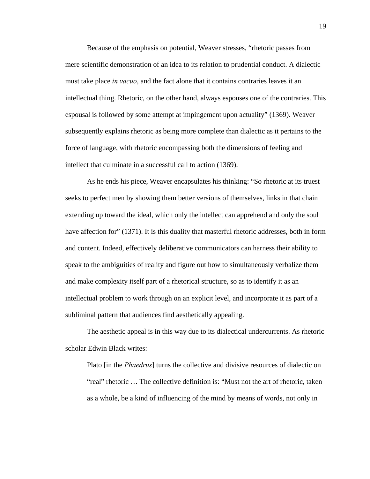Because of the emphasis on potential, Weaver stresses, "rhetoric passes from mere scientific demonstration of an idea to its relation to prudential conduct. A dialectic must take place *in vacuo*, and the fact alone that it contains contraries leaves it an intellectual thing. Rhetoric, on the other hand, always espouses one of the contraries. This espousal is followed by some attempt at impingement upon actuality" (1369). Weaver subsequently explains rhetoric as being more complete than dialectic as it pertains to the force of language, with rhetoric encompassing both the dimensions of feeling and intellect that culminate in a successful call to action (1369).

 As he ends his piece, Weaver encapsulates his thinking: "So rhetoric at its truest seeks to perfect men by showing them better versions of themselves, links in that chain extending up toward the ideal, which only the intellect can apprehend and only the soul have affection for" (1371). It is this duality that masterful rhetoric addresses, both in form and content. Indeed, effectively deliberative communicators can harness their ability to speak to the ambiguities of reality and figure out how to simultaneously verbalize them and make complexity itself part of a rhetorical structure, so as to identify it as an intellectual problem to work through on an explicit level, and incorporate it as part of a subliminal pattern that audiences find aesthetically appealing.

 The aesthetic appeal is in this way due to its dialectical undercurrents. As rhetoric scholar Edwin Black writes:

Plato [in the *Phaedrus*] turns the collective and divisive resources of dialectic on "real" rhetoric … The collective definition is: "Must not the art of rhetoric, taken as a whole, be a kind of influencing of the mind by means of words, not only in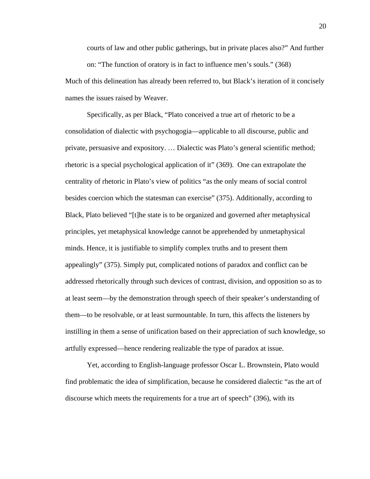courts of law and other public gatherings, but in private places also?" And further on: "The function of oratory is in fact to influence men's souls." (368) Much of this delineation has already been referred to, but Black's iteration of it concisely names the issues raised by Weaver.

 Specifically, as per Black, "Plato conceived a true art of rhetoric to be a consolidation of dialectic with psychogogia—applicable to all discourse, public and private, persuasive and expository. … Dialectic was Plato's general scientific method; rhetoric is a special psychological application of it" (369). One can extrapolate the centrality of rhetoric in Plato's view of politics "as the only means of social control besides coercion which the statesman can exercise" (375). Additionally, according to Black, Plato believed "[t]he state is to be organized and governed after metaphysical principles, yet metaphysical knowledge cannot be apprehended by unmetaphysical minds. Hence, it is justifiable to simplify complex truths and to present them appealingly" (375). Simply put, complicated notions of paradox and conflict can be addressed rhetorically through such devices of contrast, division, and opposition so as to at least seem—by the demonstration through speech of their speaker's understanding of them—to be resolvable, or at least surmountable. In turn, this affects the listeners by instilling in them a sense of unification based on their appreciation of such knowledge, so artfully expressed—hence rendering realizable the type of paradox at issue.

 Yet, according to English-language professor Oscar L. Brownstein, Plato would find problematic the idea of simplification, because he considered dialectic "as the art of discourse which meets the requirements for a true art of speech" (396), with its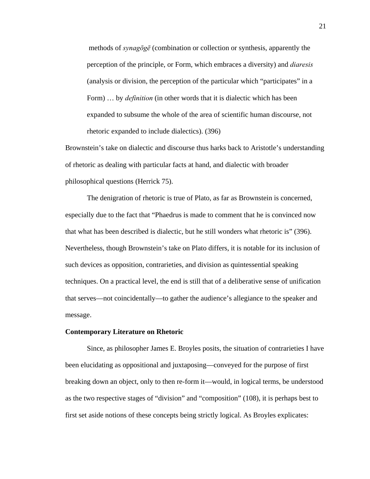methods of *synagōgē* (combination or collection or synthesis, apparently the perception of the principle, or Form, which embraces a diversity) and *diaresis* (analysis or division, the perception of the particular which "participates" in a Form) ... by *definition* (in other words that it is dialectic which has been expanded to subsume the whole of the area of scientific human discourse, not rhetoric expanded to include dialectics). (396)

Brownstein's take on dialectic and discourse thus harks back to Aristotle's understanding of rhetoric as dealing with particular facts at hand, and dialectic with broader philosophical questions (Herrick 75).

The denigration of rhetoric is true of Plato, as far as Brownstein is concerned, especially due to the fact that "Phaedrus is made to comment that he is convinced now that what has been described is dialectic, but he still wonders what rhetoric is" (396). Nevertheless, though Brownstein's take on Plato differs, it is notable for its inclusion of such devices as opposition, contrarieties, and division as quintessential speaking techniques. On a practical level, the end is still that of a deliberative sense of unification that serves—not coincidentally—to gather the audience's allegiance to the speaker and message.

#### **Contemporary Literature on Rhetoric**

Since, as philosopher James E. Broyles posits, the situation of contrarieties I have been elucidating as oppositional and juxtaposing—conveyed for the purpose of first breaking down an object, only to then re-form it—would, in logical terms, be understood as the two respective stages of "division" and "composition" (108), it is perhaps best to first set aside notions of these concepts being strictly logical. As Broyles explicates: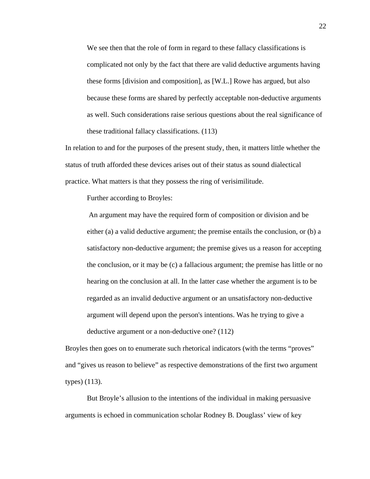We see then that the role of form in regard to these fallacy classifications is complicated not only by the fact that there are valid deductive arguments having these forms [division and composition], as [W.L.] Rowe has argued, but also because these forms are shared by perfectly acceptable non-deductive arguments as well. Such considerations raise serious questions about the real significance of these traditional fallacy classifications. (113)

In relation to and for the purposes of the present study, then, it matters little whether the status of truth afforded these devices arises out of their status as sound dialectical practice. What matters is that they possess the ring of verisimilitude.

Further according to Broyles:

An argument may have the required form of composition or division and be either (a) a valid deductive argument; the premise entails the conclusion, or (b) a satisfactory non-deductive argument; the premise gives us a reason for accepting the conclusion, or it may be (c) a fallacious argument; the premise has little or no hearing on the conclusion at all. In the latter case whether the argument is to be regarded as an invalid deductive argument or an unsatisfactory non-deductive argument will depend upon the person's intentions. Was he trying to give a deductive argument or a non-deductive one? (112)

Broyles then goes on to enumerate such rhetorical indicators (with the terms "proves" and "gives us reason to believe" as respective demonstrations of the first two argument types) (113).

 But Broyle's allusion to the intentions of the individual in making persuasive arguments is echoed in communication scholar Rodney B. Douglass' view of key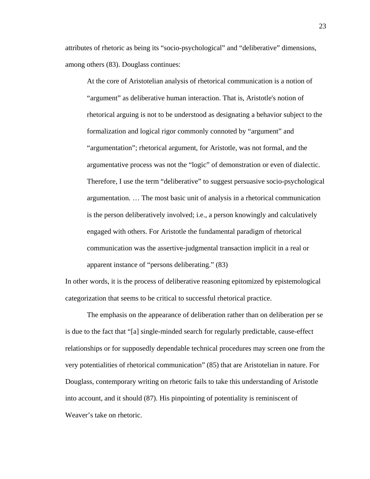attributes of rhetoric as being its "socio-psychological" and "deliberative" dimensions, among others (83). Douglass continues:

At the core of Aristotelian analysis of rhetorical communication is a notion of "argument" as deliberative human interaction. That is, Aristotle's notion of rhetorical arguing is not to be understood as designating a behavior subject to the formalization and logical rigor commonly connoted by "argument" and "argumentation"; rhetorical argument, for Aristotle, was not formal, and the argumentative process was not the "logic" of demonstration or even of dialectic. Therefore, I use the term "deliberative" to suggest persuasive socio-psychological argumentation. … The most basic unit of analysis in a rhetorical communication is the person deliberatively involved; i.e., a person knowingly and calculatively engaged with others. For Aristotle the fundamental paradigm of rhetorical communication was the assertive-judgmental transaction implicit in a real or apparent instance of "persons deliberating." (83)

In other words, it is the process of deliberative reasoning epitomized by epistemological categorization that seems to be critical to successful rhetorical practice.

 The emphasis on the appearance of deliberation rather than on deliberation per se is due to the fact that "[a] single-minded search for regularly predictable, cause-effect relationships or for supposedly dependable technical procedures may screen one from the very potentialities of rhetorical communication" (85) that are Aristotelian in nature. For Douglass, contemporary writing on rhetoric fails to take this understanding of Aristotle into account, and it should (87). His pinpointing of potentiality is reminiscent of Weaver's take on rhetoric.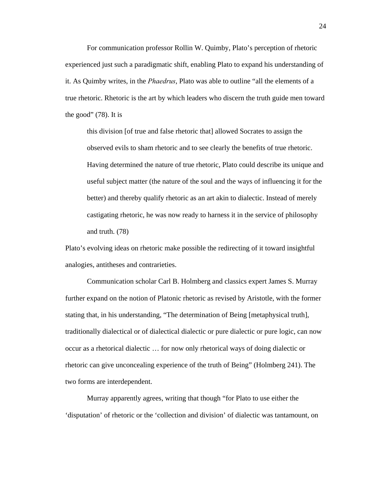For communication professor Rollin W. Quimby, Plato's perception of rhetoric experienced just such a paradigmatic shift, enabling Plato to expand his understanding of it. As Quimby writes, in the *Phaedrus*, Plato was able to outline "all the elements of a true rhetoric. Rhetoric is the art by which leaders who discern the truth guide men toward the good"  $(78)$ . It is

this division [of true and false rhetoric that] allowed Socrates to assign the observed evils to sham rhetoric and to see clearly the benefits of true rhetoric. Having determined the nature of true rhetoric, Plato could describe its unique and useful subject matter (the nature of the soul and the ways of influencing it for the better) and thereby qualify rhetoric as an art akin to dialectic. Instead of merely castigating rhetoric, he was now ready to harness it in the service of philosophy and truth. (78)

Plato's evolving ideas on rhetoric make possible the redirecting of it toward insightful analogies, antitheses and contrarieties.

 Communication scholar Carl B. Holmberg and classics expert James S. Murray further expand on the notion of Platonic rhetoric as revised by Aristotle, with the former stating that, in his understanding, "The determination of Being [metaphysical truth], traditionally dialectical or of dialectical dialectic or pure dialectic or pure logic, can now occur as a rhetorical dialectic … for now only rhetorical ways of doing dialectic or rhetoric can give unconcealing experience of the truth of Being" (Holmberg 241). The two forms are interdependent.

 Murray apparently agrees, writing that though "for Plato to use either the 'disputation' of rhetoric or the 'collection and division' of dialectic was tantamount, on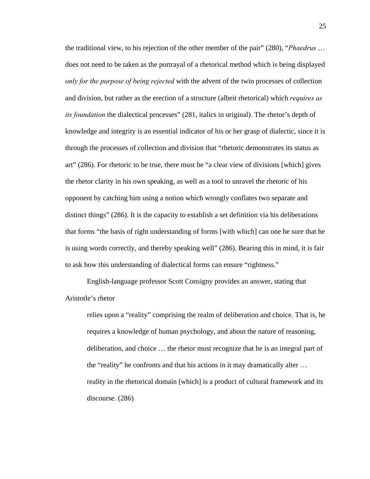the traditional view, to his rejection of the other member of the pair" (280), "*Phaedrus* … does not need to be taken as the portrayal of a rhetorical method which is being displayed *only for the purpose of being rejected* with the advent of the twin processes of collection and division, but rather as the erection of a structure (albeit rhetorical) which *requires as its foundation* the dialectical processes" (281, italics in original). The rhetor's depth of knowledge and integrity is an essential indicator of his or her grasp of dialectic, since it is through the processes of collection and division that "rhetoric demonstrates its status as art" (286). For rhetoric to be true, there must be "a clear view of divisions [which] gives the rhetor clarity in his own speaking, as well as a tool to unravel the rhetoric of his opponent by catching him using a notion which wrongly conflates two separate and distinct things" (286). It is the capacity to establish a set definition via his deliberations that forms "the basis of right understanding of forms [with which] can one be sure that he is using words correctly, and thereby speaking well" (286). Bearing this in mind, it is fair to ask how this understanding of dialectical forms can ensure "rightness."

 English-language professor Scott Consigny provides an answer, stating that Aristotle's rhetor

relies upon a "reality" comprising the realm of deliberation and choice. That is, he requires a knowledge of human psychology, and about the nature of reasoning, deliberation, and choice … the rhetor must recognize that he is an integral part of the "reality" he confronts and that his actions in it may dramatically alter … reality in the rhetorical domain [which] is a product of cultural framework and its discourse. (286)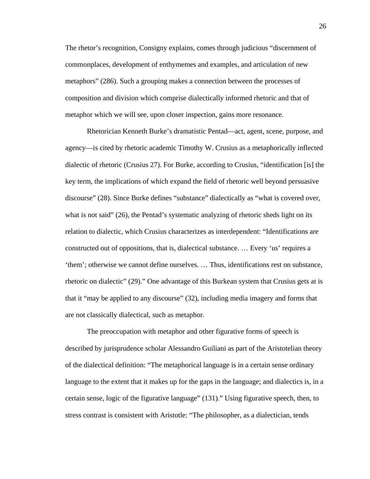The rhetor's recognition, Consigny explains, comes through judicious "discernment of commonplaces, development of enthymemes and examples, and articulation of new metaphors" (286). Such a grouping makes a connection between the processes of composition and division which comprise dialectically informed rhetoric and that of metaphor which we will see, upon closer inspection, gains more resonance.

 Rhetorician Kenneth Burke's dramatistic Pentad—act, agent, scene, purpose, and agency—is cited by rhetoric academic Timothy W. Crusius as a metaphorically inflected dialectic of rhetoric (Crusius 27). For Burke, according to Crusius, "identification [is] the key term, the implications of which expand the field of rhetoric well beyond persuasive discourse" (28). Since Burke defines "substance" dialectically as "what is covered over, what is not said" (26), the Pentad's systematic analyzing of rhetoric sheds light on its relation to dialectic, which Crusius characterizes as interdependent: "Identifications are constructed out of oppositions, that is, dialectical substance. … Every 'us' requires a 'them'; otherwise we cannot define ourselves. … Thus, identifications rest on substance, rhetoric on dialectic" (29)." One advantage of this Burkean system that Crusius gets at is that it "may be applied to any discourse" (32), including media imagery and forms that are not classically dialectical, such as metaphor.

 The preoccupation with metaphor and other figurative forms of speech is described by jurisprudence scholar Alessandro Guiliani as part of the Aristotelian theory of the dialectical definition: "The metaphorical language is in a certain sense ordinary language to the extent that it makes up for the gaps in the language; and dialectics is, in a certain sense, logic of the figurative language" (131)." Using figurative speech, then, to stress contrast is consistent with Aristotle: "The philosopher, as a dialectician, tends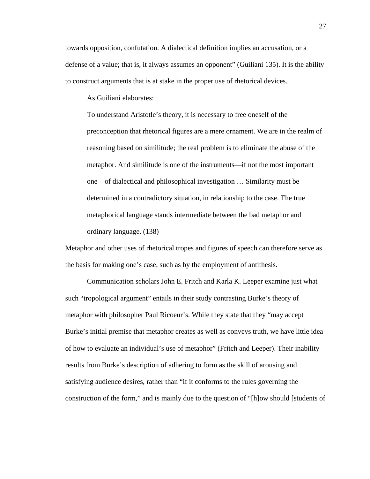towards opposition, confutation. A dialectical definition implies an accusation, or a defense of a value; that is, it always assumes an opponent" (Guiliani 135). It is the ability to construct arguments that is at stake in the proper use of rhetorical devices.

As Guiliani elaborates:

To understand Aristotle's theory, it is necessary to free oneself of the preconception that rhetorical figures are a mere ornament. We are in the realm of reasoning based on similitude; the real problem is to eliminate the abuse of the metaphor. And similitude is one of the instruments—if not the most important one—of dialectical and philosophical investigation … Similarity must be determined in a contradictory situation, in relationship to the case. The true metaphorical language stands intermediate between the bad metaphor and ordinary language. (138)

Metaphor and other uses of rhetorical tropes and figures of speech can therefore serve as the basis for making one's case, such as by the employment of antithesis.

Communication scholars John E. Fritch and Karla K. Leeper examine just what such "tropological argument" entails in their study contrasting Burke's theory of metaphor with philosopher Paul Ricoeur's. While they state that they "may accept Burke's initial premise that metaphor creates as well as conveys truth, we have little idea of how to evaluate an individual's use of metaphor" (Fritch and Leeper). Their inability results from Burke's description of adhering to form as the skill of arousing and satisfying audience desires, rather than "if it conforms to the rules governing the construction of the form," and is mainly due to the question of "[h]ow should [students of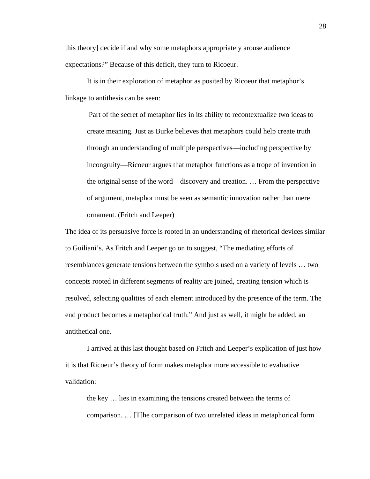this theory] decide if and why some metaphors appropriately arouse audience expectations?" Because of this deficit, they turn to Ricoeur.

It is in their exploration of metaphor as posited by Ricoeur that metaphor's linkage to antithesis can be seen:

 Part of the secret of metaphor lies in its ability to recontextualize two ideas to create meaning. Just as Burke believes that metaphors could help create truth through an understanding of multiple perspectives—including perspective by incongruity—Ricoeur argues that metaphor functions as a trope of invention in the original sense of the word—discovery and creation. … From the perspective of argument, metaphor must be seen as semantic innovation rather than mere ornament. (Fritch and Leeper)

The idea of its persuasive force is rooted in an understanding of rhetorical devices similar to Guiliani's. As Fritch and Leeper go on to suggest, "The mediating efforts of resemblances generate tensions between the symbols used on a variety of levels … two concepts rooted in different segments of reality are joined, creating tension which is resolved, selecting qualities of each element introduced by the presence of the term. The end product becomes a metaphorical truth." And just as well, it might be added, an antithetical one.

 I arrived at this last thought based on Fritch and Leeper's explication of just how it is that Ricoeur's theory of form makes metaphor more accessible to evaluative validation:

the key … lies in examining the tensions created between the terms of comparison. … [T]he comparison of two unrelated ideas in metaphorical form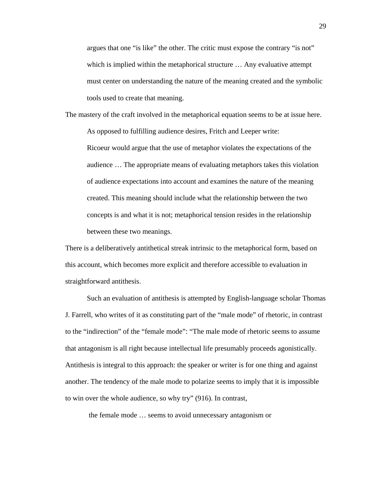argues that one "is like" the other. The critic must expose the contrary "is not" which is implied within the metaphorical structure  $\dots$  Any evaluative attempt must center on understanding the nature of the meaning created and the symbolic tools used to create that meaning.

The mastery of the craft involved in the metaphorical equation seems to be at issue here. As opposed to fulfilling audience desires, Fritch and Leeper write: Ricoeur would argue that the use of metaphor violates the expectations of the audience … The appropriate means of evaluating metaphors takes this violation of audience expectations into account and examines the nature of the meaning created. This meaning should include what the relationship between the two concepts is and what it is not; metaphorical tension resides in the relationship between these two meanings.

There is a deliberatively antithetical streak intrinsic to the metaphorical form, based on this account, which becomes more explicit and therefore accessible to evaluation in straightforward antithesis.

 Such an evaluation of antithesis is attempted by English-language scholar Thomas J. Farrell, who writes of it as constituting part of the "male mode" of rhetoric, in contrast to the "indirection" of the "female mode": "The male mode of rhetoric seems to assume that antagonism is all right because intellectual life presumably proceeds agonistically. Antithesis is integral to this approach: the speaker or writer is for one thing and against another. The tendency of the male mode to polarize seems to imply that it is impossible to win over the whole audience, so why try" (916). In contrast,

the female mode … seems to avoid unnecessary antagonism or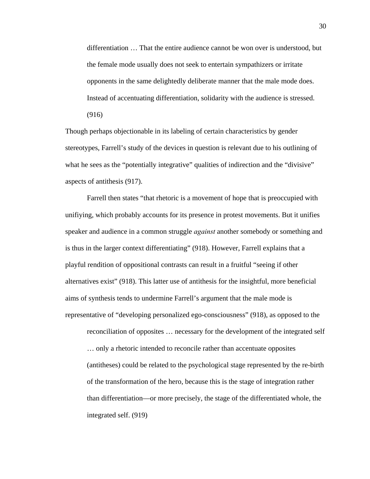differentiation … That the entire audience cannot be won over is understood, but the female mode usually does not seek to entertain sympathizers or irritate opponents in the same delightedly deliberate manner that the male mode does. Instead of accentuating differentiation, solidarity with the audience is stressed. (916)

Though perhaps objectionable in its labeling of certain characteristics by gender stereotypes, Farrell's study of the devices in question is relevant due to his outlining of what he sees as the "potentially integrative" qualities of indirection and the "divisive" aspects of antithesis (917).

Farrell then states "that rhetoric is a movement of hope that is preoccupied with unifiying, which probably accounts for its presence in protest movements. But it unifies speaker and audience in a common struggle *against* another somebody or something and is thus in the larger context differentiating" (918). However, Farrell explains that a playful rendition of oppositional contrasts can result in a fruitful "seeing if other alternatives exist" (918). This latter use of antithesis for the insightful, more beneficial aims of synthesis tends to undermine Farrell's argument that the male mode is representative of "developing personalized ego-consciousness" (918), as opposed to the

reconciliation of opposites … necessary for the development of the integrated self … only a rhetoric intended to reconcile rather than accentuate opposites (antitheses) could be related to the psychological stage represented by the re-birth of the transformation of the hero, because this is the stage of integration rather than differentiation—or more precisely, the stage of the differentiated whole, the integrated self. (919)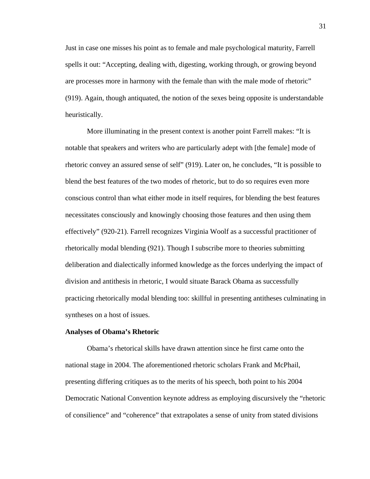Just in case one misses his point as to female and male psychological maturity, Farrell spells it out: "Accepting, dealing with, digesting, working through, or growing beyond are processes more in harmony with the female than with the male mode of rhetoric" (919). Again, though antiquated, the notion of the sexes being opposite is understandable heuristically.

 More illuminating in the present context is another point Farrell makes: "It is notable that speakers and writers who are particularly adept with [the female] mode of rhetoric convey an assured sense of self" (919). Later on, he concludes, "It is possible to blend the best features of the two modes of rhetoric, but to do so requires even more conscious control than what either mode in itself requires, for blending the best features necessitates consciously and knowingly choosing those features and then using them effectively" (920-21). Farrell recognizes Virginia Woolf as a successful practitioner of rhetorically modal blending (921). Though I subscribe more to theories submitting deliberation and dialectically informed knowledge as the forces underlying the impact of division and antithesis in rhetoric, I would situate Barack Obama as successfully practicing rhetorically modal blending too: skillful in presenting antitheses culminating in syntheses on a host of issues.

### **Analyses of Obama's Rhetoric**

 Obama's rhetorical skills have drawn attention since he first came onto the national stage in 2004. The aforementioned rhetoric scholars Frank and McPhail, presenting differing critiques as to the merits of his speech, both point to his 2004 Democratic National Convention keynote address as employing discursively the "rhetoric of consilience" and "coherence" that extrapolates a sense of unity from stated divisions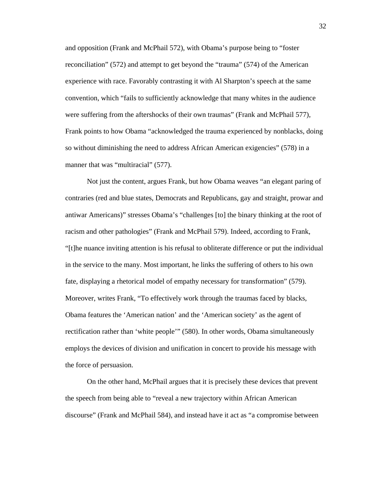and opposition (Frank and McPhail 572), with Obama's purpose being to "foster reconciliation" (572) and attempt to get beyond the "trauma" (574) of the American experience with race. Favorably contrasting it with Al Sharpton's speech at the same convention, which "fails to sufficiently acknowledge that many whites in the audience were suffering from the aftershocks of their own traumas" (Frank and McPhail 577), Frank points to how Obama "acknowledged the trauma experienced by nonblacks, doing so without diminishing the need to address African American exigencies" (578) in a manner that was "multiracial" (577).

 Not just the content, argues Frank, but how Obama weaves "an elegant paring of contraries (red and blue states, Democrats and Republicans, gay and straight, prowar and antiwar Americans)" stresses Obama's "challenges [to] the binary thinking at the root of racism and other pathologies" (Frank and McPhail 579). Indeed, according to Frank, "[t]he nuance inviting attention is his refusal to obliterate difference or put the individual in the service to the many. Most important, he links the suffering of others to his own fate, displaying a rhetorical model of empathy necessary for transformation" (579). Moreover, writes Frank, "To effectively work through the traumas faced by blacks, Obama features the 'American nation' and the 'American society' as the agent of rectification rather than 'white people'" (580). In other words, Obama simultaneously employs the devices of division and unification in concert to provide his message with the force of persuasion.

On the other hand, McPhail argues that it is precisely these devices that prevent the speech from being able to "reveal a new trajectory within African American discourse" (Frank and McPhail 584), and instead have it act as "a compromise between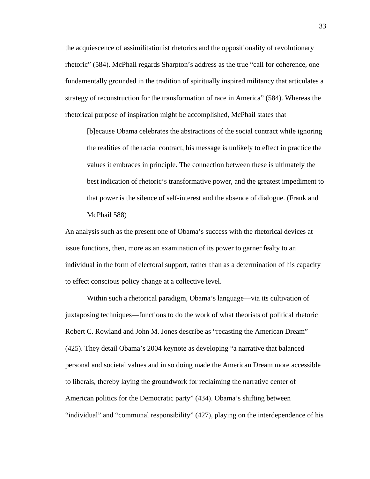the acquiescence of assimilitationist rhetorics and the oppositionality of revolutionary rhetoric" (584). McPhail regards Sharpton's address as the true "call for coherence, one fundamentally grounded in the tradition of spiritually inspired militancy that articulates a strategy of reconstruction for the transformation of race in America" (584). Whereas the rhetorical purpose of inspiration might be accomplished, McPhail states that

[b]ecause Obama celebrates the abstractions of the social contract while ignoring the realities of the racial contract, his message is unlikely to effect in practice the values it embraces in principle. The connection between these is ultimately the best indication of rhetoric's transformative power, and the greatest impediment to that power is the silence of self-interest and the absence of dialogue. (Frank and McPhail 588)

An analysis such as the present one of Obama's success with the rhetorical devices at issue functions, then, more as an examination of its power to garner fealty to an individual in the form of electoral support, rather than as a determination of his capacity to effect conscious policy change at a collective level.

 Within such a rhetorical paradigm, Obama's language—via its cultivation of juxtaposing techniques—functions to do the work of what theorists of political rhetoric Robert C. Rowland and John M. Jones describe as "recasting the American Dream" (425). They detail Obama's 2004 keynote as developing "a narrative that balanced personal and societal values and in so doing made the American Dream more accessible to liberals, thereby laying the groundwork for reclaiming the narrative center of American politics for the Democratic party" (434). Obama's shifting between "individual" and "communal responsibility" (427), playing on the interdependence of his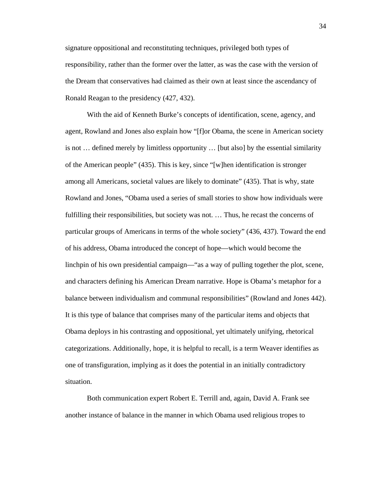signature oppositional and reconstituting techniques, privileged both types of responsibility, rather than the former over the latter, as was the case with the version of the Dream that conservatives had claimed as their own at least since the ascendancy of Ronald Reagan to the presidency (427, 432).

With the aid of Kenneth Burke's concepts of identification, scene, agency, and agent, Rowland and Jones also explain how "[f]or Obama, the scene in American society is not … defined merely by limitless opportunity … [but also] by the essential similarity of the American people" (435). This is key, since "[w]hen identification is stronger among all Americans, societal values are likely to dominate" (435). That is why, state Rowland and Jones, "Obama used a series of small stories to show how individuals were fulfilling their responsibilities, but society was not. … Thus, he recast the concerns of particular groups of Americans in terms of the whole society" (436, 437). Toward the end of his address, Obama introduced the concept of hope—which would become the linchpin of his own presidential campaign—"as a way of pulling together the plot, scene, and characters defining his American Dream narrative. Hope is Obama's metaphor for a balance between individualism and communal responsibilities" (Rowland and Jones 442). It is this type of balance that comprises many of the particular items and objects that Obama deploys in his contrasting and oppositional, yet ultimately unifying, rhetorical categorizations. Additionally, hope, it is helpful to recall, is a term Weaver identifies as one of transfiguration, implying as it does the potential in an initially contradictory situation.

Both communication expert Robert E. Terrill and, again, David A. Frank see another instance of balance in the manner in which Obama used religious tropes to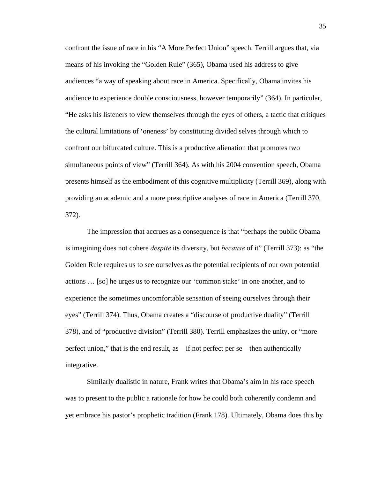confront the issue of race in his "A More Perfect Union" speech. Terrill argues that, via means of his invoking the "Golden Rule" (365), Obama used his address to give audiences "a way of speaking about race in America. Specifically, Obama invites his audience to experience double consciousness, however temporarily" (364). In particular, "He asks his listeners to view themselves through the eyes of others, a tactic that critiques the cultural limitations of 'oneness' by constituting divided selves through which to confront our bifurcated culture. This is a productive alienation that promotes two simultaneous points of view" (Terrill 364). As with his 2004 convention speech, Obama presents himself as the embodiment of this cognitive multiplicity (Terrill 369), along with providing an academic and a more prescriptive analyses of race in America (Terrill 370, 372).

The impression that accrues as a consequence is that "perhaps the public Obama is imagining does not cohere *despite* its diversity, but *because* of it" (Terrill 373): as "the Golden Rule requires us to see ourselves as the potential recipients of our own potential actions … [so] he urges us to recognize our 'common stake' in one another, and to experience the sometimes uncomfortable sensation of seeing ourselves through their eyes" (Terrill 374). Thus, Obama creates a "discourse of productive duality" (Terrill 378), and of "productive division" (Terrill 380). Terrill emphasizes the unity, or "more perfect union," that is the end result, as—if not perfect per se—then authentically integrative.

Similarly dualistic in nature, Frank writes that Obama's aim in his race speech was to present to the public a rationale for how he could both coherently condemn and yet embrace his pastor's prophetic tradition (Frank 178). Ultimately, Obama does this by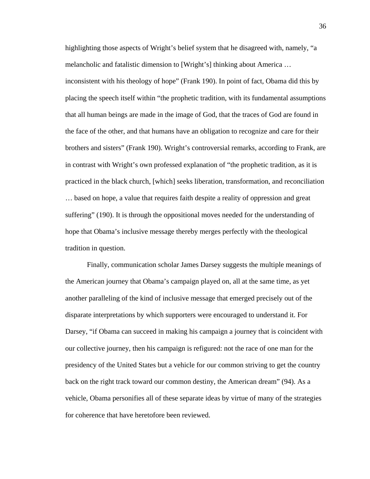highlighting those aspects of Wright's belief system that he disagreed with, namely, "a melancholic and fatalistic dimension to [Wright's] thinking about America … inconsistent with his theology of hope" (Frank 190). In point of fact, Obama did this by placing the speech itself within "the prophetic tradition, with its fundamental assumptions that all human beings are made in the image of God, that the traces of God are found in the face of the other, and that humans have an obligation to recognize and care for their brothers and sisters" (Frank 190). Wright's controversial remarks, according to Frank, are in contrast with Wright's own professed explanation of "the prophetic tradition, as it is practiced in the black church, [which] seeks liberation, transformation, and reconciliation … based on hope, a value that requires faith despite a reality of oppression and great suffering" (190). It is through the oppositional moves needed for the understanding of hope that Obama's inclusive message thereby merges perfectly with the theological

 Finally, communication scholar James Darsey suggests the multiple meanings of the American journey that Obama's campaign played on, all at the same time, as yet another paralleling of the kind of inclusive message that emerged precisely out of the disparate interpretations by which supporters were encouraged to understand it. For Darsey, "if Obama can succeed in making his campaign a journey that is coincident with our collective journey, then his campaign is refigured: not the race of one man for the presidency of the United States but a vehicle for our common striving to get the country back on the right track toward our common destiny, the American dream" (94). As a vehicle, Obama personifies all of these separate ideas by virtue of many of the strategies for coherence that have heretofore been reviewed.

tradition in question.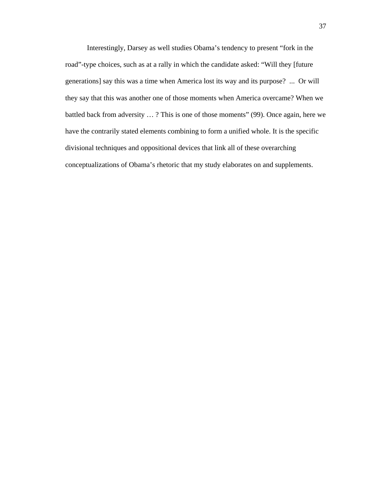Interestingly, Darsey as well studies Obama's tendency to present "fork in the road"-type choices, such as at a rally in which the candidate asked: "Will they [future generations] say this was a time when America lost its way and its purpose? ... Or will they say that this was another one of those moments when America overcame? When we battled back from adversity … ? This is one of those moments" (99). Once again, here we have the contrarily stated elements combining to form a unified whole. It is the specific divisional techniques and oppositional devices that link all of these overarching conceptualizations of Obama's rhetoric that my study elaborates on and supplements.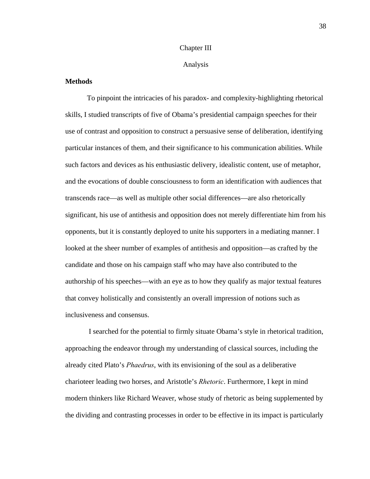# Chapter III

# Analysis

# **Methods**

 To pinpoint the intricacies of his paradox- and complexity-highlighting rhetorical skills, I studied transcripts of five of Obama's presidential campaign speeches for their use of contrast and opposition to construct a persuasive sense of deliberation, identifying particular instances of them, and their significance to his communication abilities. While such factors and devices as his enthusiastic delivery, idealistic content, use of metaphor, and the evocations of double consciousness to form an identification with audiences that transcends race—as well as multiple other social differences—are also rhetorically significant, his use of antithesis and opposition does not merely differentiate him from his opponents, but it is constantly deployed to unite his supporters in a mediating manner. I looked at the sheer number of examples of antithesis and opposition—as crafted by the candidate and those on his campaign staff who may have also contributed to the authorship of his speeches—with an eye as to how they qualify as major textual features that convey holistically and consistently an overall impression of notions such as inclusiveness and consensus.

 I searched for the potential to firmly situate Obama's style in rhetorical tradition, approaching the endeavor through my understanding of classical sources, including the already cited Plato's *Phaedrus*, with its envisioning of the soul as a deliberative charioteer leading two horses, and Aristotle's *Rhetoric*. Furthermore, I kept in mind modern thinkers like Richard Weaver, whose study of rhetoric as being supplemented by the dividing and contrasting processes in order to be effective in its impact is particularly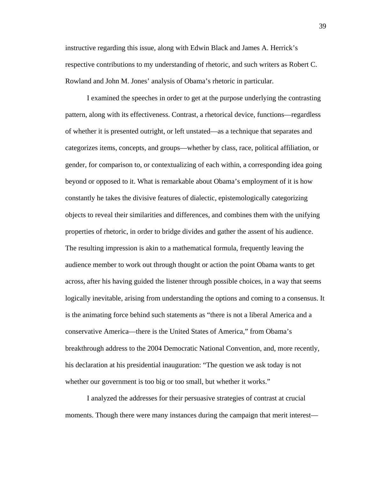instructive regarding this issue, along with Edwin Black and James A. Herrick's respective contributions to my understanding of rhetoric, and such writers as Robert C. Rowland and John M. Jones' analysis of Obama's rhetoric in particular.

I examined the speeches in order to get at the purpose underlying the contrasting pattern, along with its effectiveness. Contrast, a rhetorical device, functions—regardless of whether it is presented outright, or left unstated—as a technique that separates and categorizes items, concepts, and groups—whether by class, race, political affiliation, or gender, for comparison to, or contextualizing of each within, a corresponding idea going beyond or opposed to it. What is remarkable about Obama's employment of it is how constantly he takes the divisive features of dialectic, epistemologically categorizing objects to reveal their similarities and differences, and combines them with the unifying properties of rhetoric, in order to bridge divides and gather the assent of his audience. The resulting impression is akin to a mathematical formula, frequently leaving the audience member to work out through thought or action the point Obama wants to get across, after his having guided the listener through possible choices, in a way that seems logically inevitable, arising from understanding the options and coming to a consensus. It is the animating force behind such statements as "there is not a liberal America and a conservative America—there is the United States of America," from Obama's breakthrough address to the 2004 Democratic National Convention, and, more recently, his declaration at his presidential inauguration: "The question we ask today is not whether our government is too big or too small, but whether it works."

I analyzed the addresses for their persuasive strategies of contrast at crucial moments. Though there were many instances during the campaign that merit interest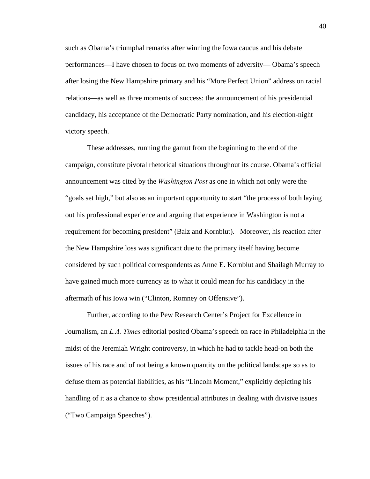such as Obama's triumphal remarks after winning the Iowa caucus and his debate performances—I have chosen to focus on two moments of adversity— Obama's speech after losing the New Hampshire primary and his "More Perfect Union" address on racial relations—as well as three moments of success: the announcement of his presidential candidacy, his acceptance of the Democratic Party nomination, and his election-night victory speech.

These addresses, running the gamut from the beginning to the end of the campaign, constitute pivotal rhetorical situations throughout its course. Obama's official announcement was cited by the *Washington Post* as one in which not only were the "goals set high," but also as an important opportunity to start "the process of both laying out his professional experience and arguing that experience in Washington is not a requirement for becoming president" (Balz and Kornblut). Moreover, his reaction after the New Hampshire loss was significant due to the primary itself having become considered by such political correspondents as Anne E. Kornblut and Shailagh Murray to have gained much more currency as to what it could mean for his candidacy in the aftermath of his Iowa win ("Clinton, Romney on Offensive").

Further, according to the Pew Research Center's Project for Excellence in Journalism, an *L.A. Times* editorial posited Obama's speech on race in Philadelphia in the midst of the Jeremiah Wright controversy, in which he had to tackle head-on both the issues of his race and of not being a known quantity on the political landscape so as to defuse them as potential liabilities, as his "Lincoln Moment," explicitly depicting his handling of it as a chance to show presidential attributes in dealing with divisive issues ("Two Campaign Speeches").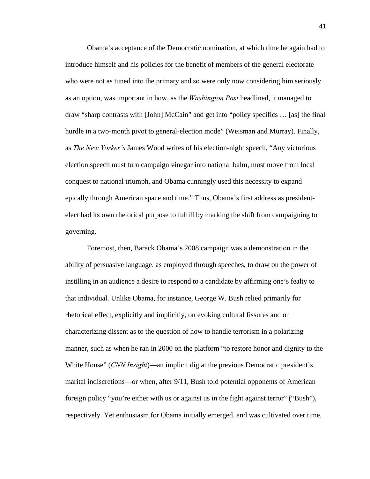Obama's acceptance of the Democratic nomination, at which time he again had to introduce himself and his policies for the benefit of members of the general electorate who were not as tuned into the primary and so were only now considering him seriously as an option, was important in how, as the *Washington Post* headlined, it managed to draw "sharp contrasts with [John] McCain" and get into "policy specifics … [as] the final hurdle in a two-month pivot to general-election mode" (Weisman and Murray). Finally, as *The New Yorker's* James Wood writes of his election-night speech, "Any victorious election speech must turn campaign vinegar into national balm, must move from local conquest to national triumph, and Obama cunningly used this necessity to expand epically through American space and time." Thus, Obama's first address as presidentelect had its own rhetorical purpose to fulfill by marking the shift from campaigning to governing.

 Foremost, then, Barack Obama's 2008 campaign was a demonstration in the ability of persuasive language, as employed through speeches, to draw on the power of instilling in an audience a desire to respond to a candidate by affirming one's fealty to that individual. Unlike Obama, for instance, George W. Bush relied primarily for rhetorical effect, explicitly and implicitly, on evoking cultural fissures and on characterizing dissent as to the question of how to handle terrorism in a polarizing manner, such as when he ran in 2000 on the platform "to restore honor and dignity to the White House" (*CNN Insight*)—an implicit dig at the previous Democratic president's marital indiscretions—or when, after 9/11, Bush told potential opponents of American foreign policy "you're either with us or against us in the fight against terror" ("Bush"), respectively. Yet enthusiasm for Obama initially emerged, and was cultivated over time,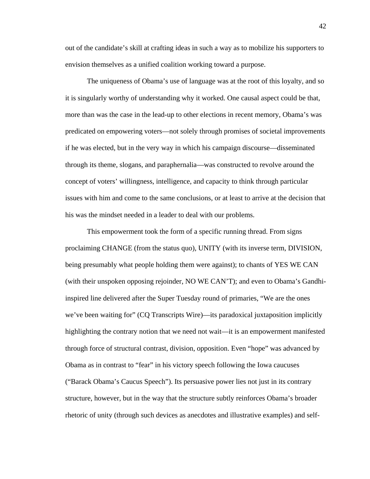out of the candidate's skill at crafting ideas in such a way as to mobilize his supporters to envision themselves as a unified coalition working toward a purpose.

 The uniqueness of Obama's use of language was at the root of this loyalty, and so it is singularly worthy of understanding why it worked. One causal aspect could be that, more than was the case in the lead-up to other elections in recent memory, Obama's was predicated on empowering voters—not solely through promises of societal improvements if he was elected, but in the very way in which his campaign discourse—disseminated through its theme, slogans, and paraphernalia—was constructed to revolve around the concept of voters' willingness, intelligence, and capacity to think through particular issues with him and come to the same conclusions, or at least to arrive at the decision that his was the mindset needed in a leader to deal with our problems.

This empowerment took the form of a specific running thread. From signs proclaiming CHANGE (from the status quo), UNITY (with its inverse term, DIVISION, being presumably what people holding them were against); to chants of YES WE CAN (with their unspoken opposing rejoinder, NO WE CAN'T); and even to Obama's Gandhiinspired line delivered after the Super Tuesday round of primaries, "We are the ones we've been waiting for" (CQ Transcripts Wire)—its paradoxical juxtaposition implicitly highlighting the contrary notion that we need not wait—it is an empowerment manifested through force of structural contrast, division, opposition. Even "hope" was advanced by Obama as in contrast to "fear" in his victory speech following the Iowa caucuses ("Barack Obama's Caucus Speech"). Its persuasive power lies not just in its contrary structure, however, but in the way that the structure subtly reinforces Obama's broader rhetoric of unity (through such devices as anecdotes and illustrative examples) and self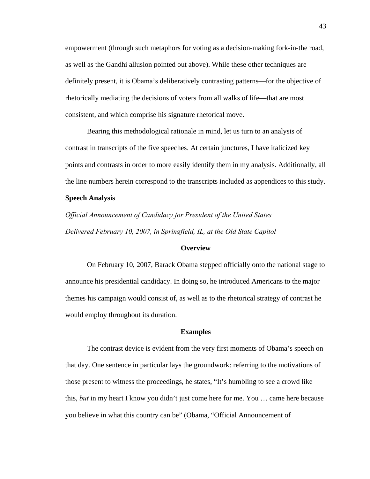empowerment (through such metaphors for voting as a decision-making fork-in-the road, as well as the Gandhi allusion pointed out above). While these other techniques are definitely present, it is Obama's deliberatively contrasting patterns—for the objective of rhetorically mediating the decisions of voters from all walks of life—that are most consistent, and which comprise his signature rhetorical move.

Bearing this methodological rationale in mind, let us turn to an analysis of contrast in transcripts of the five speeches. At certain junctures, I have italicized key points and contrasts in order to more easily identify them in my analysis. Additionally, all the line numbers herein correspond to the transcripts included as appendices to this study.

### **Speech Analysis**

*Official Announcement of Candidacy for President of the United States Delivered February 10, 2007, in Springfield, IL, at the Old State Capitol* 

## **Overview**

 On February 10, 2007, Barack Obama stepped officially onto the national stage to announce his presidential candidacy. In doing so, he introduced Americans to the major themes his campaign would consist of, as well as to the rhetorical strategy of contrast he would employ throughout its duration.

### **Examples**

 The contrast device is evident from the very first moments of Obama's speech on that day. One sentence in particular lays the groundwork: referring to the motivations of those present to witness the proceedings, he states, "It's humbling to see a crowd like this, *but* in my heart I know you didn't just come here for me. You … came here because you believe in what this country can be" (Obama, "Official Announcement of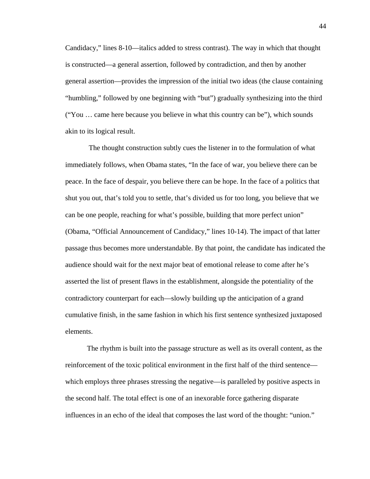Candidacy," lines 8-10—italics added to stress contrast). The way in which that thought is constructed—a general assertion, followed by contradiction, and then by another general assertion—provides the impression of the initial two ideas (the clause containing "humbling," followed by one beginning with "but") gradually synthesizing into the third ("You … came here because you believe in what this country can be"), which sounds akin to its logical result.

 The thought construction subtly cues the listener in to the formulation of what immediately follows, when Obama states, "In the face of war, you believe there can be peace. In the face of despair, you believe there can be hope. In the face of a politics that shut you out, that's told you to settle, that's divided us for too long, you believe that we can be one people, reaching for what's possible, building that more perfect union" (Obama, "Official Announcement of Candidacy," lines 10-14). The impact of that latter passage thus becomes more understandable. By that point, the candidate has indicated the audience should wait for the next major beat of emotional release to come after he's asserted the list of present flaws in the establishment, alongside the potentiality of the contradictory counterpart for each—slowly building up the anticipation of a grand cumulative finish, in the same fashion in which his first sentence synthesized juxtaposed elements.

The rhythm is built into the passage structure as well as its overall content, as the reinforcement of the toxic political environment in the first half of the third sentence which employs three phrases stressing the negative—is paralleled by positive aspects in the second half. The total effect is one of an inexorable force gathering disparate influences in an echo of the ideal that composes the last word of the thought: "union."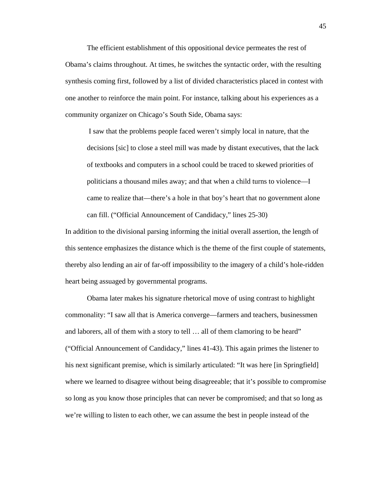The efficient establishment of this oppositional device permeates the rest of Obama's claims throughout. At times, he switches the syntactic order, with the resulting synthesis coming first, followed by a list of divided characteristics placed in contest with one another to reinforce the main point. For instance, talking about his experiences as a community organizer on Chicago's South Side, Obama says:

I saw that the problems people faced weren't simply local in nature, that the decisions [sic] to close a steel mill was made by distant executives, that the lack of textbooks and computers in a school could be traced to skewed priorities of politicians a thousand miles away; and that when a child turns to violence—I came to realize that—there's a hole in that boy's heart that no government alone can fill. ("Official Announcement of Candidacy," lines 25-30)

In addition to the divisional parsing informing the initial overall assertion, the length of this sentence emphasizes the distance which is the theme of the first couple of statements, thereby also lending an air of far-off impossibility to the imagery of a child's hole-ridden heart being assuaged by governmental programs.

 Obama later makes his signature rhetorical move of using contrast to highlight commonality: "I saw all that is America converge—farmers and teachers, businessmen and laborers, all of them with a story to tell … all of them clamoring to be heard" ("Official Announcement of Candidacy," lines 41-43). This again primes the listener to his next significant premise, which is similarly articulated: "It was here [in Springfield] where we learned to disagree without being disagreeable; that it's possible to compromise so long as you know those principles that can never be compromised; and that so long as we're willing to listen to each other, we can assume the best in people instead of the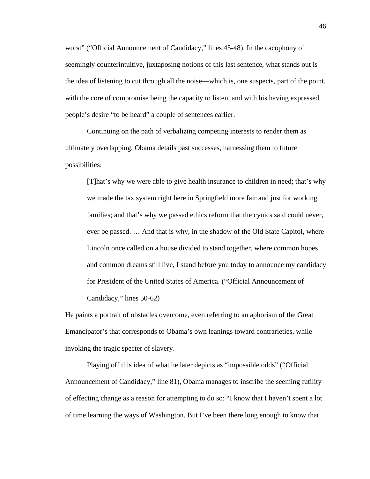worst" ("Official Announcement of Candidacy," lines 45-48). In the cacophony of seemingly counterintuitive, juxtaposing notions of this last sentence, what stands out is the idea of listening to cut through all the noise—which is, one suspects, part of the point, with the core of compromise being the capacity to listen, and with his having expressed people's desire "to be heard" a couple of sentences earlier.

 Continuing on the path of verbalizing competing interests to render them as ultimately overlapping, Obama details past successes, harnessing them to future possibilities:

[T]hat's why we were able to give health insurance to children in need; that's why we made the tax system right here in Springfield more fair and just for working families; and that's why we passed ethics reform that the cynics said could never, ever be passed. … And that is why, in the shadow of the Old State Capitol, where Lincoln once called on a house divided to stand together, where common hopes and common dreams still live, I stand before you today to announce my candidacy for President of the United States of America. ("Official Announcement of Candidacy," lines 50-62)

He paints a portrait of obstacles overcome, even referring to an aphorism of the Great Emancipator's that corresponds to Obama's own leanings toward contrarieties, while invoking the tragic specter of slavery.

 Playing off this idea of what he later depicts as "impossible odds" ("Official Announcement of Candidacy," line 81), Obama manages to inscribe the seeming futility of effecting change as a reason for attempting to do so: "I know that I haven't spent a lot of time learning the ways of Washington. But I've been there long enough to know that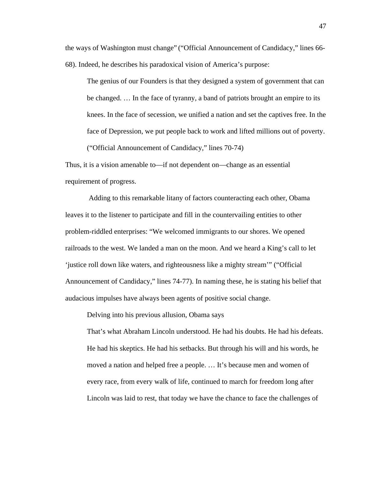the ways of Washington must change" ("Official Announcement of Candidacy," lines 66- 68). Indeed, he describes his paradoxical vision of America's purpose:

The genius of our Founders is that they designed a system of government that can be changed. … In the face of tyranny, a band of patriots brought an empire to its knees. In the face of secession, we unified a nation and set the captives free. In the face of Depression, we put people back to work and lifted millions out of poverty. ("Official Announcement of Candidacy," lines 70-74)

Thus, it is a vision amenable to—if not dependent on—change as an essential requirement of progress.

 Adding to this remarkable litany of factors counteracting each other, Obama leaves it to the listener to participate and fill in the countervailing entities to other problem-riddled enterprises: "We welcomed immigrants to our shores. We opened railroads to the west. We landed a man on the moon. And we heard a King's call to let 'justice roll down like waters, and righteousness like a mighty stream'" ("Official Announcement of Candidacy," lines 74-77). In naming these, he is stating his belief that audacious impulses have always been agents of positive social change.

Delving into his previous allusion, Obama says

That's what Abraham Lincoln understood. He had his doubts. He had his defeats. He had his skeptics. He had his setbacks. But through his will and his words, he moved a nation and helped free a people. … It's because men and women of every race, from every walk of life, continued to march for freedom long after Lincoln was laid to rest, that today we have the chance to face the challenges of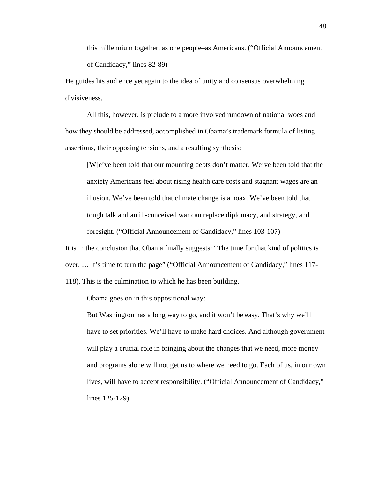this millennium together, as one people–as Americans. ("Official Announcement of Candidacy," lines 82-89)

He guides his audience yet again to the idea of unity and consensus overwhelming divisiveness.

All this, however, is prelude to a more involved rundown of national woes and how they should be addressed, accomplished in Obama's trademark formula of listing assertions, their opposing tensions, and a resulting synthesis:

[W]e've been told that our mounting debts don't matter. We've been told that the anxiety Americans feel about rising health care costs and stagnant wages are an illusion. We've been told that climate change is a hoax. We've been told that tough talk and an ill-conceived war can replace diplomacy, and strategy, and foresight. ("Official Announcement of Candidacy," lines 103-107)

It is in the conclusion that Obama finally suggests: "The time for that kind of politics is over. … It's time to turn the page" ("Official Announcement of Candidacy," lines 117-

118). This is the culmination to which he has been building.

Obama goes on in this oppositional way:

But Washington has a long way to go, and it won't be easy. That's why we'll have to set priorities. We'll have to make hard choices. And although government will play a crucial role in bringing about the changes that we need, more money and programs alone will not get us to where we need to go. Each of us, in our own lives, will have to accept responsibility. ("Official Announcement of Candidacy," lines 125-129)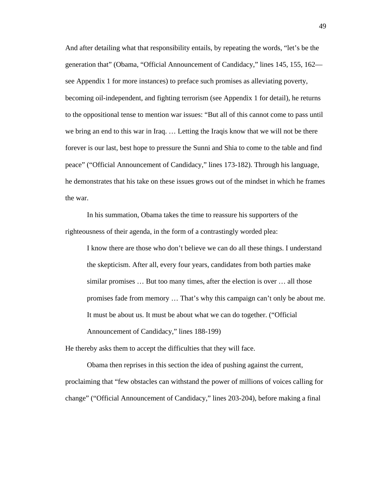And after detailing what that responsibility entails, by repeating the words, "let's be the generation that" (Obama, "Official Announcement of Candidacy," lines 145, 155, 162 see Appendix 1 for more instances) to preface such promises as alleviating poverty, becoming oil-independent, and fighting terrorism (see Appendix 1 for detail), he returns to the oppositional tense to mention war issues: "But all of this cannot come to pass until we bring an end to this war in Iraq. … Letting the Iraqis know that we will not be there forever is our last, best hope to pressure the Sunni and Shia to come to the table and find peace" ("Official Announcement of Candidacy," lines 173-182). Through his language, he demonstrates that his take on these issues grows out of the mindset in which he frames the war.

In his summation, Obama takes the time to reassure his supporters of the righteousness of their agenda, in the form of a contrastingly worded plea:

I know there are those who don't believe we can do all these things. I understand the skepticism. After all, every four years, candidates from both parties make similar promises … But too many times, after the election is over … all those promises fade from memory … That's why this campaign can't only be about me. It must be about us. It must be about what we can do together. ("Official Announcement of Candidacy," lines 188-199)

He thereby asks them to accept the difficulties that they will face.

Obama then reprises in this section the idea of pushing against the current, proclaiming that "few obstacles can withstand the power of millions of voices calling for change" ("Official Announcement of Candidacy," lines 203-204), before making a final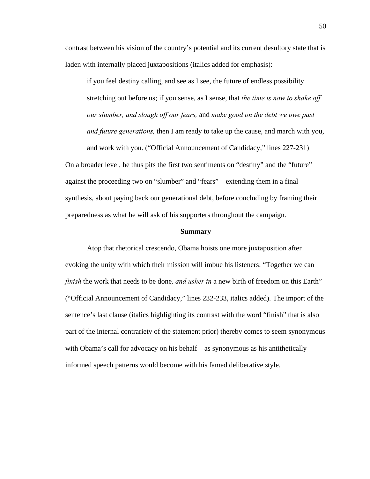contrast between his vision of the country's potential and its current desultory state that is laden with internally placed juxtapositions (italics added for emphasis):

if you feel destiny calling, and see as I see, the future of endless possibility stretching out before us; if you sense, as I sense, that *the time is now to shake off our slumber, and slough off our fears,* and *make good on the debt we owe past and future generations,* then I am ready to take up the cause, and march with you, and work with you. ("Official Announcement of Candidacy," lines 227-231)

On a broader level, he thus pits the first two sentiments on "destiny" and the "future" against the proceeding two on "slumber" and "fears"—extending them in a final synthesis, about paying back our generational debt, before concluding by framing their preparedness as what he will ask of his supporters throughout the campaign.

#### **Summary**

 Atop that rhetorical crescendo, Obama hoists one more juxtaposition after evoking the unity with which their mission will imbue his listeners: "Together we can *finish* the work that needs to be done*, and usher in* a new birth of freedom on this Earth" ("Official Announcement of Candidacy," lines 232-233, italics added). The import of the sentence's last clause (italics highlighting its contrast with the word "finish" that is also part of the internal contrariety of the statement prior) thereby comes to seem synonymous with Obama's call for advocacy on his behalf—as synonymous as his antithetically informed speech patterns would become with his famed deliberative style.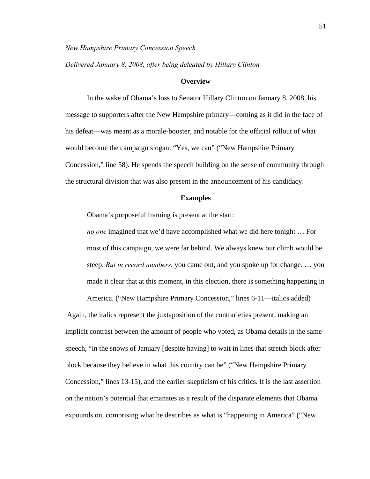# *New Hampshire Primary Concession Speech*

*Delivered January 8, 2008, after being defeated by Hillary Clinton* 

# **Overview**

 In the wake of Obama's loss to Senator Hillary Clinton on January 8, 2008, his message to supporters after the New Hampshire primary—coming as it did in the face of his defeat—was meant as a morale-booster, and notable for the official rollout of what would become the campaign slogan: "Yes, we can" ("New Hampshire Primary Concession," line 58). He spends the speech building on the sense of community through the structural division that was also present in the announcement of his candidacy.

## **Examples**

Obama's purposeful framing is present at the start:

*no one* imagined that we'd have accomplished what we did here tonight … For most of this campaign, we were far behind. We always knew our climb would be steep. *But in record numbers*, you came out, and you spoke up for change. … you made it clear that at this moment, in this election, there is something happening in

America. ("New Hampshire Primary Concession," lines 6-11—italics added)

 Again, the italics represent the juxtaposition of the contrarieties present, making an implicit contrast between the amount of people who voted, as Obama details in the same speech, "in the snows of January [despite having] to wait in lines that stretch block after block because they believe in what this country can be" ("New Hampshire Primary Concession," lines 13-15), and the earlier skepticism of his critics. It is the last assertion on the nation's potential that emanates as a result of the disparate elements that Obama expounds on, comprising what he describes as what is "happening in America" ("New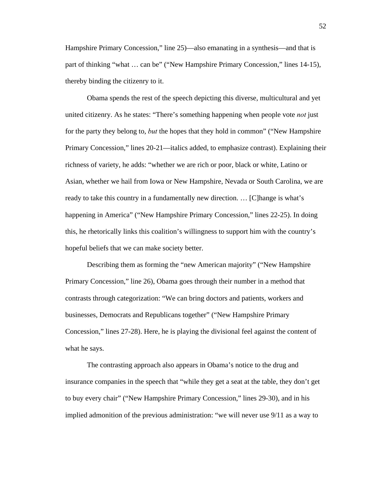Hampshire Primary Concession," line 25)—also emanating in a synthesis—and that is part of thinking "what … can be" ("New Hampshire Primary Concession," lines 14-15), thereby binding the citizenry to it.

 Obama spends the rest of the speech depicting this diverse, multicultural and yet united citizenry. As he states: "There's something happening when people vote *not* just for the party they belong to, *but* the hopes that they hold in common" ("New Hampshire Primary Concession," lines 20-21—italics added, to emphasize contrast). Explaining their richness of variety, he adds: "whether we are rich or poor, black or white, Latino or Asian, whether we hail from Iowa or New Hampshire, Nevada or South Carolina, we are ready to take this country in a fundamentally new direction. … [C]hange is what's happening in America" ("New Hampshire Primary Concession," lines 22-25). In doing this, he rhetorically links this coalition's willingness to support him with the country's hopeful beliefs that we can make society better.

Describing them as forming the "new American majority" ("New Hampshire Primary Concession," line 26), Obama goes through their number in a method that contrasts through categorization: "We can bring doctors and patients, workers and businesses, Democrats and Republicans together" ("New Hampshire Primary Concession," lines 27-28). Here, he is playing the divisional feel against the content of what he says.

The contrasting approach also appears in Obama's notice to the drug and insurance companies in the speech that "while they get a seat at the table, they don't get to buy every chair" ("New Hampshire Primary Concession," lines 29-30), and in his implied admonition of the previous administration: "we will never use 9/11 as a way to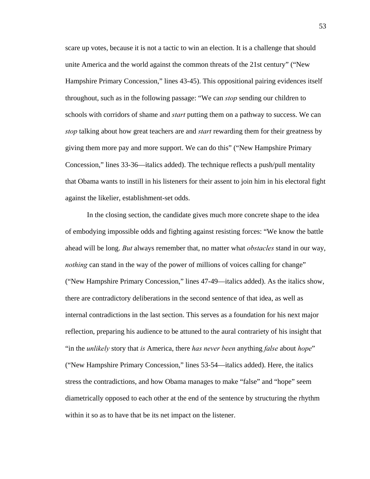scare up votes, because it is not a tactic to win an election. It is a challenge that should unite America and the world against the common threats of the 21st century" ("New Hampshire Primary Concession," lines 43-45). This oppositional pairing evidences itself throughout, such as in the following passage: "We can *stop* sending our children to schools with corridors of shame and *start* putting them on a pathway to success. We can *stop* talking about how great teachers are and *start* rewarding them for their greatness by giving them more pay and more support. We can do this" ("New Hampshire Primary Concession," lines 33-36—italics added). The technique reflects a push/pull mentality that Obama wants to instill in his listeners for their assent to join him in his electoral fight against the likelier, establishment-set odds.

 In the closing section, the candidate gives much more concrete shape to the idea of embodying impossible odds and fighting against resisting forces: "We know the battle ahead will be long. *But* always remember that, no matter what *obstacles* stand in our way, *nothing* can stand in the way of the power of millions of voices calling for change" ("New Hampshire Primary Concession," lines 47-49—italics added). As the italics show, there are contradictory deliberations in the second sentence of that idea, as well as internal contradictions in the last section. This serves as a foundation for his next major reflection, preparing his audience to be attuned to the aural contrariety of his insight that "in the *unlikely* story that *is* America, there *has never been* anything *false* about *hope*" ("New Hampshire Primary Concession," lines 53-54—italics added). Here, the italics stress the contradictions, and how Obama manages to make "false" and "hope" seem diametrically opposed to each other at the end of the sentence by structuring the rhythm within it so as to have that be its net impact on the listener.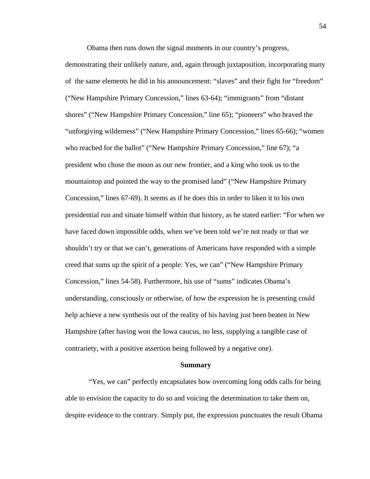Obama then runs down the signal moments in our country's progress,

demonstrating their unlikely nature, and, again through juxtaposition, incorporating many of the same elements he did in his announcement: "slaves" and their fight for "freedom" ("New Hampshire Primary Concession," lines 63-64); "immigrants" from "distant shores" ("New Hampshire Primary Concession," line 65); "pioneers" who braved the "unforgiving wilderness" ("New Hampshire Primary Concession," lines 65-66); "women who reached for the ballot" ("New Hampshire Primary Concession," line 67); "a president who chose the moon as our new frontier, and a king who took us to the mountaintop and pointed the way to the promised land" ("New Hampshire Primary Concession," lines 67-69). It seems as if he does this in order to liken it to his own presidential run and situate himself within that history, as he stated earlier: "For when we have faced down impossible odds, when we've been told we're not ready or that we shouldn't try or that we can't, generations of Americans have responded with a simple creed that sums up the spirit of a people: Yes, we can" ("New Hampshire Primary Concession," lines 54-58). Furthermore, his use of "sums" indicates Obama's understanding, consciously or otherwise, of how the expression he is presenting could help achieve a new synthesis out of the reality of his having just been beaten in New Hampshire (after having won the Iowa caucus, no less, supplying a tangible case of contrariety, with a positive assertion being followed by a negative one).

## **Summary**

 "Yes, we can" perfectly encapsulates how overcoming long odds calls for being able to envision the capacity to do so and voicing the determination to take them on, despite evidence to the contrary. Simply put, the expression punctuates the result Obama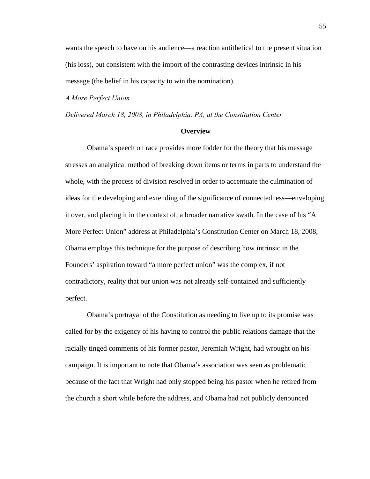wants the speech to have on his audience—a reaction antithetical to the present situation (his loss), but consistent with the import of the contrasting devices intrinsic in his message (the belief in his capacity to win the nomination).

*A More Perfect Union* 

*Delivered March 18, 2008, in Philadelphia, PA, at the Constitution Center* 

## **Overview**

 Obama's speech on race provides more fodder for the theory that his message stresses an analytical method of breaking down items or terms in parts to understand the whole, with the process of division resolved in order to accentuate the culmination of ideas for the developing and extending of the significance of connectedness—enveloping it over, and placing it in the context of, a broader narrative swath. In the case of his "A More Perfect Union" address at Philadelphia's Constitution Center on March 18, 2008, Obama employs this technique for the purpose of describing how intrinsic in the Founders' aspiration toward "a more perfect union" was the complex, if not contradictory, reality that our union was not already self-contained and sufficiently perfect.

 Obama's portrayal of the Constitution as needing to live up to its promise was called for by the exigency of his having to control the public relations damage that the racially tinged comments of his former pastor, Jeremiah Wright, had wrought on his campaign. It is important to note that Obama's association was seen as problematic because of the fact that Wright had only stopped being his pastor when he retired from the church a short while before the address, and Obama had not publicly denounced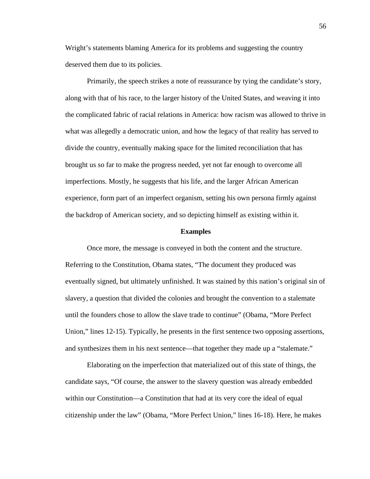Wright's statements blaming America for its problems and suggesting the country deserved them due to its policies.

Primarily, the speech strikes a note of reassurance by tying the candidate's story, along with that of his race, to the larger history of the United States, and weaving it into the complicated fabric of racial relations in America: how racism was allowed to thrive in what was allegedly a democratic union, and how the legacy of that reality has served to divide the country, eventually making space for the limited reconciliation that has brought us so far to make the progress needed, yet not far enough to overcome all imperfections. Mostly, he suggests that his life, and the larger African American experience, form part of an imperfect organism, setting his own persona firmly against the backdrop of American society, and so depicting himself as existing within it.

#### **Examples**

 Once more, the message is conveyed in both the content and the structure. Referring to the Constitution, Obama states, "The document they produced was eventually signed, but ultimately unfinished. It was stained by this nation's original sin of slavery, a question that divided the colonies and brought the convention to a stalemate until the founders chose to allow the slave trade to continue" (Obama, "More Perfect Union," lines 12-15). Typically, he presents in the first sentence two opposing assertions, and synthesizes them in his next sentence—that together they made up a "stalemate."

 Elaborating on the imperfection that materialized out of this state of things, the candidate says, "Of course, the answer to the slavery question was already embedded within our Constitution—a Constitution that had at its very core the ideal of equal citizenship under the law" (Obama, "More Perfect Union," lines 16-18). Here, he makes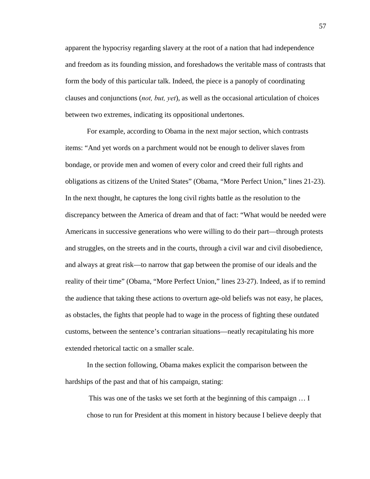apparent the hypocrisy regarding slavery at the root of a nation that had independence and freedom as its founding mission, and foreshadows the veritable mass of contrasts that form the body of this particular talk. Indeed, the piece is a panoply of coordinating clauses and conjunctions (*not, but, yet*), as well as the occasional articulation of choices between two extremes, indicating its oppositional undertones.

 For example, according to Obama in the next major section, which contrasts items: "And yet words on a parchment would not be enough to deliver slaves from bondage, or provide men and women of every color and creed their full rights and obligations as citizens of the United States" (Obama, "More Perfect Union," lines 21-23). In the next thought, he captures the long civil rights battle as the resolution to the discrepancy between the America of dream and that of fact: "What would be needed were Americans in successive generations who were willing to do their part—through protests and struggles, on the streets and in the courts, through a civil war and civil disobedience, and always at great risk—to narrow that gap between the promise of our ideals and the reality of their time" (Obama, "More Perfect Union," lines 23-27). Indeed, as if to remind the audience that taking these actions to overturn age-old beliefs was not easy, he places, as obstacles, the fights that people had to wage in the process of fighting these outdated customs, between the sentence's contrarian situations—neatly recapitulating his more extended rhetorical tactic on a smaller scale.

 In the section following, Obama makes explicit the comparison between the hardships of the past and that of his campaign, stating:

This was one of the tasks we set forth at the beginning of this campaign … I chose to run for President at this moment in history because I believe deeply that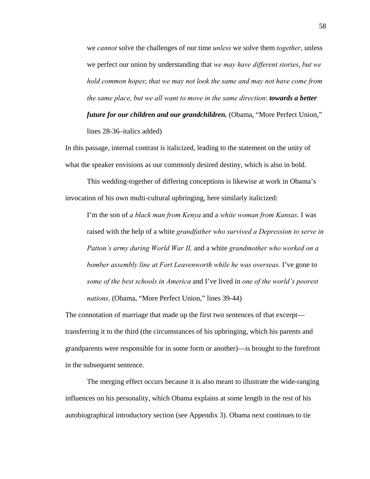we *cannot* solve the challenges of our time *unless* we solve them *together*, unless we perfect our union by understanding that *we may have different stories*, *but we hold common hopes*; *that we may not look the same and may not have come from the same place, but we all want to move in the same direction*: *towards a better future for our children and our grandchildren.* (Obama, "More Perfect Union," lines 28-36–italics added)

In this passage, internal contrast is italicized, leading to the statement on the unity of what the speaker envisions as our commonly desired destiny, which is also in bold.

 This wedding-together of differing conceptions is likewise at work in Obama's invocation of his own multi-cultural upbringing, here similarly italicized:

I'm the son of *a black man from Kenya* and a *white woman from Kansas*. I was raised with the help of a white *grandfather who survived a Depression to serve in Patton's army during World War II,* and a white *grandmother who worked on a bomber assembly line at Fort Leavenworth while he was overseas.* I've gone to *some of the best schools in America* and I've lived in *one of the world's poorest nations*. (Obama, "More Perfect Union," lines 39-44)

The connotation of marriage that made up the first two sentences of that excerpt transferring it to the third (the circumstances of his upbringing, which his parents and grandparents were responsible for in some form or another)—is brought to the forefront in the subsequent sentence.

The merging effect occurs because it is also meant to illustrate the wide-ranging influences on his personality, which Obama explains at some length in the rest of his autobiographical introductory section (see Appendix 3). Obama next continues to tie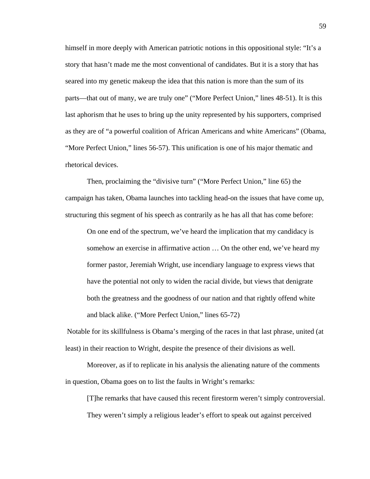himself in more deeply with American patriotic notions in this oppositional style: "It's a story that hasn't made me the most conventional of candidates. But it is a story that has seared into my genetic makeup the idea that this nation is more than the sum of its parts—that out of many, we are truly one" ("More Perfect Union," lines 48-51). It is this last aphorism that he uses to bring up the unity represented by his supporters, comprised as they are of "a powerful coalition of African Americans and white Americans" (Obama, "More Perfect Union," lines 56-57). This unification is one of his major thematic and rhetorical devices.

 Then, proclaiming the "divisive turn" ("More Perfect Union," line 65) the campaign has taken, Obama launches into tackling head-on the issues that have come up, structuring this segment of his speech as contrarily as he has all that has come before:

On one end of the spectrum, we've heard the implication that my candidacy is somehow an exercise in affirmative action … On the other end, we've heard my former pastor, Jeremiah Wright, use incendiary language to express views that have the potential not only to widen the racial divide, but views that denigrate both the greatness and the goodness of our nation and that rightly offend white and black alike. ("More Perfect Union," lines 65-72)

 Notable for its skillfulness is Obama's merging of the races in that last phrase, united (at least) in their reaction to Wright, despite the presence of their divisions as well.

 Moreover, as if to replicate in his analysis the alienating nature of the comments in question, Obama goes on to list the faults in Wright's remarks:

[T]he remarks that have caused this recent firestorm weren't simply controversial. They weren't simply a religious leader's effort to speak out against perceived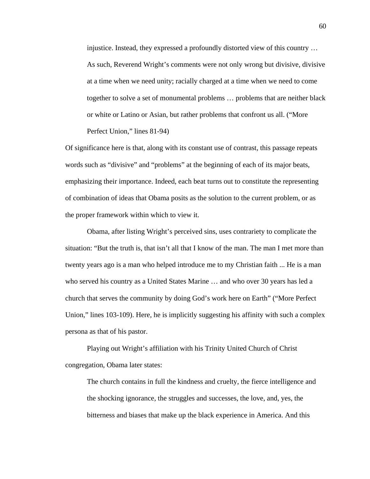injustice. Instead, they expressed a profoundly distorted view of this country … As such, Reverend Wright's comments were not only wrong but divisive, divisive at a time when we need unity; racially charged at a time when we need to come together to solve a set of monumental problems … problems that are neither black or white or Latino or Asian, but rather problems that confront us all. ("More Perfect Union," lines 81-94)

Of significance here is that, along with its constant use of contrast, this passage repeats words such as "divisive" and "problems" at the beginning of each of its major beats, emphasizing their importance. Indeed, each beat turns out to constitute the representing of combination of ideas that Obama posits as the solution to the current problem, or as the proper framework within which to view it.

 Obama, after listing Wright's perceived sins, uses contrariety to complicate the situation: "But the truth is, that isn't all that I know of the man. The man I met more than twenty years ago is a man who helped introduce me to my Christian faith ... He is a man who served his country as a United States Marine … and who over 30 years has led a church that serves the community by doing God's work here on Earth" ("More Perfect Union," lines 103-109). Here, he is implicitly suggesting his affinity with such a complex persona as that of his pastor.

Playing out Wright's affiliation with his Trinity United Church of Christ congregation, Obama later states:

The church contains in full the kindness and cruelty, the fierce intelligence and the shocking ignorance, the struggles and successes, the love, and, yes, the bitterness and biases that make up the black experience in America. And this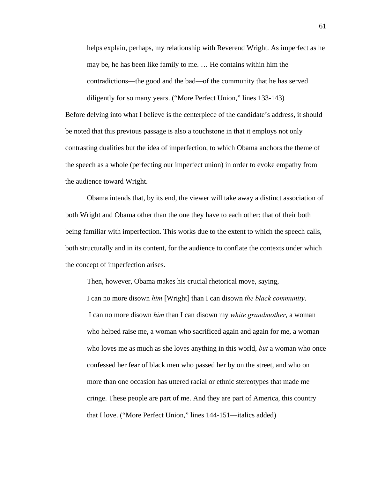helps explain, perhaps, my relationship with Reverend Wright. As imperfect as he may be, he has been like family to me. … He contains within him the contradictions—the good and the bad—of the community that he has served

diligently for so many years. ("More Perfect Union," lines 133-143) Before delving into what I believe is the centerpiece of the candidate's address, it should be noted that this previous passage is also a touchstone in that it employs not only contrasting dualities but the idea of imperfection, to which Obama anchors the theme of the speech as a whole (perfecting our imperfect union) in order to evoke empathy from the audience toward Wright.

Obama intends that, by its end, the viewer will take away a distinct association of both Wright and Obama other than the one they have to each other: that of their both being familiar with imperfection. This works due to the extent to which the speech calls, both structurally and in its content, for the audience to conflate the contexts under which the concept of imperfection arises.

Then, however, Obama makes his crucial rhetorical move, saying,

I can no more disown *him* [Wright] than I can disown *the black community*. I can no more disown *him* than I can disown my *white grandmother*, a woman who helped raise me, a woman who sacrificed again and again for me, a woman who loves me as much as she loves anything in this world, *but* a woman who once confessed her fear of black men who passed her by on the street, and who on more than one occasion has uttered racial or ethnic stereotypes that made me cringe. These people are part of me. And they are part of America, this country that I love. ("More Perfect Union," lines 144-151—italics added)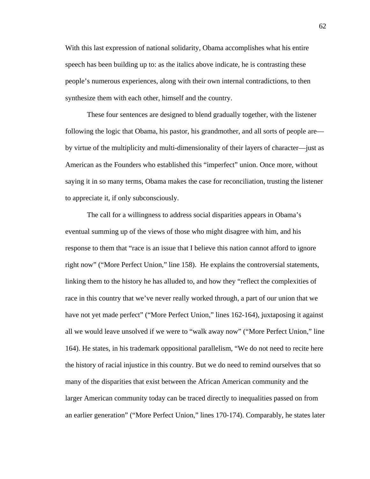With this last expression of national solidarity, Obama accomplishes what his entire speech has been building up to: as the italics above indicate, he is contrasting these people's numerous experiences, along with their own internal contradictions, to then synthesize them with each other, himself and the country.

These four sentences are designed to blend gradually together, with the listener following the logic that Obama, his pastor, his grandmother, and all sorts of people are by virtue of the multiplicity and multi-dimensionality of their layers of character—just as American as the Founders who established this "imperfect" union. Once more, without saying it in so many terms, Obama makes the case for reconciliation, trusting the listener to appreciate it, if only subconsciously.

 The call for a willingness to address social disparities appears in Obama's eventual summing up of the views of those who might disagree with him, and his response to them that "race is an issue that I believe this nation cannot afford to ignore right now" ("More Perfect Union," line 158). He explains the controversial statements, linking them to the history he has alluded to, and how they "reflect the complexities of race in this country that we've never really worked through, a part of our union that we have not yet made perfect" ("More Perfect Union," lines 162-164), juxtaposing it against all we would leave unsolved if we were to "walk away now" ("More Perfect Union," line 164). He states, in his trademark oppositional parallelism, "We do not need to recite here the history of racial injustice in this country. But we do need to remind ourselves that so many of the disparities that exist between the African American community and the larger American community today can be traced directly to inequalities passed on from an earlier generation" ("More Perfect Union," lines 170-174). Comparably, he states later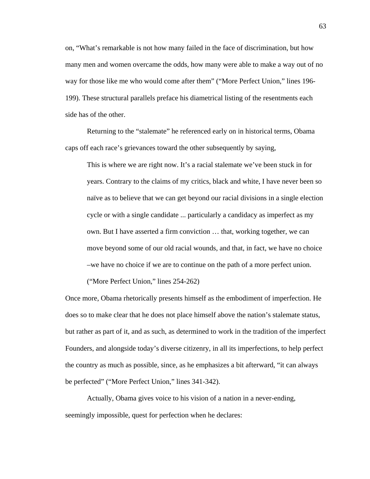on, "What's remarkable is not how many failed in the face of discrimination, but how many men and women overcame the odds, how many were able to make a way out of no way for those like me who would come after them" ("More Perfect Union," lines 196- 199). These structural parallels preface his diametrical listing of the resentments each side has of the other.

 Returning to the "stalemate" he referenced early on in historical terms, Obama caps off each race's grievances toward the other subsequently by saying,

This is where we are right now. It's a racial stalemate we've been stuck in for years. Contrary to the claims of my critics, black and white, I have never been so naïve as to believe that we can get beyond our racial divisions in a single election cycle or with a single candidate ... particularly a candidacy as imperfect as my own. But I have asserted a firm conviction … that, working together, we can move beyond some of our old racial wounds, and that, in fact, we have no choice –we have no choice if we are to continue on the path of a more perfect union.

("More Perfect Union," lines 254-262)

Once more, Obama rhetorically presents himself as the embodiment of imperfection. He does so to make clear that he does not place himself above the nation's stalemate status, but rather as part of it, and as such, as determined to work in the tradition of the imperfect Founders, and alongside today's diverse citizenry, in all its imperfections, to help perfect the country as much as possible, since, as he emphasizes a bit afterward, "it can always be perfected" ("More Perfect Union," lines 341-342).

 Actually, Obama gives voice to his vision of a nation in a never-ending, seemingly impossible, quest for perfection when he declares: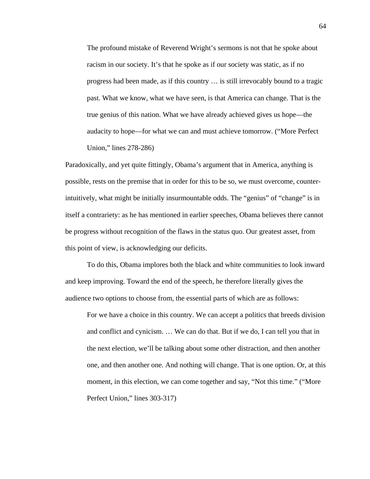The profound mistake of Reverend Wright's sermons is not that he spoke about racism in our society. It's that he spoke as if our society was static, as if no progress had been made, as if this country … is still irrevocably bound to a tragic past. What we know, what we have seen, is that America can change. That is the true genius of this nation. What we have already achieved gives us hope—the audacity to hope—for what we can and must achieve tomorrow. ("More Perfect Union," lines 278-286)

Paradoxically, and yet quite fittingly, Obama's argument that in America, anything is possible, rests on the premise that in order for this to be so, we must overcome, counterintuitively, what might be initially insurmountable odds. The "genius" of "change" is in itself a contrariety: as he has mentioned in earlier speeches, Obama believes there cannot be progress without recognition of the flaws in the status quo. Our greatest asset, from this point of view, is acknowledging our deficits.

 To do this, Obama implores both the black and white communities to look inward and keep improving. Toward the end of the speech, he therefore literally gives the audience two options to choose from, the essential parts of which are as follows:

For we have a choice in this country. We can accept a politics that breeds division and conflict and cynicism. … We can do that. But if we do, I can tell you that in the next election, we'll be talking about some other distraction, and then another one, and then another one. And nothing will change. That is one option. Or, at this moment, in this election, we can come together and say, "Not this time." ("More Perfect Union," lines 303-317)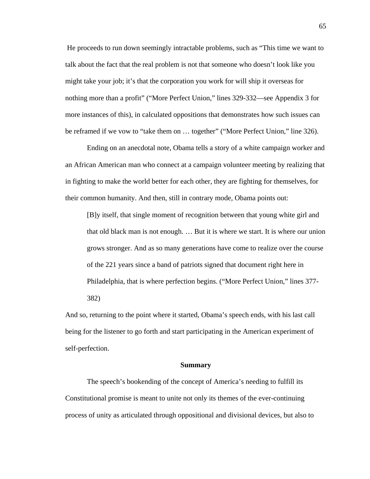He proceeds to run down seemingly intractable problems, such as "This time we want to talk about the fact that the real problem is not that someone who doesn't look like you might take your job; it's that the corporation you work for will ship it overseas for nothing more than a profit" ("More Perfect Union," lines 329-332—see Appendix 3 for more instances of this), in calculated oppositions that demonstrates how such issues can be reframed if we vow to "take them on … together" ("More Perfect Union," line 326).

 Ending on an anecdotal note, Obama tells a story of a white campaign worker and an African American man who connect at a campaign volunteer meeting by realizing that in fighting to make the world better for each other, they are fighting for themselves, for their common humanity. And then, still in contrary mode, Obama points out:

[B]y itself, that single moment of recognition between that young white girl and that old black man is not enough. … But it is where we start. It is where our union grows stronger. And as so many generations have come to realize over the course of the 221 years since a band of patriots signed that document right here in Philadelphia, that is where perfection begins. ("More Perfect Union," lines 377- 382)

And so, returning to the point where it started, Obama's speech ends, with his last call being for the listener to go forth and start participating in the American experiment of self-perfection.

## **Summary**

The speech's bookending of the concept of America's needing to fulfill its Constitutional promise is meant to unite not only its themes of the ever-continuing process of unity as articulated through oppositional and divisional devices, but also to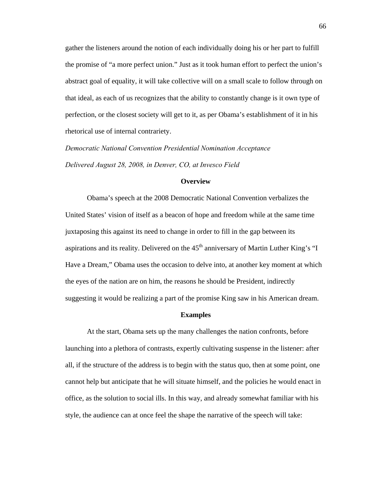gather the listeners around the notion of each individually doing his or her part to fulfill the promise of "a more perfect union." Just as it took human effort to perfect the union's abstract goal of equality, it will take collective will on a small scale to follow through on that ideal, as each of us recognizes that the ability to constantly change is it own type of perfection, or the closest society will get to it, as per Obama's establishment of it in his rhetorical use of internal contrariety.

*Democratic National Convention Presidential Nomination Acceptance Delivered August 28, 2008, in Denver, CO, at Invesco Field* 

### **Overview**

 Obama's speech at the 2008 Democratic National Convention verbalizes the United States' vision of itself as a beacon of hope and freedom while at the same time juxtaposing this against its need to change in order to fill in the gap between its aspirations and its reality. Delivered on the  $45<sup>th</sup>$  anniversary of Martin Luther King's "I Have a Dream," Obama uses the occasion to delve into, at another key moment at which the eyes of the nation are on him, the reasons he should be President, indirectly suggesting it would be realizing a part of the promise King saw in his American dream.

#### **Examples**

 At the start, Obama sets up the many challenges the nation confronts, before launching into a plethora of contrasts, expertly cultivating suspense in the listener: after all, if the structure of the address is to begin with the status quo, then at some point, one cannot help but anticipate that he will situate himself, and the policies he would enact in office, as the solution to social ills. In this way, and already somewhat familiar with his style, the audience can at once feel the shape the narrative of the speech will take: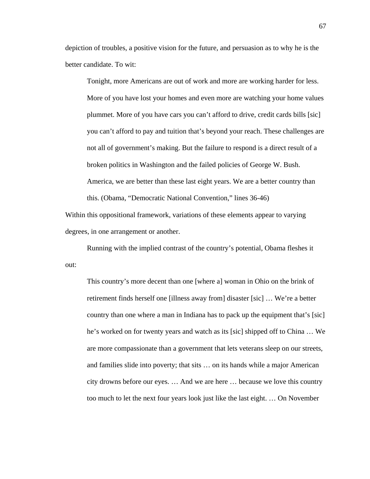depiction of troubles, a positive vision for the future, and persuasion as to why he is the better candidate. To wit:

Tonight, more Americans are out of work and more are working harder for less. More of you have lost your homes and even more are watching your home values plummet. More of you have cars you can't afford to drive, credit cards bills [sic] you can't afford to pay and tuition that's beyond your reach. These challenges are not all of government's making. But the failure to respond is a direct result of a broken politics in Washington and the failed policies of George W. Bush. America, we are better than these last eight years. We are a better country than this. (Obama, "Democratic National Convention," lines 36-46)

Within this oppositional framework, variations of these elements appear to varying degrees, in one arrangement or another.

Running with the implied contrast of the country's potential, Obama fleshes it out:

This country's more decent than one [where a] woman in Ohio on the brink of retirement finds herself one [illness away from] disaster [sic] … We're a better country than one where a man in Indiana has to pack up the equipment that's [sic] he's worked on for twenty years and watch as its [sic] shipped off to China … We are more compassionate than a government that lets veterans sleep on our streets, and families slide into poverty; that sits … on its hands while a major American city drowns before our eyes. … And we are here … because we love this country too much to let the next four years look just like the last eight. … On November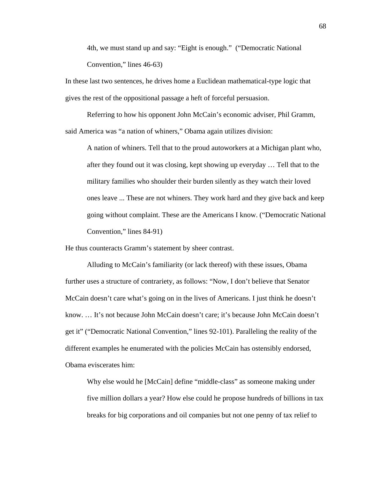4th, we must stand up and say: "Eight is enough." ("Democratic National Convention," lines 46-63)

In these last two sentences, he drives home a Euclidean mathematical-type logic that gives the rest of the oppositional passage a heft of forceful persuasion.

 Referring to how his opponent John McCain's economic adviser, Phil Gramm, said America was "a nation of whiners," Obama again utilizes division:

A nation of whiners. Tell that to the proud autoworkers at a Michigan plant who, after they found out it was closing, kept showing up everyday … Tell that to the military families who shoulder their burden silently as they watch their loved ones leave ... These are not whiners. They work hard and they give back and keep going without complaint. These are the Americans I know. ("Democratic National Convention," lines 84-91)

He thus counteracts Gramm's statement by sheer contrast.

 Alluding to McCain's familiarity (or lack thereof) with these issues, Obama further uses a structure of contrariety, as follows: "Now, I don't believe that Senator McCain doesn't care what's going on in the lives of Americans. I just think he doesn't know. … It's not because John McCain doesn't care; it's because John McCain doesn't get it" ("Democratic National Convention," lines 92-101). Paralleling the reality of the different examples he enumerated with the policies McCain has ostensibly endorsed, Obama eviscerates him:

Why else would he [McCain] define "middle-class" as someone making under five million dollars a year? How else could he propose hundreds of billions in tax breaks for big corporations and oil companies but not one penny of tax relief to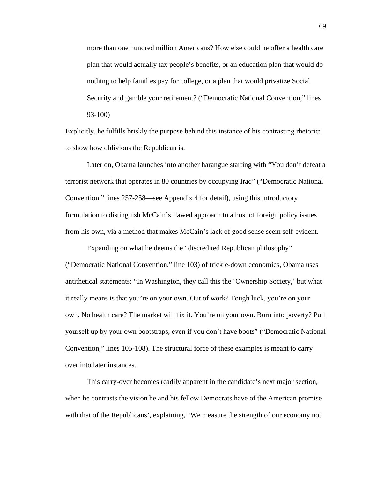more than one hundred million Americans? How else could he offer a health care plan that would actually tax people's benefits, or an education plan that would do nothing to help families pay for college, or a plan that would privatize Social Security and gamble your retirement? ("Democratic National Convention," lines 93-100)

Explicitly, he fulfills briskly the purpose behind this instance of his contrasting rhetoric: to show how oblivious the Republican is.

Later on, Obama launches into another harangue starting with "You don't defeat a terrorist network that operates in 80 countries by occupying Iraq" ("Democratic National Convention," lines 257-258—see Appendix 4 for detail), using this introductory formulation to distinguish McCain's flawed approach to a host of foreign policy issues from his own, via a method that makes McCain's lack of good sense seem self-evident.

Expanding on what he deems the "discredited Republican philosophy" ("Democratic National Convention," line 103) of trickle-down economics, Obama uses antithetical statements: "In Washington, they call this the 'Ownership Society,' but what it really means is that you're on your own. Out of work? Tough luck, you're on your own. No health care? The market will fix it. You're on your own. Born into poverty? Pull yourself up by your own bootstraps, even if you don't have boots" ("Democratic National Convention," lines 105-108). The structural force of these examples is meant to carry over into later instances.

This carry-over becomes readily apparent in the candidate's next major section, when he contrasts the vision he and his fellow Democrats have of the American promise with that of the Republicans', explaining, "We measure the strength of our economy not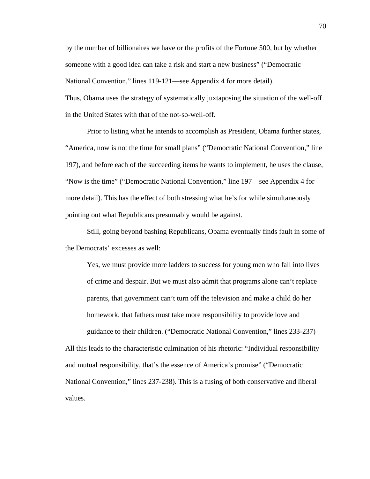by the number of billionaires we have or the profits of the Fortune 500, but by whether someone with a good idea can take a risk and start a new business" ("Democratic National Convention," lines 119-121—see Appendix 4 for more detail). Thus, Obama uses the strategy of systematically juxtaposing the situation of the well-off in the United States with that of the not-so-well-off.

 Prior to listing what he intends to accomplish as President, Obama further states, "America, now is not the time for small plans" ("Democratic National Convention," line 197), and before each of the succeeding items he wants to implement, he uses the clause, "Now is the time" ("Democratic National Convention," line 197—see Appendix 4 for more detail). This has the effect of both stressing what he's for while simultaneously pointing out what Republicans presumably would be against.

Still, going beyond bashing Republicans, Obama eventually finds fault in some of the Democrats' excesses as well:

Yes, we must provide more ladders to success for young men who fall into lives of crime and despair. But we must also admit that programs alone can't replace parents, that government can't turn off the television and make a child do her homework, that fathers must take more responsibility to provide love and guidance to their children. ("Democratic National Convention," lines 233-237)

All this leads to the characteristic culmination of his rhetoric: "Individual responsibility and mutual responsibility, that's the essence of America's promise" ("Democratic National Convention," lines 237-238). This is a fusing of both conservative and liberal values.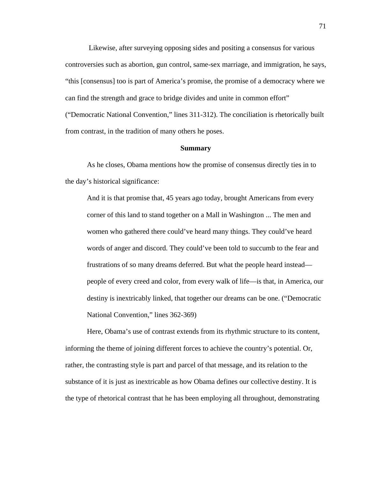Likewise, after surveying opposing sides and positing a consensus for various controversies such as abortion, gun control, same-sex marriage, and immigration, he says, "this [consensus] too is part of America's promise, the promise of a democracy where we can find the strength and grace to bridge divides and unite in common effort" ("Democratic National Convention," lines 311-312). The conciliation is rhetorically built from contrast, in the tradition of many others he poses.

#### **Summary**

As he closes, Obama mentions how the promise of consensus directly ties in to the day's historical significance:

And it is that promise that, 45 years ago today, brought Americans from every corner of this land to stand together on a Mall in Washington ... The men and women who gathered there could've heard many things. They could've heard words of anger and discord. They could've been told to succumb to the fear and frustrations of so many dreams deferred. But what the people heard instead people of every creed and color, from every walk of life—is that, in America, our destiny is inextricably linked, that together our dreams can be one. ("Democratic National Convention," lines 362-369)

Here, Obama's use of contrast extends from its rhythmic structure to its content, informing the theme of joining different forces to achieve the country's potential. Or, rather, the contrasting style is part and parcel of that message, and its relation to the substance of it is just as inextricable as how Obama defines our collective destiny. It is the type of rhetorical contrast that he has been employing all throughout, demonstrating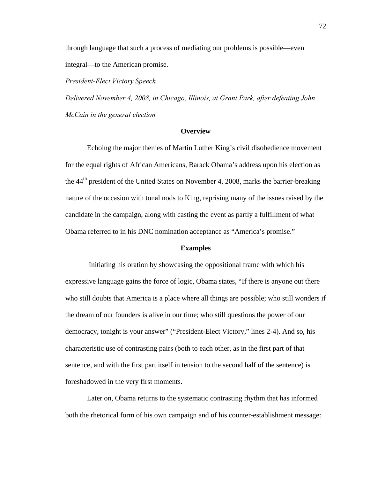through language that such a process of mediating our problems is possible—even integral—to the American promise.

*President-Elect Victory Speech* 

*Delivered November 4, 2008, in Chicago, Illinois, at Grant Park, after defeating John McCain in the general election* 

## **Overview**

Echoing the major themes of Martin Luther King's civil disobedience movement for the equal rights of African Americans, Barack Obama's address upon his election as the 44<sup>th</sup> president of the United States on November 4, 2008, marks the barrier-breaking nature of the occasion with tonal nods to King, reprising many of the issues raised by the candidate in the campaign, along with casting the event as partly a fulfillment of what Obama referred to in his DNC nomination acceptance as "America's promise."

#### **Examples**

 Initiating his oration by showcasing the oppositional frame with which his expressive language gains the force of logic, Obama states, "If there is anyone out there who still doubts that America is a place where all things are possible; who still wonders if the dream of our founders is alive in our time; who still questions the power of our democracy, tonight is your answer" ("President-Elect Victory," lines 2-4). And so, his characteristic use of contrasting pairs (both to each other, as in the first part of that sentence, and with the first part itself in tension to the second half of the sentence) is foreshadowed in the very first moments.

 Later on, Obama returns to the systematic contrasting rhythm that has informed both the rhetorical form of his own campaign and of his counter-establishment message: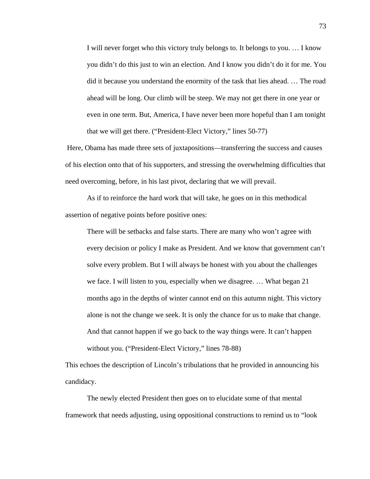I will never forget who this victory truly belongs to. It belongs to you. … I know you didn't do this just to win an election. And I know you didn't do it for me. You did it because you understand the enormity of the task that lies ahead. … The road ahead will be long. Our climb will be steep. We may not get there in one year or even in one term. But, America, I have never been more hopeful than I am tonight that we will get there. ("President-Elect Victory," lines 50-77)

 Here, Obama has made three sets of juxtapositions—transferring the success and causes of his election onto that of his supporters, and stressing the overwhelming difficulties that need overcoming, before, in his last pivot, declaring that we will prevail.

 As if to reinforce the hard work that will take, he goes on in this methodical assertion of negative points before positive ones:

There will be setbacks and false starts. There are many who won't agree with every decision or policy I make as President. And we know that government can't solve every problem. But I will always be honest with you about the challenges we face. I will listen to you, especially when we disagree. … What began 21 months ago in the depths of winter cannot end on this autumn night. This victory alone is not the change we seek. It is only the chance for us to make that change. And that cannot happen if we go back to the way things were. It can't happen without you. ("President-Elect Victory," lines 78-88)

This echoes the description of Lincoln's tribulations that he provided in announcing his candidacy.

The newly elected President then goes on to elucidate some of that mental framework that needs adjusting, using oppositional constructions to remind us to "look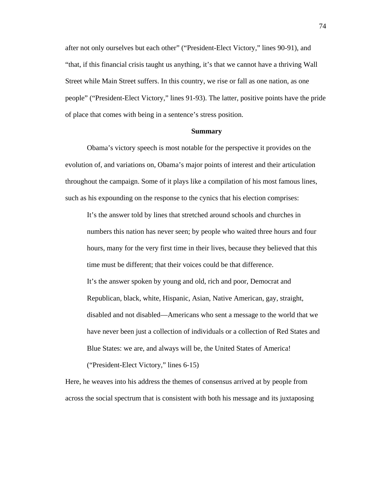after not only ourselves but each other" ("President-Elect Victory," lines 90-91), and "that, if this financial crisis taught us anything, it's that we cannot have a thriving Wall Street while Main Street suffers. In this country, we rise or fall as one nation, as one people" ("President-Elect Victory," lines 91-93). The latter, positive points have the pride of place that comes with being in a sentence's stress position.

### **Summary**

Obama's victory speech is most notable for the perspective it provides on the evolution of, and variations on, Obama's major points of interest and their articulation throughout the campaign. Some of it plays like a compilation of his most famous lines, such as his expounding on the response to the cynics that his election comprises:

It's the answer told by lines that stretched around schools and churches in numbers this nation has never seen; by people who waited three hours and four hours, many for the very first time in their lives, because they believed that this time must be different; that their voices could be that difference. It's the answer spoken by young and old, rich and poor, Democrat and Republican, black, white, Hispanic, Asian, Native American, gay, straight, disabled and not disabled—Americans who sent a message to the world that we have never been just a collection of individuals or a collection of Red States and Blue States: we are, and always will be, the United States of America!

("President-Elect Victory," lines 6-15)

Here, he weaves into his address the themes of consensus arrived at by people from across the social spectrum that is consistent with both his message and its juxtaposing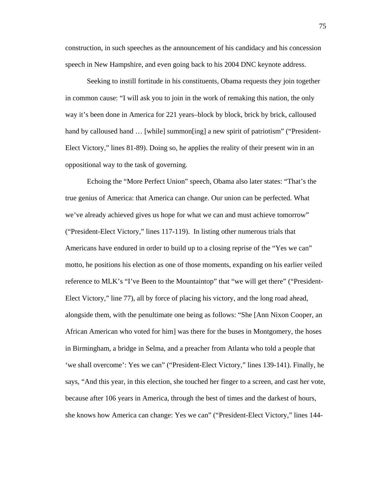construction, in such speeches as the announcement of his candidacy and his concession speech in New Hampshire, and even going back to his 2004 DNC keynote address.

Seeking to instill fortitude in his constituents, Obama requests they join together in common cause: "I will ask you to join in the work of remaking this nation, the only way it's been done in America for 221 years–block by block, brick by brick, calloused hand by calloused hand ... [while] summon[ing] a new spirit of patriotism" ("President-Elect Victory," lines 81-89). Doing so, he applies the reality of their present win in an oppositional way to the task of governing.

Echoing the "More Perfect Union" speech, Obama also later states: "That's the true genius of America: that America can change. Our union can be perfected. What we've already achieved gives us hope for what we can and must achieve tomorrow" ("President-Elect Victory," lines 117-119). In listing other numerous trials that Americans have endured in order to build up to a closing reprise of the "Yes we can" motto, he positions his election as one of those moments, expanding on his earlier veiled reference to MLK's "I've Been to the Mountaintop" that "we will get there" ("President-Elect Victory," line 77), all by force of placing his victory, and the long road ahead, alongside them, with the penultimate one being as follows: "She [Ann Nixon Cooper, an African American who voted for him] was there for the buses in Montgomery, the hoses in Birmingham, a bridge in Selma, and a preacher from Atlanta who told a people that 'we shall overcome': Yes we can" ("President-Elect Victory," lines 139-141). Finally, he says, "And this year, in this election, she touched her finger to a screen, and cast her vote, because after 106 years in America, through the best of times and the darkest of hours, she knows how America can change: Yes we can" ("President-Elect Victory," lines 144-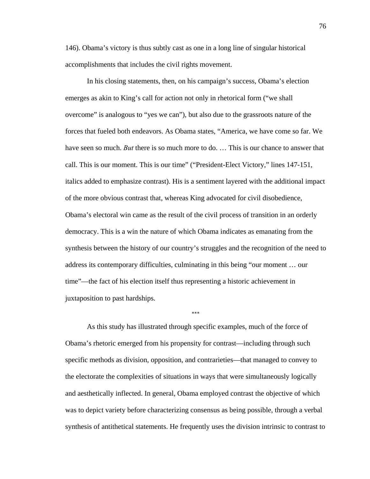146). Obama's victory is thus subtly cast as one in a long line of singular historical accomplishments that includes the civil rights movement.

In his closing statements, then, on his campaign's success, Obama's election emerges as akin to King's call for action not only in rhetorical form ("we shall overcome" is analogous to "yes we can"), but also due to the grassroots nature of the forces that fueled both endeavors. As Obama states, "America, we have come so far. We have seen so much. *But* there is so much more to do. … This is our chance to answer that call. This is our moment. This is our time" ("President-Elect Victory," lines 147-151, italics added to emphasize contrast). His is a sentiment layered with the additional impact of the more obvious contrast that, whereas King advocated for civil disobedience, Obama's electoral win came as the result of the civil process of transition in an orderly democracy. This is a win the nature of which Obama indicates as emanating from the synthesis between the history of our country's struggles and the recognition of the need to address its contemporary difficulties, culminating in this being "our moment … our time"—the fact of his election itself thus representing a historic achievement in juxtaposition to past hardships.

As this study has illustrated through specific examples, much of the force of Obama's rhetoric emerged from his propensity for contrast—including through such specific methods as division, opposition, and contrarieties—that managed to convey to the electorate the complexities of situations in ways that were simultaneously logically and aesthetically inflected. In general, Obama employed contrast the objective of which was to depict variety before characterizing consensus as being possible, through a verbal synthesis of antithetical statements. He frequently uses the division intrinsic to contrast to

\*\*\*

76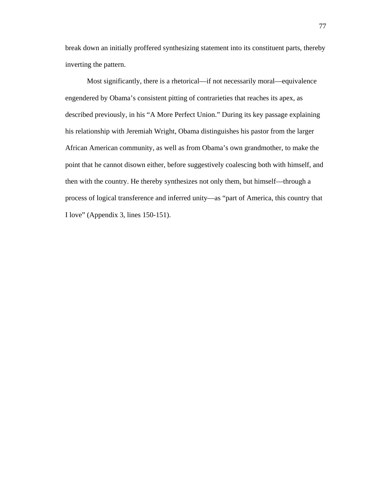break down an initially proffered synthesizing statement into its constituent parts, thereby inverting the pattern.

Most significantly, there is a rhetorical—if not necessarily moral—equivalence engendered by Obama's consistent pitting of contrarieties that reaches its apex, as described previously, in his "A More Perfect Union." During its key passage explaining his relationship with Jeremiah Wright, Obama distinguishes his pastor from the larger African American community, as well as from Obama's own grandmother, to make the point that he cannot disown either, before suggestively coalescing both with himself, and then with the country. He thereby synthesizes not only them, but himself—through a process of logical transference and inferred unity—as "part of America, this country that I love" (Appendix 3, lines 150-151).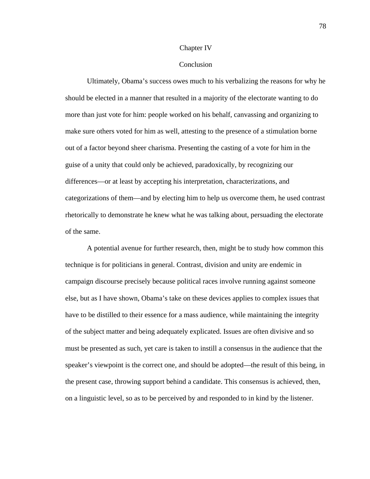#### Chapter IV

### Conclusion

Ultimately, Obama's success owes much to his verbalizing the reasons for why he should be elected in a manner that resulted in a majority of the electorate wanting to do more than just vote for him: people worked on his behalf, canvassing and organizing to make sure others voted for him as well, attesting to the presence of a stimulation borne out of a factor beyond sheer charisma. Presenting the casting of a vote for him in the guise of a unity that could only be achieved, paradoxically, by recognizing our differences—or at least by accepting his interpretation, characterizations, and categorizations of them—and by electing him to help us overcome them, he used contrast rhetorically to demonstrate he knew what he was talking about, persuading the electorate of the same.

A potential avenue for further research, then, might be to study how common this technique is for politicians in general. Contrast, division and unity are endemic in campaign discourse precisely because political races involve running against someone else, but as I have shown, Obama's take on these devices applies to complex issues that have to be distilled to their essence for a mass audience, while maintaining the integrity of the subject matter and being adequately explicated. Issues are often divisive and so must be presented as such, yet care is taken to instill a consensus in the audience that the speaker's viewpoint is the correct one, and should be adopted—the result of this being, in the present case, throwing support behind a candidate. This consensus is achieved, then, on a linguistic level, so as to be perceived by and responded to in kind by the listener.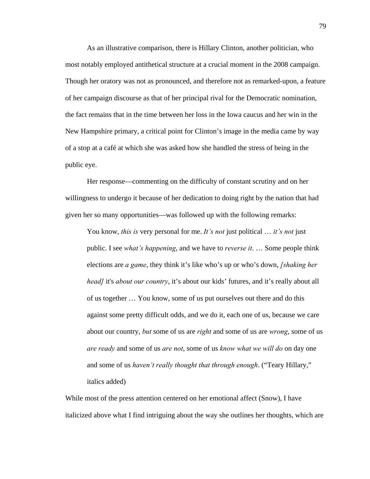As an illustrative comparison, there is Hillary Clinton, another politician, who most notably employed antithetical structure at a crucial moment in the 2008 campaign. Though her oratory was not as pronounced, and therefore not as remarked-upon, a feature of her campaign discourse as that of her principal rival for the Democratic nomination, the fact remains that in the time between her loss in the Iowa caucus and her win in the New Hampshire primary, a critical point for Clinton's image in the media came by way of a stop at a café at which she was asked how she handled the stress of being in the public eye.

Her response—commenting on the difficulty of constant scrutiny and on her willingness to undergo it because of her dedication to doing right by the nation that had given her so many opportunities—was followed up with the following remarks:

You know, *this is* very personal for me. *It's not* just political … *it's not* just public. I see *what's happening*, and we have to *reverse it*. … Some people think elections are *a game*, they think it's like who's up or who's down, *[shaking her head]* it's *about our country*, it's about our kids' futures, and it's really about all of us together … You know, some of us put ourselves out there and do this against some pretty difficult odds, and we do it, each one of us, because we care about our country, *but* some of us are *right* and some of us are *wrong*, some of us *are ready* and some of us *are not*, some of us *know what we will do* on day one and some of us *haven't really thought that through enough*. ("Teary Hillary," italics added)

While most of the press attention centered on her emotional affect (Snow), I have italicized above what I find intriguing about the way she outlines her thoughts, which are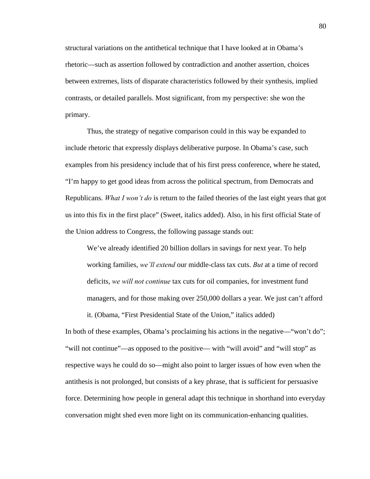structural variations on the antithetical technique that I have looked at in Obama's rhetoric—such as assertion followed by contradiction and another assertion, choices between extremes, lists of disparate characteristics followed by their synthesis, implied contrasts, or detailed parallels. Most significant, from my perspective: she won the primary.

Thus, the strategy of negative comparison could in this way be expanded to include rhetoric that expressly displays deliberative purpose. In Obama's case, such examples from his presidency include that of his first press conference, where he stated, "I'm happy to get good ideas from across the political spectrum, from Democrats and Republicans. *What I won't do* is return to the failed theories of the last eight years that got us into this fix in the first place" (Sweet, italics added). Also, in his first official State of the Union address to Congress, the following passage stands out:

We've already identified 20 billion dollars in savings for next year. To help working families, *we'll extend* our middle-class tax cuts. *But* at a time of record deficits, *we will not continue* tax cuts for oil companies, for investment fund managers, and for those making over 250,000 dollars a year. We just can't afford it. (Obama, "First Presidential State of the Union," italics added)

In both of these examples, Obama's proclaiming his actions in the negative—"won't do"; "will not continue"—as opposed to the positive— with "will avoid" and "will stop" as respective ways he could do so—might also point to larger issues of how even when the antithesis is not prolonged, but consists of a key phrase, that is sufficient for persuasive force. Determining how people in general adapt this technique in shorthand into everyday conversation might shed even more light on its communication-enhancing qualities.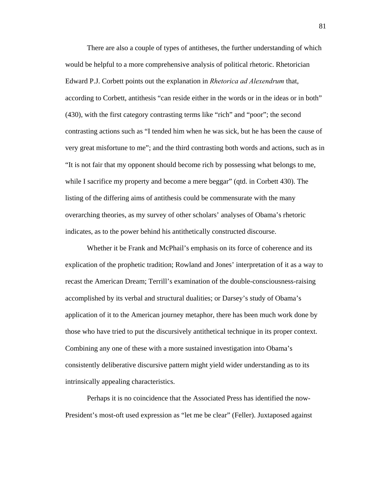There are also a couple of types of antitheses, the further understanding of which would be helpful to a more comprehensive analysis of political rhetoric. Rhetorician Edward P.J. Corbett points out the explanation in *Rhetorica ad Alexendrum* that, according to Corbett, antithesis "can reside either in the words or in the ideas or in both" (430), with the first category contrasting terms like "rich" and "poor"; the second contrasting actions such as "I tended him when he was sick, but he has been the cause of very great misfortune to me"; and the third contrasting both words and actions, such as in "It is not fair that my opponent should become rich by possessing what belongs to me, while I sacrifice my property and become a mere beggar" (qtd. in Corbett 430). The listing of the differing aims of antithesis could be commensurate with the many overarching theories, as my survey of other scholars' analyses of Obama's rhetoric indicates, as to the power behind his antithetically constructed discourse.

Whether it be Frank and McPhail's emphasis on its force of coherence and its explication of the prophetic tradition; Rowland and Jones' interpretation of it as a way to recast the American Dream; Terrill's examination of the double-consciousness-raising accomplished by its verbal and structural dualities; or Darsey's study of Obama's application of it to the American journey metaphor, there has been much work done by those who have tried to put the discursively antithetical technique in its proper context. Combining any one of these with a more sustained investigation into Obama's consistently deliberative discursive pattern might yield wider understanding as to its intrinsically appealing characteristics.

 Perhaps it is no coincidence that the Associated Press has identified the now-President's most-oft used expression as "let me be clear" (Feller). Juxtaposed against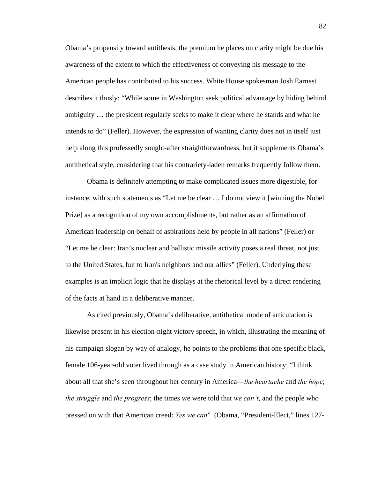Obama's propensity toward antithesis, the premium he places on clarity might be due his awareness of the extent to which the effectiveness of conveying his message to the American people has contributed to his success. White House spokesman Josh Earnest describes it thusly: "While some in Washington seek political advantage by hiding behind ambiguity … the president regularly seeks to make it clear where he stands and what he intends to do" (Feller). However, the expression of wanting clarity does not in itself just help along this professedly sought-after straightforwardness, but it supplements Obama's antithetical style, considering that his contrariety-laden remarks frequently follow them.

Obama is definitely attempting to make complicated issues more digestible, for instance, with such statements as "Let me be clear … I do not view it [winning the Nobel Prize] as a recognition of my own accomplishments, but rather as an affirmation of American leadership on behalf of aspirations held by people in all nations" (Feller) or "Let me be clear: Iran's nuclear and ballistic missile activity poses a real threat, not just to the United States, but to Iran's neighbors and our allies" (Feller). Underlying these examples is an implicit logic that he displays at the rhetorical level by a direct rendering of the facts at hand in a deliberative manner.

 As cited previously, Obama's deliberative, antithetical mode of articulation is likewise present in his election-night victory speech, in which, illustrating the meaning of his campaign slogan by way of analogy, he points to the problems that one specific black, female 106-year-old voter lived through as a case study in American history: "I think about all that she's seen throughout her century in America—*the heartache* and *the hope*; *the struggle* and *the progress*; the times we were told that *we can't*, and the people who pressed on with that American creed: *Yes we can*" (Obama, "President-Elect," lines 127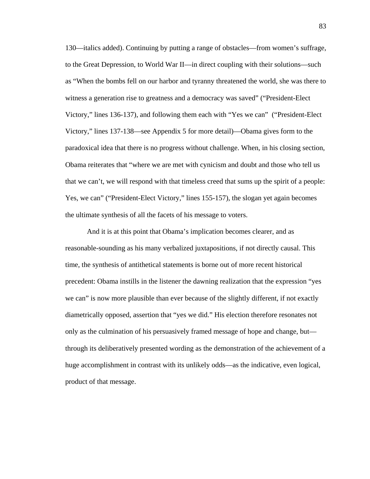130—italics added). Continuing by putting a range of obstacles—from women's suffrage, to the Great Depression, to World War II—in direct coupling with their solutions—such as "When the bombs fell on our harbor and tyranny threatened the world, she was there to witness a generation rise to greatness and a democracy was saved" ("President-Elect Victory," lines 136-137), and following them each with "Yes we can" ("President-Elect Victory," lines 137-138—see Appendix 5 for more detail)—Obama gives form to the paradoxical idea that there is no progress without challenge. When, in his closing section, Obama reiterates that "where we are met with cynicism and doubt and those who tell us that we can't, we will respond with that timeless creed that sums up the spirit of a people: Yes, we can" ("President-Elect Victory," lines 155-157), the slogan yet again becomes the ultimate synthesis of all the facets of his message to voters.

 And it is at this point that Obama's implication becomes clearer, and as reasonable-sounding as his many verbalized juxtapositions, if not directly causal. This time, the synthesis of antithetical statements is borne out of more recent historical precedent: Obama instills in the listener the dawning realization that the expression "yes we can" is now more plausible than ever because of the slightly different, if not exactly diametrically opposed, assertion that "yes we did." His election therefore resonates not only as the culmination of his persuasively framed message of hope and change, but through its deliberatively presented wording as the demonstration of the achievement of a huge accomplishment in contrast with its unlikely odds—as the indicative, even logical, product of that message.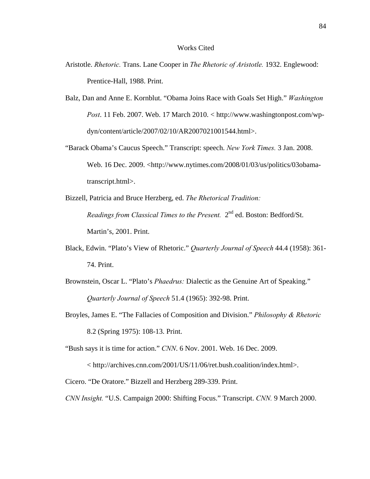### Works Cited

- Aristotle. *Rhetoric.* Trans. Lane Cooper in *The Rhetoric of Aristotle.* 1932. Englewood: Prentice-Hall, 1988. Print.
- Balz, Dan and Anne E. Kornblut. "Obama Joins Race with Goals Set High." *Washington Post*. 11 Feb. 2007. Web. 17 March 2010. < http://www.washingtonpost.com/wpdyn/content/article/2007/02/10/AR2007021001544.html>.
- "Barack Obama's Caucus Speech." Transcript: speech. *New York Times.* 3 Jan. 2008. Web. 16 Dec. 2009. <http://www.nytimes.com/2008/01/03/us/politics/03obamatranscript.html>.
- Bizzell, Patricia and Bruce Herzberg, ed. *The Rhetorical Tradition: Readings from Classical Times to the Present.* 2nd ed. Boston: Bedford/St. Martin's, 2001. Print.
- Black, Edwin. "Plato's View of Rhetoric." *Quarterly Journal of Speech* 44.4 (1958): 361- 74. Print.
- Brownstein, Oscar L. "Plato's *Phaedrus:* Dialectic as the Genuine Art of Speaking." *Quarterly Journal of Speech* 51.4 (1965): 392-98. Print.
- Broyles, James E. "The Fallacies of Composition and Division." *Philosophy & Rhetoric* 8.2 (Spring 1975): 108-13. Print.

"Bush says it is time for action." *CNN*. 6 Nov. 2001. Web. 16 Dec. 2009.

< http://archives.cnn.com/2001/US/11/06/ret.bush.coalition/index.html>.

Cicero. "De Oratore." Bizzell and Herzberg 289-339. Print.

*CNN Insight.* "U.S. Campaign 2000: Shifting Focus." Transcript. *CNN.* 9 March 2000.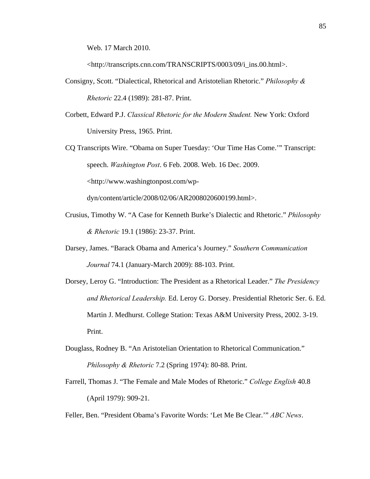Web. 17 March 2010.

<http://transcripts.cnn.com/TRANSCRIPTS/0003/09/i\_ins.00.html>.

- Consigny, Scott. "Dialectical, Rhetorical and Aristotelian Rhetoric." *Philosophy & Rhetoric* 22.4 (1989): 281-87. Print.
- Corbett, Edward P.J. *Classical Rhetoric for the Modern Student.* New York: Oxford University Press, 1965. Print.

CQ Transcripts Wire. "Obama on Super Tuesday: 'Our Time Has Come.'" Transcript: speech. *Washington Post*. 6 Feb. 2008. Web. 16 Dec. 2009. <http://www.washingtonpost.com/wp-

dyn/content/article/2008/02/06/AR2008020600199.html>.

- Crusius, Timothy W. "A Case for Kenneth Burke's Dialectic and Rhetoric." *Philosophy & Rhetoric* 19.1 (1986): 23-37. Print.
- Darsey, James. "Barack Obama and America's Journey." *Southern Communication Journal* 74.1 (January-March 2009): 88-103. Print.
- Dorsey, Leroy G. "Introduction: The President as a Rhetorical Leader." *The Presidency and Rhetorical Leadership.* Ed. Leroy G. Dorsey. Presidential Rhetoric Ser. 6. Ed. Martin J. Medhurst. College Station: Texas A&M University Press, 2002. 3-19. Print.
- Douglass, Rodney B. "An Aristotelian Orientation to Rhetorical Communication." *Philosophy & Rhetoric* 7.2 (Spring 1974): 80-88. Print.
- Farrell, Thomas J. "The Female and Male Modes of Rhetoric." *College English* 40.8 (April 1979): 909-21.

Feller, Ben. "President Obama's Favorite Words: 'Let Me Be Clear.'" *ABC News*.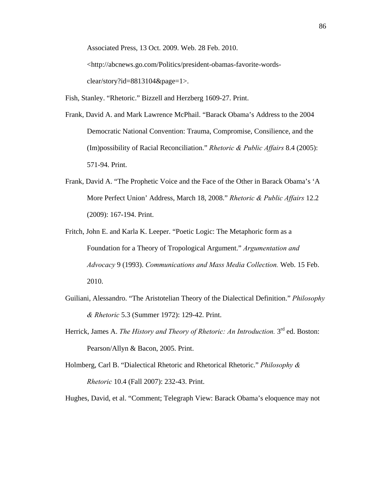Associated Press, 13 Oct. 2009. Web. 28 Feb. 2010.

<http://abcnews.go.com/Politics/president-obamas-favorite-words clear/story?id=8813104&page=1>.

Fish, Stanley. "Rhetoric." Bizzell and Herzberg 1609-27. Print.

- Frank, David A. and Mark Lawrence McPhail. "Barack Obama's Address to the 2004 Democratic National Convention: Trauma, Compromise, Consilience, and the (Im)possibility of Racial Reconciliation." *Rhetoric & Public Affairs* 8.4 (2005): 571-94. Print.
- Frank, David A. "The Prophetic Voice and the Face of the Other in Barack Obama's 'A More Perfect Union' Address, March 18, 2008." *Rhetoric & Public Affairs* 12.2 (2009): 167-194. Print.
- Fritch, John E. and Karla K. Leeper. "Poetic Logic: The Metaphoric form as a Foundation for a Theory of Tropological Argument." *Argumentation and Advocacy* 9 (1993). *Communications and Mass Media Collection.* Web. 15 Feb. 2010.
- Guiliani, Alessandro. "The Aristotelian Theory of the Dialectical Definition." *Philosophy & Rhetoric* 5.3 (Summer 1972): 129-42. Print.
- Herrick, James A. *The History and Theory of Rhetoric: An Introduction*. 3<sup>rd</sup> ed. Boston: Pearson/Allyn & Bacon, 2005. Print.
- Holmberg, Carl B. "Dialectical Rhetoric and Rhetorical Rhetoric." *Philosophy & Rhetoric* 10.4 (Fall 2007): 232-43. Print.

Hughes, David, et al. "Comment; Telegraph View: Barack Obama's eloquence may not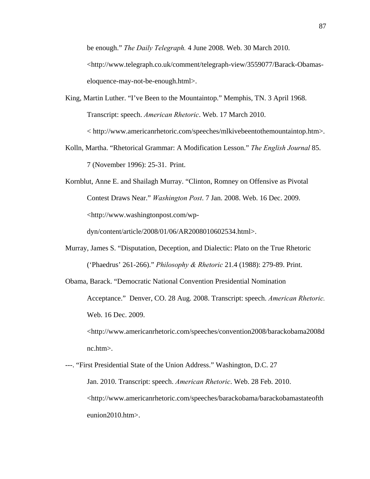be enough." *The Daily Telegraph.* 4 June 2008. Web. 30 March 2010. <http://www.telegraph.co.uk/comment/telegraph-view/3559077/Barack-Obamaseloquence-may-not-be-enough.html>.

King, Martin Luther. "I've Been to the Mountaintop." Memphis, TN. 3 April 1968. Transcript: speech. *American Rhetoric*. Web. 17 March 2010.

< http://www.americanrhetoric.com/speeches/mlkivebeentothemountaintop.htm>.

- Kolln, Martha. "Rhetorical Grammar: A Modification Lesson." *The English Journal* 85. 7 (November 1996): 25-31. Print.
- Kornblut, Anne E. and Shailagh Murray. "Clinton, Romney on Offensive as Pivotal Contest Draws Near." *Washington Post*. 7 Jan. 2008. Web. 16 Dec. 2009. <http://www.washingtonpost.com/wp-

dyn/content/article/2008/01/06/AR2008010602534.html>.

- Murray, James S. "Disputation, Deception, and Dialectic: Plato on the True Rhetoric ('Phaedrus' 261-266)." *Philosophy & Rhetoric* 21.4 (1988): 279-89. Print.
- Obama, Barack. "Democratic National Convention Presidential Nomination Acceptance." Denver, CO. 28 Aug. 2008. Transcript: speech. *American Rhetoric.*  Web. 16 Dec. 2009. <http://www.americanrhetoric.com/speeches/convention2008/barackobama2008d nc.htm>.
- ---. "First Presidential State of the Union Address." Washington, D.C. 27 Jan. 2010. Transcript: speech. *American Rhetoric*. Web. 28 Feb. 2010. <http://www.americanrhetoric.com/speeches/barackobama/barackobamastateofth eunion2010.htm>.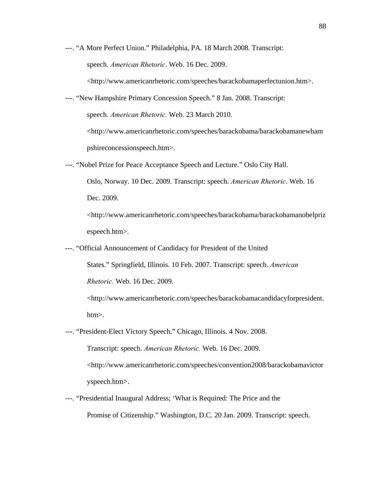- ---. "A More Perfect Union." Philadelphia, PA. 18 March 2008. Transcript: speech. *American Rhetoric*. Web. 16 Dec. 2009. <http://www.americanrhetoric.com/speeches/barackobamaperfectunion.htm>.
- ---. "New Hampshire Primary Concession Speech." 8 Jan. 2008. Transcript: speech. *American Rhetoric*. Web. 23 March 2010. <http://www.americanrhetoric.com/speeches/barackobama/barackobamanewham pshireconcessionspeech.htm>.
- ---. "Nobel Prize for Peace Acceptance Speech and Lecture." Oslo City Hall.

Oslo, Norway. 10 Dec. 2009. Transcript: speech. *American Rhetoric*. Web. 16 Dec. 2009.

<http://www.americanrhetoric.com/speeches/barackobama/barackobamanobelpriz espeech.htm>.

---. "Official Announcement of Candidacy for President of the United States." Springfield, Illinois. 10 Feb. 2007. Transcript: speech. *American Rhetoric.* Web. 16 Dec. 2009.

<http://www.americanrhetoric.com/speeches/barackobamacandidacyforpresident. htm>.

- ---. "President-Elect Victory Speech." Chicago, Illinois. 4 Nov. 2008. Transcript: speech. *American Rhetoric.* Web. 16 Dec. 2009. <http://www.americanrhetoric.com/speeches/convention2008/barackobamavictor yspeech.htm>.
- ---. "Presidential Inaugural Address; 'What is Required: The Price and the Promise of Citizenship." Washington, D.C. 20 Jan. 2009. Transcript: speech.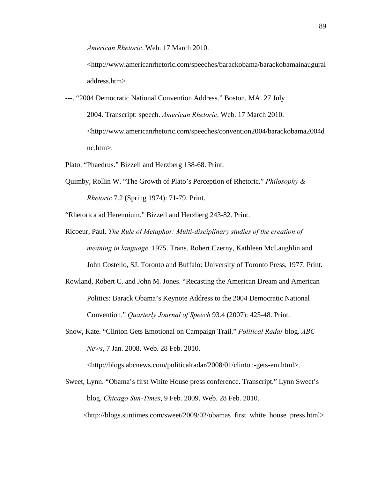*American Rhetoric*. Web. 17 March 2010.

<http://www.americanrhetoric.com/speeches/barackobama/barackobamainaugural address.htm>.

- ---. "2004 Democratic National Convention Address." Boston, MA. 27 July 2004. Transcript: speech. *American Rhetoric*. Web. 17 March 2010. <http://www.americanrhetoric.com/speeches/convention2004/barackobama2004d nc.htm>.
- Plato. "Phaedrus." Bizzell and Herzberg 138-68. Print.
- Quimby, Rollin W. "The Growth of Plato's Perception of Rhetoric." *Philosophy & Rhetoric* 7.2 (Spring 1974): 71-79. Print.
- "Rhetorica ad Herennium." Bizzell and Herzberg 243-82. Print.
- Ricoeur, Paul. *The Rule of Metaphor: Multi-disciplinary studies of the creation of meaning in language.* 1975. Trans. Robert Czerny, Kathleen McLaughlin and John Costello, SJ. Toronto and Buffalo: University of Toronto Press, 1977. Print.
- Rowland, Robert C. and John M. Jones. "Recasting the American Dream and American Politics: Barack Obama's Keynote Address to the 2004 Democratic National Convention." *Quarterly Journal of Speech* 93.4 (2007): 425-48. Print.
- Snow, Kate. "Clinton Gets Emotional on Campaign Trail." *Political Radar* blog. *ABC News*, 7 Jan. 2008. Web. 28 Feb. 2010.

<http://blogs.abcnews.com/politicalradar/2008/01/clinton-gets-em.html>.

Sweet, Lynn. "Obama's first White House press conference. Transcript." Lynn Sweet's blog. *Chicago Sun-Times*, 9 Feb. 2009. Web. 28 Feb. 2010.

<http://blogs.suntimes.com/sweet/2009/02/obamas\_first\_white\_house\_press.html>.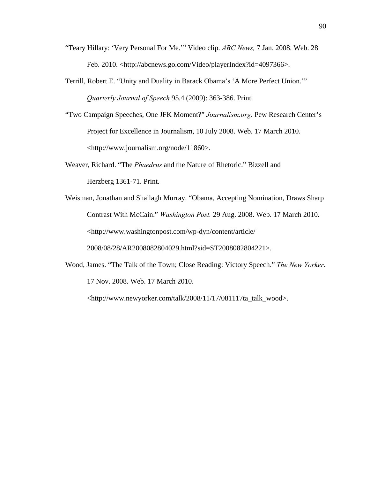- "Teary Hillary: 'Very Personal For Me.'" Video clip. *ABC News,* 7 Jan. 2008. Web. 28 Feb. 2010. <http://abcnews.go.com/Video/playerIndex?id=4097366>.
- Terrill, Robert E. "Unity and Duality in Barack Obama's 'A More Perfect Union.'" *Quarterly Journal of Speech* 95.4 (2009): 363-386. Print.
- "Two Campaign Speeches, One JFK Moment?" *Journalism.org.* Pew Research Center's Project for Excellence in Journalism, 10 July 2008. Web. 17 March 2010. <http://www.journalism.org/node/11860>.
- Weaver, Richard. "The *Phaedrus* and the Nature of Rhetoric." Bizzell and Herzberg 1361-71. Print.
- Weisman, Jonathan and Shailagh Murray. "Obama, Accepting Nomination, Draws Sharp Contrast With McCain." *Washington Post.* 29 Aug. 2008. Web. 17 March 2010. <http://www.washingtonpost.com/wp-dyn/content/article/

2008/08/28/AR2008082804029.html?sid=ST2008082804221>.

Wood, James. "The Talk of the Town; Close Reading: Victory Speech." *The New Yorker*. 17 Nov. 2008. Web. 17 March 2010.

<http://www.newyorker.com/talk/2008/11/17/081117ta\_talk\_wood>.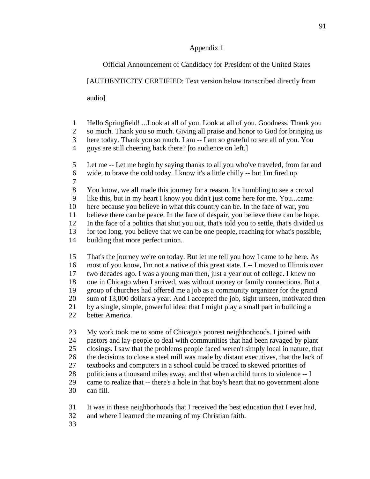## Appendix 1

# Official Announcement of Candidacy for President of the United States

# [AUTHENTICITY CERTIFIED: Text version below transcribed directly from

audio]

1 Hello Springfield! ...Look at all of you. Look at all of you. Goodness. Thank you 2 so much. Thank you so much. Giving all praise and honor to God for bringing us 3 here today. Thank you so much. I am -- I am so grateful to see all of you. You

4 guys are still cheering back there? [to audience on left.]

5 Let me -- Let me begin by saying thanks to all you who've traveled, from far and 6 wide, to brave the cold today. I know it's a little chilly -- but I'm fired up. 7

8 You know, we all made this journey for a reason. It's humbling to see a crowd 9 like this, but in my heart I know you didn't just come here for me. You...came

10 here because you believe in what this country can be. In the face of war, you

11 believe there can be peace. In the face of despair, you believe there can be hope.

12 In the face of a politics that shut you out, that's told you to settle, that's divided us

13 for too long, you believe that we can be one people, reaching for what's possible,

14 building that more perfect union.

15 That's the journey we're on today. But let me tell you how I came to be here. As 16 most of you know, I'm not a native of this great state. I -- I moved to Illinois over 17 two decades ago. I was a young man then, just a year out of college. I knew no 18 one in Chicago when I arrived, was without money or family connections. But a 19 group of churches had offered me a job as a community organizer for the grand 20 sum of 13,000 dollars a year. And I accepted the job, sight unseen, motivated then 21 by a single, simple, powerful idea: that I might play a small part in building a 22 better America.

23 My work took me to some of Chicago's poorest neighborhoods. I joined with 24 pastors and lay-people to deal with communities that had been ravaged by plant 25 closings. I saw that the problems people faced weren't simply local in nature, that 26 the decisions to close a steel mill was made by distant executives, that the lack of 27 textbooks and computers in a school could be traced to skewed priorities of 28 politicians a thousand miles away, and that when a child turns to violence -- I 29 came to realize that -- there's a hole in that boy's heart that no government alone 30 can fill.

31 It was in these neighborhoods that I received the best education that I ever had,

32 and where I learned the meaning of my Christian faith.

33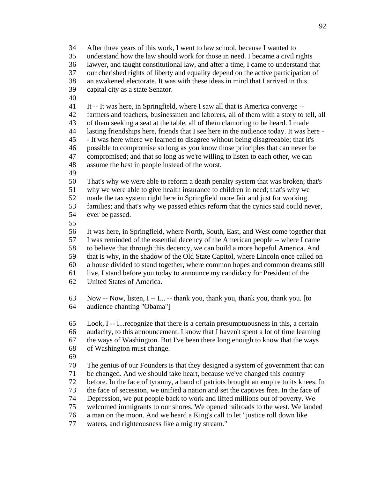34 After three years of this work, I went to law school, because I wanted to 35 understand how the law should work for those in need. I became a civil rights 36 lawyer, and taught constitutional law, and after a time, I came to understand that 37 our cherished rights of liberty and equality depend on the active participation of 38 an awakened electorate. It was with these ideas in mind that I arrived in this 39 capital city as a state Senator. 40 41 It -- It was here, in Springfield, where I saw all that is America converge -- 42 farmers and teachers, businessmen and laborers, all of them with a story to tell, all 43 of them seeking a seat at the table, all of them clamoring to be heard. I made 44 lasting friendships here, friends that I see here in the audience today. It was here - 45 - It was here where we learned to disagree without being disagreeable; that it's 46 possible to compromise so long as you know those principles that can never be 47 compromised; and that so long as we're willing to listen to each other, we can 48 assume the best in people instead of the worst. 49 50 That's why we were able to reform a death penalty system that was broken; that's 51 why we were able to give health insurance to children in need; that's why we 52 made the tax system right here in Springfield more fair and just for working 53 families; and that's why we passed ethics reform that the cynics said could never, 54 ever be passed. 55 56 It was here, in Springfield, where North, South, East, and West come together that 57 I was reminded of the essential decency of the American people -- where I came 58 to believe that through this decency, we can build a more hopeful America. And 59 that is why, in the shadow of the Old State Capitol, where Lincoln once called on 60 a house divided to stand together, where common hopes and common dreams still 61 live, I stand before you today to announce my candidacy for President of the 62 United States of America. 63 Now -- Now, listen, I -- I... -- thank you, thank you, thank you, thank you. [to 64 audience chanting "Obama"] 65 Look, I -- I...recognize that there is a certain presumptuousness in this, a certain 66 audacity, to this announcement. I know that I haven't spent a lot of time learning 67 the ways of Washington. But I've been there long enough to know that the ways 68 of Washington must change. 69 70 The genius of our Founders is that they designed a system of government that can 71 be changed. And we should take heart, because we've changed this country 72 before. In the face of tyranny, a band of patriots brought an empire to its knees. In 73 the face of secession, we unified a nation and set the captives free. In the face of 74 Depression, we put people back to work and lifted millions out of poverty. We 75 welcomed immigrants to our shores. We opened railroads to the west. We landed 76 a man on the moon. And we heard a King's call to let "justice roll down like 77 waters, and righteousness like a mighty stream."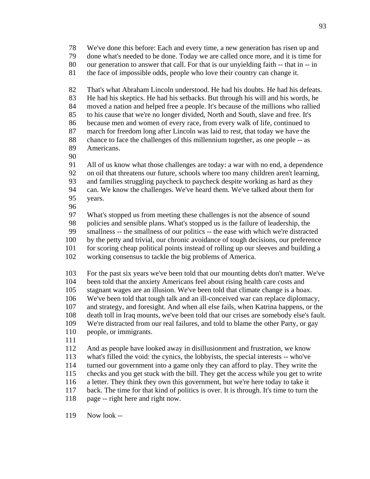78 We've done this before: Each and every time, a new generation has risen up and 79 done what's needed to be done. Today we are called once more, and it is time for 80 our generation to answer that call. For that is our unyielding faith -- that in -- in 81 the face of impossible odds, people who love their country can change it. 82 That's what Abraham Lincoln understood. He had his doubts. He had his defeats. 83 He had his skeptics. He had his setbacks. But through his will and his words, he 84 moved a nation and helped free a people. It's because of the millions who rallied 85 to his cause that we're no longer divided, North and South, slave and free. It's 86 because men and women of every race, from every walk of life, continued to 87 march for freedom long after Lincoln was laid to rest, that today we have the 88 chance to face the challenges of this millennium together, as one people -- as 89 Americans. 90 91 All of us know what those challenges are today: a war with no end, a dependence 92 on oil that threatens our future, schools where too many children aren't learning, 93 and families struggling paycheck to paycheck despite working as hard as they 94 can. We know the challenges. We've heard them. We've talked about them for 95 years. 96 97 What's stopped us from meeting these challenges is not the absence of sound 98 policies and sensible plans. What's stopped us is the failure of leadership, the 99 smallness -- the smallness of our politics -- the ease with which we're distracted 100 by the petty and trivial, our chronic avoidance of tough decisions, our preference 101 for scoring cheap political points instead of rolling up our sleeves and building a 102 working consensus to tackle the big problems of America. 103 For the past six years we've been told that our mounting debts don't matter. We've 104 been told that the anxiety Americans feel about rising health care costs and 105 stagnant wages are an illusion. We've been told that climate change is a hoax. 106 We've been told that tough talk and an ill-conceived war can replace diplomacy, 107 and strategy, and foresight. And when all else fails, when Katrina happens, or the 108 death toll in Iraq mounts, we've been told that our crises are somebody else's fault. 109 We're distracted from our real failures, and told to blame the other Party, or gay 110 people, or immigrants. 111 112 And as people have looked away in disillusionment and frustration, we know 113 what's filled the void: the cynics, the lobbyists, the special interests -- who've 114 turned our government into a game only they can afford to play. They write the 115 checks and you get stuck with the bill. They get the access while you get to write 116 a letter. They think they own this government, but we're here today to take it 117 back. The time for that kind of politics is over. It is through. It's time to turn the 118 page -- right here and right now.

119 Now look --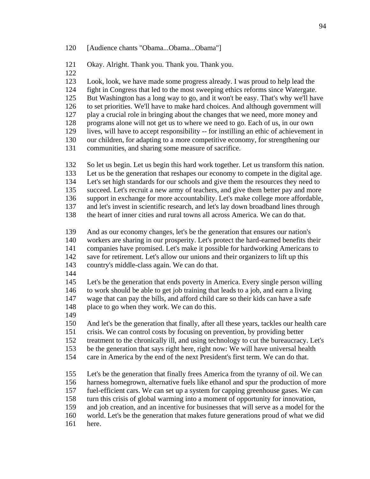- 120 [Audience chants "Obama...Obama...Obama"]
- 121 Okay. Alright. Thank you. Thank you. Thank you.
- 122

123 Look, look, we have made some progress already. I was proud to help lead the 124 fight in Congress that led to the most sweeping ethics reforms since Watergate. 125 But Washington has a long way to go, and it won't be easy. That's why we'll have 126 to set priorities. We'll have to make hard choices. And although government will 127 play a crucial role in bringing about the changes that we need, more money and 128 programs alone will not get us to where we need to go. Each of us, in our own 129 lives, will have to accept responsibility -- for instilling an ethic of achievement in 130 our children, for adapting to a more competitive economy, for strengthening our 131 communities, and sharing some measure of sacrifice. 132 So let us begin. Let us begin this hard work together. Let us transform this nation. 133 Let us be the generation that reshapes our economy to compete in the digital age. 134 Let's set high standards for our schools and give them the resources they need to 135 succeed. Let's recruit a new army of teachers, and give them better pay and more 136 support in exchange for more accountability. Let's make college more affordable, 137 and let's invest in scientific research, and let's lay down broadband lines through 138 the heart of inner cities and rural towns all across America. We can do that. 139 And as our economy changes, let's be the generation that ensures our nation's 140 workers are sharing in our prosperity. Let's protect the hard-earned benefits their 141 companies have promised. Let's make it possible for hardworking Americans to 142 save for retirement. Let's allow our unions and their organizers to lift up this 143 country's middle-class again. We can do that. 144 145 Let's be the generation that ends poverty in America. Every single person willing 146 to work should be able to get job training that leads to a job, and earn a living 147 wage that can pay the bills, and afford child care so their kids can have a safe 148 place to go when they work. We can do this. 149 150 And let's be the generation that finally, after all these years, tackles our health care 151 crisis. We can control costs by focusing on prevention, by providing better 152 treatment to the chronically ill, and using technology to cut the bureaucracy. Let's 153 be the generation that says right here, right now: We will have universal health 154 care in America by the end of the next President's first term. We can do that. 155 Let's be the generation that finally frees America from the tyranny of oil. We can 156 harness homegrown, alternative fuels like ethanol and spur the production of more 157 fuel-efficient cars. We can set up a system for capping greenhouse gases. We can 158 turn this crisis of global warming into a moment of opportunity for innovation, 159 and job creation, and an incentive for businesses that will serve as a model for the 160 world. Let's be the generation that makes future generations proud of what we did 161 here.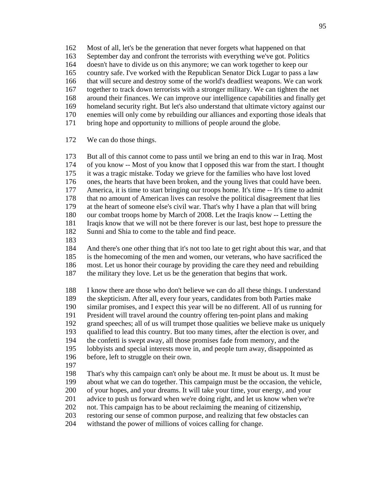162 Most of all, let's be the generation that never forgets what happened on that 163 September day and confront the terrorists with everything we've got. Politics 164 doesn't have to divide us on this anymore; we can work together to keep our 165 country safe. I've worked with the Republican Senator Dick Lugar to pass a law 166 that will secure and destroy some of the world's deadliest weapons. We can work 167 together to track down terrorists with a stronger military. We can tighten the net 168 around their finances. We can improve our intelligence capabilities and finally get 169 homeland security right. But let's also understand that ultimate victory against our 170 enemies will only come by rebuilding our alliances and exporting those ideals that 171 bring hope and opportunity to millions of people around the globe.

172 We can do those things.

173 But all of this cannot come to pass until we bring an end to this war in Iraq. Most 174 of you know -- Most of you know that I opposed this war from the start. I thought 175 it was a tragic mistake. Today we grieve for the families who have lost loved 176 ones, the hearts that have been broken, and the young lives that could have been. 177 America, it is time to start bringing our troops home. It's time -- It's time to admit 178 that no amount of American lives can resolve the political disagreement that lies 179 at the heart of someone else's civil war. That's why I have a plan that will bring 180 our combat troops home by March of 2008. Let the Iraqis know -- Letting the 181 Iraqis know that we will not be there forever is our last, best hope to pressure the 182 Sunni and Shia to come to the table and find peace. 183

- 184 And there's one other thing that it's not too late to get right about this war, and that 185 is the homecoming of the men and women, our veterans, who have sacrificed the
- 186 most. Let us honor their courage by providing the care they need and rebuilding
- 187 the military they love. Let us be the generation that begins that work.

188 I know there are those who don't believe we can do all these things. I understand 189 the skepticism. After all, every four years, candidates from both Parties make 190 similar promises, and I expect this year will be no different. All of us running for 191 President will travel around the country offering ten-point plans and making 192 grand speeches; all of us will trumpet those qualities we believe make us uniquely 193 qualified to lead this country. But too many times, after the election is over, and 194 the confetti is swept away, all those promises fade from memory, and the 195 lobbyists and special interests move in, and people turn away, disappointed as 196 before, left to struggle on their own. 197 198 That's why this campaign can't only be about me. It must be about us. It must be 199 about what we can do together. This campaign must be the occasion, the vehicle, 200 of your hopes, and your dreams. It will take your time, your energy, and your 201 advice to push us forward when we're doing right, and let us know when we're 202 not. This campaign has to be about reclaiming the meaning of citizenship, 203 restoring our sense of common purpose, and realizing that few obstacles can 204 withstand the power of millions of voices calling for change.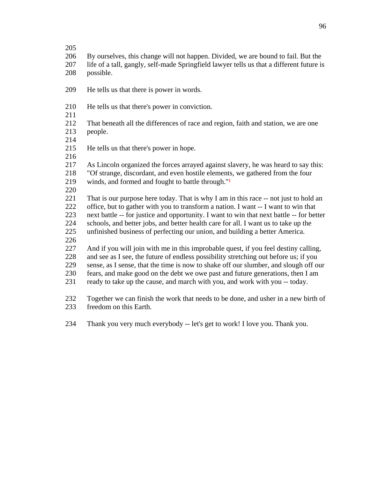205

206 By ourselves, this change will not happen. Divided, we are bound to fail. But the

207 life of a tall, gangly, self-made Springfield lawyer tells us that a different future is 208 possible.

- 209 He tells us that there is power in words.
- 210 He tells us that there's power in conviction.
- 211

212 That beneath all the differences of race and region, faith and station, we are one 213 people.

214

215 He tells us that there's power in hope.

216

217 As Lincoln organized the forces arrayed against slavery, he was heard to say this:

218 "Of strange, discordant, and even hostile elements, we gathered from the four

219 winds, and formed and fought to battle through. $1$ 

 $\frac{220}{221}$ 

That is our purpose here today. That is why I am in this race -- not just to hold an 222 office, but to gather with you to transform a nation. I want -- I want to win that 223 next battle -- for justice and opportunity. I want to win that next battle -- for better 224 schools, and better jobs, and better health care for all. I want us to take up the

225 unfinished business of perfecting our union, and building a better America.

226

227 And if you will join with me in this improbable quest, if you feel destiny calling, 228 and see as I see, the future of endless possibility stretching out before us; if you

229 sense, as I sense, that the time is now to shake off our slumber, and slough off our

230 fears, and make good on the debt we owe past and future generations, then I am

231 ready to take up the cause, and march with you, and work with you -- today.

232 Together we can finish the work that needs to be done, and usher in a new birth of 233 freedom on this Earth.

234 Thank you very much everybody -- let's get to work! I love you. Thank you.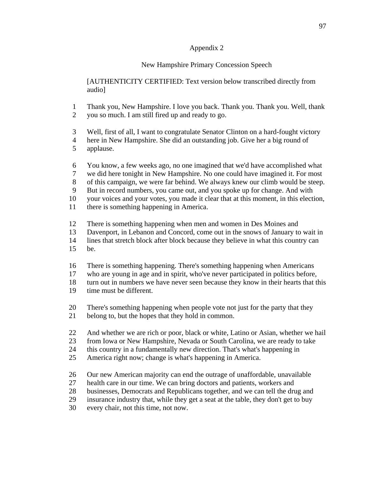## Appendix 2

# New Hampshire Primary Concession Speech

[AUTHENTICITY CERTIFIED: Text version below transcribed directly from audio]

- 1 Thank you, New Hampshire. I love you back. Thank you. Thank you. Well, thank
- 2 you so much. I am still fired up and ready to go.

3 Well, first of all, I want to congratulate Senator Clinton on a hard-fought victory

- 4 here in New Hampshire. She did an outstanding job. Give her a big round of
- 5 applause.
- 6 You know, a few weeks ago, no one imagined that we'd have accomplished what 7 we did here tonight in New Hampshire. No one could have imagined it. For most 8 of this campaign, we were far behind. We always knew our climb would be steep.

9 But in record numbers, you came out, and you spoke up for change. And with

10 your voices and your votes, you made it clear that at this moment, in this election,

11 there is something happening in America.

- 12 There is something happening when men and women in Des Moines and
- 13 Davenport, in Lebanon and Concord, come out in the snows of January to wait in
- 14 lines that stretch block after block because they believe in what this country can
- 15 be.
- 16 There is something happening. There's something happening when Americans
- 17 who are young in age and in spirit, who've never participated in politics before,
- 18 turn out in numbers we have never seen because they know in their hearts that this
- 19 time must be different.

20 There's something happening when people vote not just for the party that they 21 belong to, but the hopes that they hold in common.

- 
- 22 And whether we are rich or poor, black or white, Latino or Asian, whether we hail
- 23 from Iowa or New Hampshire, Nevada or South Carolina, we are ready to take
- 24 this country in a fundamentally new direction. That's what's happening in
- 25 America right now; change is what's happening in America.
- 26 Our new American majority can end the outrage of unaffordable, unavailable
- 27 health care in our time. We can bring doctors and patients, workers and
- 28 businesses, Democrats and Republicans together, and we can tell the drug and
- 29 insurance industry that, while they get a seat at the table, they don't get to buy
- 30 every chair, not this time, not now.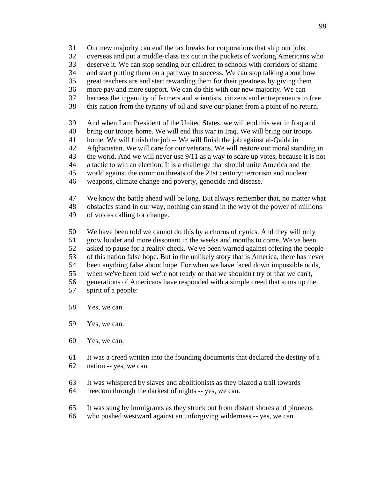31 Our new majority can end the tax breaks for corporations that ship our jobs

- 32 overseas and put a middle-class tax cut in the pockets of working Americans who
- 33 deserve it. We can stop sending our children to schools with corridors of shame
- 34 and start putting them on a pathway to success. We can stop talking about how
- 35 great teachers are and start rewarding them for their greatness by giving them
- 36 more pay and more support. We can do this with our new majority. We can
- 37 harness the ingenuity of farmers and scientists, citizens and entrepreneurs to free 38 this nation from the tyranny of oil and save our planet from a point of no return.
- 39 And when I am President of the United States, we will end this war in Iraq and
- 40 bring our troops home. We will end this war in Iraq. We will bring our troops
- 41 home. We will finish the job -- We will finish the job against al-Qaida in
- 42 Afghanistan. We will care for our veterans. We will restore our moral standing in
- 43 the world. And we will never use 9/11 as a way to scare up votes, because it is not
- 44 a tactic to win an election. It is a challenge that should unite America and the
- 45 world against the common threats of the 21st century: terrorism and nuclear
- 46 weapons, climate change and poverty, genocide and disease.

47 We know the battle ahead will be long. But always remember that, no matter what 48 obstacles stand in our way, nothing can stand in the way of the power of millions 49 of voices calling for change.

50 We have been told we cannot do this by a chorus of cynics. And they will only 51 grow louder and more dissonant in the weeks and months to come. We've been 52 asked to pause for a reality check. We've been warned against offering the people 53 of this nation false hope. But in the unlikely story that is America, there has never 54 been anything false about hope. For when we have faced down impossible odds, 55 when we've been told we're not ready or that we shouldn't try or that we can't, 56 generations of Americans have responded with a simple creed that sums up the 57 spirit of a people:

- 58 Yes, we can.
- 59 Yes, we can.
- 60 Yes, we can.
- 61 It was a creed written into the founding documents that declared the destiny of a 62 nation -- yes, we can.
- 63 It was whispered by slaves and abolitionists as they blazed a trail towards
- 64 freedom through the darkest of nights -- yes, we can.
- 65 It was sung by immigrants as they struck out from distant shores and pioneers
- 66 who pushed westward against an unforgiving wilderness -- yes, we can.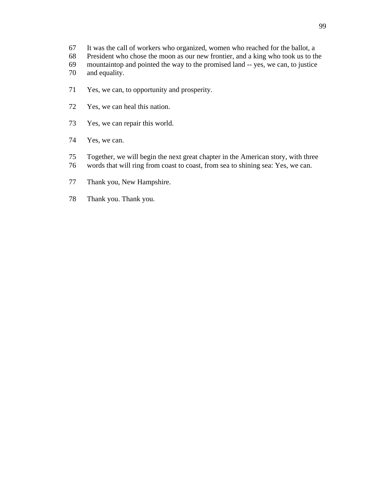- 67 It was the call of workers who organized, women who reached for the ballot, a
- 68 President who chose the moon as our new frontier, and a king who took us to the
- 69 mountaintop and pointed the way to the promised land -- yes, we can, to justice
- 70 and equality.
- 71 Yes, we can, to opportunity and prosperity.
- 72 Yes, we can heal this nation.
- 73 Yes, we can repair this world.
- 74 Yes, we can.
- 75 Together, we will begin the next great chapter in the American story, with three
- 76 words that will ring from coast to coast, from sea to shining sea: Yes, we can.
- 77 Thank you, New Hampshire.
- 78 Thank you. Thank you.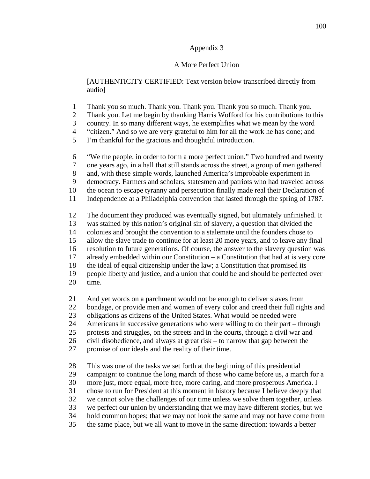## Appendix 3

# A More Perfect Union

[AUTHENTICITY CERTIFIED: Text version below transcribed directly from audio]

1 Thank you so much. Thank you. Thank you. Thank you so much. Thank you.

2 Thank you. Let me begin by thanking Harris Wofford for his contributions to this

3 country. In so many different ways, he exemplifies what we mean by the word

4 "citizen." And so we are very grateful to him for all the work he has done; and

5 I'm thankful for the gracious and thoughtful introduction.

6 "We the people, in order to form a more perfect union." Two hundred and twenty 7 one years ago, in a hall that still stands across the street, a group of men gathered 8 and, with these simple words, launched America's improbable experiment in 9 democracy. Farmers and scholars, statesmen and patriots who had traveled across 10 the ocean to escape tyranny and persecution finally made real their Declaration of

11 Independence at a Philadelphia convention that lasted through the spring of 1787.

12 The document they produced was eventually signed, but ultimately unfinished. It 13 was stained by this nation's original sin of slavery, a question that divided the 14 colonies and brought the convention to a stalemate until the founders chose to 15 allow the slave trade to continue for at least 20 more years, and to leave any final 16 resolution to future generations. Of course, the answer to the slavery question was 17 already embedded within our Constitution – a Constitution that had at is very core 18 the ideal of equal citizenship under the law; a Constitution that promised its

- 19 people liberty and justice, and a union that could be and should be perfected over
- 20 time.

21 And yet words on a parchment would not be enough to deliver slaves from

22 bondage, or provide men and women of every color and creed their full rights and

- 23 obligations as citizens of the United States. What would be needed were
- 24 Americans in successive generations who were willing to do their part through
- 25 protests and struggles, on the streets and in the courts, through a civil war and
- 26 civil disobedience, and always at great risk to narrow that gap between the
- 27 promise of our ideals and the reality of their time.

28 This was one of the tasks we set forth at the beginning of this presidential 29 campaign: to continue the long march of those who came before us, a march for a 30 more just, more equal, more free, more caring, and more prosperous America. I 31 chose to run for President at this moment in history because I believe deeply that 32 we cannot solve the challenges of our time unless we solve them together, unless 33 we perfect our union by understanding that we may have different stories, but we 34 hold common hopes; that we may not look the same and may not have come from 35 the same place, but we all want to move in the same direction: towards a better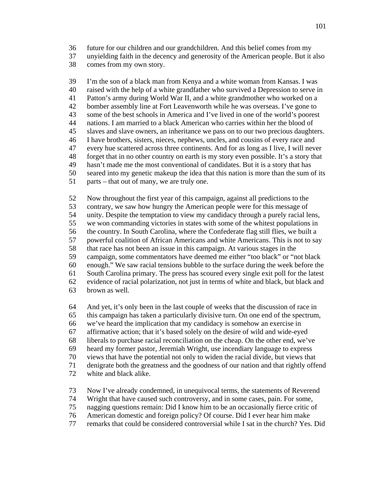- 36 future for our children and our grandchildren. And this belief comes from my
- 37 unyielding faith in the decency and generosity of the American people. But it also
- 38 comes from my own story.

39 I'm the son of a black man from Kenya and a white woman from Kansas. I was 40 raised with the help of a white grandfather who survived a Depression to serve in 41 Patton's army during World War II, and a white grandmother who worked on a 42 bomber assembly line at Fort Leavenworth while he was overseas. I've gone to 43 some of the best schools in America and I've lived in one of the world's poorest 44 nations. I am married to a black American who carries within her the blood of 45 slaves and slave owners, an inheritance we pass on to our two precious daughters. 46 I have brothers, sisters, nieces, nephews, uncles, and cousins of every race and 47 every hue scattered across three continents. And for as long as I live, I will never 48 forget that in no other country on earth is my story even possible. It's a story that 49 hasn't made me the most conventional of candidates. But it is a story that has 50 seared into my genetic makeup the idea that this nation is more than the sum of its 51 parts – that out of many, we are truly one.

52 Now throughout the first year of this campaign, against all predictions to the 53 contrary, we saw how hungry the American people were for this message of 54 unity. Despite the temptation to view my candidacy through a purely racial lens, 55 we won commanding victories in states with some of the whitest populations in 56 the country. In South Carolina, where the Confederate flag still flies, we built a 57 powerful coalition of African Americans and white Americans. This is not to say 58 that race has not been an issue in this campaign. At various stages in the 59 campaign, some commentators have deemed me either "too black" or "not black 60 enough." We saw racial tensions bubble to the surface during the week before the 61 South Carolina primary. The press has scoured every single exit poll for the latest 62 evidence of racial polarization, not just in terms of white and black, but black and 63 brown as well.

- 64 And yet, it's only been in the last couple of weeks that the discussion of race in 65 this campaign has taken a particularly divisive turn. On one end of the spectrum, 66 we've heard the implication that my candidacy is somehow an exercise in 67 affirmative action; that it's based solely on the desire of wild and wide-eyed 68 liberals to purchase racial reconciliation on the cheap. On the other end, we've 69 heard my former pastor, Jeremiah Wright, use incendiary language to express 70 views that have the potential not only to widen the racial divide, but views that 71 denigrate both the greatness and the goodness of our nation and that rightly offend 72 white and black alike. 73 Now I've already condemned, in unequivocal terms, the statements of Reverend
- 
- 74 Wright that have caused such controversy, and in some cases, pain. For some,
- 75 nagging questions remain: Did I know him to be an occasionally fierce critic of
- 76 American domestic and foreign policy? Of course. Did I ever hear him make
- 77 remarks that could be considered controversial while I sat in the church? Yes. Did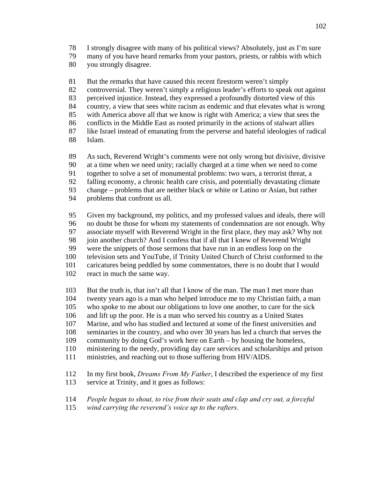78 I strongly disagree with many of his political views? Absolutely, just as I'm sure

79 many of you have heard remarks from your pastors, priests, or rabbis with which

80 you strongly disagree.

81 But the remarks that have caused this recent firestorm weren't simply 82 controversial. They weren't simply a religious leader's efforts to speak out against 83 perceived injustice. Instead, they expressed a profoundly distorted view of this 84 country, a view that sees white racism as endemic and that elevates what is wrong 85 with America above all that we know is right with America; a view that sees the 86 conflicts in the Middle East as rooted primarily in the actions of stalwart allies 87 like Israel instead of emanating from the perverse and hateful ideologies of radical 88 Islam.

89 As such, Reverend Wright's comments were not only wrong but divisive, divisive

90 at a time when we need unity; racially charged at a time when we need to come

91 together to solve a set of monumental problems: two wars, a terrorist threat, a

92 falling economy, a chronic health care crisis, and potentially devastating climate

93 change – problems that are neither black or white or Latino or Asian, but rather

94 problems that confront us all.

95 Given my background, my politics, and my professed values and ideals, there will

96 no doubt be those for whom my statements of condemnation are not enough. Why

97 associate myself with Reverend Wright in the first place, they may ask? Why not

98 join another church? And I confess that if all that I knew of Reverend Wright

99 were the snippets of those sermons that have run in an endless loop on the

100 television sets and YouTube, if Trinity United Church of Christ conformed to the

101 caricatures being peddled by some commentators, there is no doubt that I would<br>102 react in much the same way.

react in much the same way.

103 But the truth is, that isn't all that I know of the man. The man I met more than

104 twenty years ago is a man who helped introduce me to my Christian faith, a man

- 105 who spoke to me about our obligations to love one another, to care for the sick
- 106 and lift up the poor. He is a man who served his country as a United States

107 Marine, and who has studied and lectured at some of the finest universities and

108 seminaries in the country, and who over 30 years has led a church that serves the

109 community by doing God's work here on Earth – by housing the homeless,

110 ministering to the needy, providing day care services and scholarships and prison

111 ministries, and reaching out to those suffering from HIV/AIDS.

112 In my first book, *Dreams From My Father*, I described the experience of my first 113 service at Trinity, and it goes as follows:

114 *People began to shout, to rise from their seats and clap and cry out, a forceful* 

115 *wind carrying the reverend's voice up to the rafters.*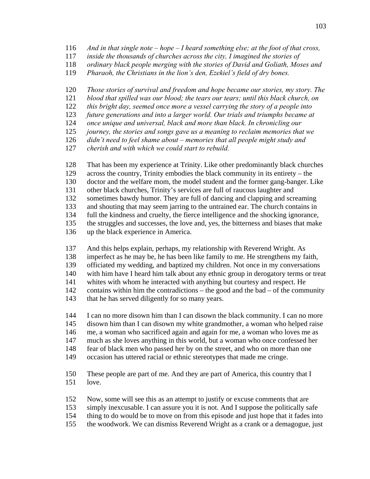- 116 *And in that single note hope I heard something else; at the foot of that cross,*
- 117 *inside the thousands of churches across the city, I imagined the stories of*
- 118 *ordinary black people merging with the stories of David and Goliath, Moses and*
- 119 *Pharaoh, the Christians in the lion's den, Ezekiel's field of dry bones.*
- 120 *Those stories of survival and freedom and hope became our stories, my story. The*
- 121 *blood that spilled was our blood; the tears our tears; until this black church, on*
- 122 *this bright day, seemed once more a vessel carrying the story of a people into*
- 123 *future generations and into a larger world. Our trials and triumphs became at*
- 124 *once unique and universal, black and more than black. In chronicling our*
- 125 *journey, the stories and songs gave us a meaning to reclaim memories that we*
- 126 *didn't need to feel shame about memories that all people might study and*
- 127 *cherish and with which we could start to rebuild.*
- 128 That has been my experience at Trinity. Like other predominantly black churches
- 129 across the country, Trinity embodies the black community in its entirety the
- 130 doctor and the welfare mom, the model student and the former gang-banger. Like
- 131 other black churches, Trinity's services are full of raucous laughter and
- 132 sometimes bawdy humor. They are full of dancing and clapping and screaming
- 133 and shouting that may seem jarring to the untrained ear. The church contains in
- 134 full the kindness and cruelty, the fierce intelligence and the shocking ignorance,
- 135 the struggles and successes, the love and, yes, the bitterness and biases that make
- 136 up the black experience in America.
- 137 And this helps explain, perhaps, my relationship with Reverend Wright. As
- 138 imperfect as he may be, he has been like family to me. He strengthens my faith,
- 139 officiated my wedding, and baptized my children. Not once in my conversations
- 140 with him have I heard him talk about any ethnic group in derogatory terms or treat
- 141 whites with whom he interacted with anything but courtesy and respect. He
- 142 contains within him the contradictions the good and the bad of the community
- 143 that he has served diligently for so many years.
- 144 I can no more disown him than I can disown the black community. I can no more 145 disown him than I can disown my white grandmother, a woman who helped raise 146 me, a woman who sacrificed again and again for me, a woman who loves me as 147 much as she loves anything in this world, but a woman who once confessed her 148 fear of black men who passed her by on the street, and who on more than one
- 149 occasion has uttered racial or ethnic stereotypes that made me cringe.

150 These people are part of me. And they are part of America, this country that I 151 love.

- 152 Now, some will see this as an attempt to justify or excuse comments that are
- 153 simply inexcusable. I can assure you it is not. And I suppose the politically safe
- 154 thing to do would be to move on from this episode and just hope that it fades into
- 155 the woodwork. We can dismiss Reverend Wright as a crank or a demagogue, just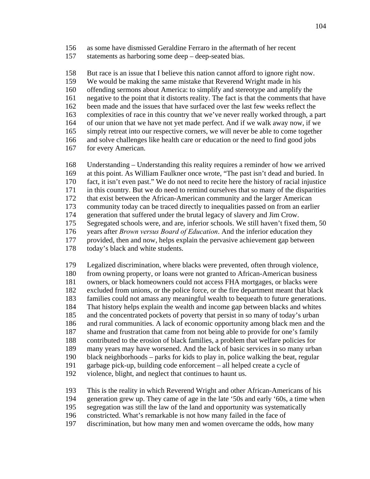- 156 as some have dismissed Geraldine Ferraro in the aftermath of her recent
- 157 statements as harboring some deep deep-seated bias.

158 But race is an issue that I believe this nation cannot afford to ignore right now. 159 We would be making the same mistake that Reverend Wright made in his 160 offending sermons about America: to simplify and stereotype and amplify the 161 negative to the point that it distorts reality. The fact is that the comments that have 162 been made and the issues that have surfaced over the last few weeks reflect the 163 complexities of race in this country that we've never really worked through, a part 164 of our union that we have not yet made perfect. And if we walk away now, if we 165 simply retreat into our respective corners, we will never be able to come together 166 and solve challenges like health care or education or the need to find good jobs 167 for every American.

168 Understanding – Understanding this reality requires a reminder of how we arrived 169 at this point. As William Faulkner once wrote, "The past isn't dead and buried. In 170 fact, it isn't even past." We do not need to recite here the history of racial injustice 171 in this country. But we do need to remind ourselves that so many of the disparities 172 that exist between the African-American community and the larger American 173 community today can be traced directly to inequalities passed on from an earlier 174 generation that suffered under the brutal legacy of slavery and Jim Crow. 175 Segregated schools were, and are, inferior schools. We still haven't fixed them, 50 176 years after *Brown versus Board of Education*. And the inferior education they 177 provided, then and now, helps explain the pervasive achievement gap between 178 today's black and white students. 179 Legalized discrimination, where blacks were prevented, often through violence,

180 from owning property, or loans were not granted to African-American business 181 owners, or black homeowners could not access FHA mortgages, or blacks were 182 excluded from unions, or the police force, or the fire department meant that black 183 families could not amass any meaningful wealth to bequeath to future generations. 184 That history helps explain the wealth and income gap between blacks and whites 185 and the concentrated pockets of poverty that persist in so many of today's urban 186 and rural communities. A lack of economic opportunity among black men and the 187 shame and frustration that came from not being able to provide for one's family 188 contributed to the erosion of black families, a problem that welfare policies for 189 many years may have worsened. And the lack of basic services in so many urban 190 black neighborhoods – parks for kids to play in, police walking the beat, regular 191 garbage pick-up, building code enforcement – all helped create a cycle of 192 violence, blight, and neglect that continues to haunt us.

193 This is the reality in which Reverend Wright and other African-Americans of his 194 generation grew up. They came of age in the late '50s and early '60s, a time when

195 segregation was still the law of the land and opportunity was systematically

- 196 constricted. What's remarkable is not how many failed in the face of
- 197 discrimination, but how many men and women overcame the odds, how many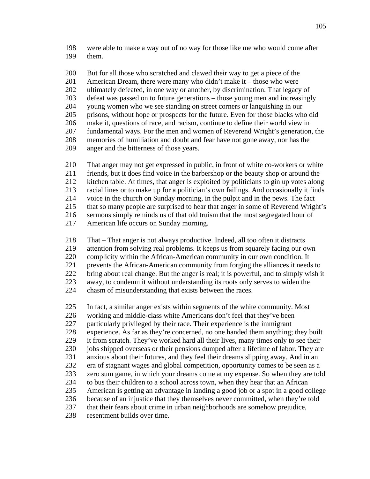198 were able to make a way out of no way for those like me who would come after 199 them.

200 But for all those who scratched and clawed their way to get a piece of the 201 American Dream, there were many who didn't make it – those who were 202 ultimately defeated, in one way or another, by discrimination. That legacy of 203 defeat was passed on to future generations – those young men and increasingly 204 young women who we see standing on street corners or languishing in our 205 prisons, without hope or prospects for the future. Even for those blacks who did 206 make it, questions of race, and racism, continue to define their world view in 207 fundamental ways. For the men and women of Reverend Wright's generation, the 208 memories of humiliation and doubt and fear have not gone away, nor has the 209 anger and the bitterness of those years.

210 That anger may not get expressed in public, in front of white co-workers or white 211 friends, but it does find voice in the barbershop or the beauty shop or around the 212 kitchen table. At times, that anger is exploited by politicians to gin up votes along 213 racial lines or to make up for a politician's own failings. And occasionally it finds 214 voice in the church on Sunday morning, in the pulpit and in the pews. The fact 215 that so many people are surprised to hear that anger in some of Reverend Wright's 216 sermons simply reminds us of that old truism that the most segregated hour of 217 American life occurs on Sunday morning.

- 218 That That anger is not always productive. Indeed, all too often it distracts
- 219 attention from solving real problems. It keeps us from squarely facing our own
- 220 complicity within the African-American community in our own condition. It
- 221 prevents the African-American community from forging the alliances it needs to
- 222 bring about real change. But the anger is real; it is powerful, and to simply wish it
- 223 away, to condemn it without understanding its roots only serves to widen the
- 224 chasm of misunderstanding that exists between the races.

225 In fact, a similar anger exists within segments of the white community. Most 226 working and middle-class white Americans don't feel that they've been 227 particularly privileged by their race. Their experience is the immigrant 228 experience. As far as they're concerned, no one handed them anything; they built 229 it from scratch. They've worked hard all their lives, many times only to see their 230 jobs shipped overseas or their pensions dumped after a lifetime of labor. They are 231 anxious about their futures, and they feel their dreams slipping away. And in an 232 era of stagnant wages and global competition, opportunity comes to be seen as a 233 zero sum game, in which your dreams come at my expense. So when they are told 234 to bus their children to a school across town, when they hear that an African 235 American is getting an advantage in landing a good job or a spot in a good college 236 because of an injustice that they themselves never committed, when they're told 237 that their fears about crime in urban neighborhoods are somehow prejudice, 238 resentment builds over time.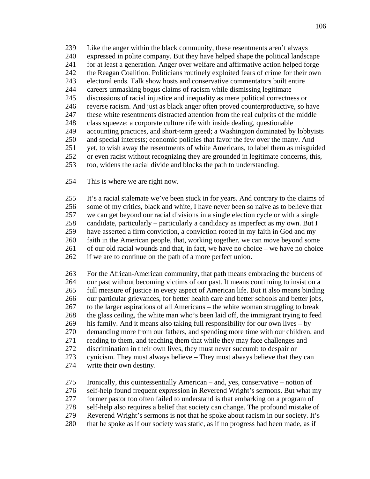239 Like the anger within the black community, these resentments aren't always 240 expressed in polite company. But they have helped shape the political landscape 241 for at least a generation. Anger over welfare and affirmative action helped forge 242 the Reagan Coalition. Politicians routinely exploited fears of crime for their own 243 electoral ends. Talk show hosts and conservative commentators built entire 244 careers unmasking bogus claims of racism while dismissing legitimate 245 discussions of racial injustice and inequality as mere political correctness or 246 reverse racism. And just as black anger often proved counterproductive, so have 247 these white resentments distracted attention from the real culprits of the middle 248 class squeeze: a corporate culture rife with inside dealing, questionable 249 accounting practices, and short-term greed; a Washington dominated by lobbyists 250 and special interests; economic policies that favor the few over the many. And 251 yet, to wish away the resentments of white Americans, to label them as misguided 252 or even racist without recognizing they are grounded in legitimate concerns, this, 253 too, widens the racial divide and blocks the path to understanding.

254 This is where we are right now.

255 It's a racial stalemate we've been stuck in for years. And contrary to the claims of 256 some of my critics, black and white, I have never been so naive as to believe that 257 we can get beyond our racial divisions in a single election cycle or with a single 258 candidate, particularly – particularly a candidacy as imperfect as my own. But I 259 have asserted a firm conviction, a conviction rooted in my faith in God and my 260 faith in the American people, that, working together, we can move beyond some 261 of our old racial wounds and that, in fact, we have no choice – we have no choice 262 if we are to continue on the path of a more perfect union.

263 For the African-American community, that path means embracing the burdens of 264 our past without becoming victims of our past. It means continuing to insist on a 265 full measure of justice in every aspect of American life. But it also means binding 266 our particular grievances, for better health care and better schools and better jobs, 267 to the larger aspirations of all Americans – the white woman struggling to break 268 the glass ceiling, the white man who's been laid off, the immigrant trying to feed 269 his family. And it means also taking full responsibility for our own lives – by 270 demanding more from our fathers, and spending more time with our children, and 271 reading to them, and teaching them that while they may face challenges and 272 discrimination in their own lives, they must never succumb to despair or 273 cynicism. They must always believe – They must always believe that they can 274 write their own destiny.

275 Ironically, this quintessentially American – and, yes, conservative – notion of 276 self-help found frequent expression in Reverend Wright's sermons. But what my 277 former pastor too often failed to understand is that embarking on a program of 278 self-help also requires a belief that society can change. The profound mistake of 279 Reverend Wright's sermons is not that he spoke about racism in our society. It's 280 that he spoke as if our society was static, as if no progress had been made, as if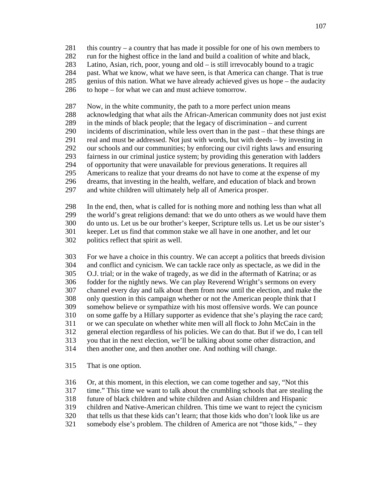281 this country – a country that has made it possible for one of his own members to 282 run for the highest office in the land and build a coalition of white and black,

283 Latino, Asian, rich, poor, young and old – is still irrevocably bound to a tragic

284 past. What we know, what we have seen, is that America can change. That is true

285 genius of this nation. What we have already achieved gives us hope – the audacity

286 to hope – for what we can and must achieve tomorrow.

287 Now, in the white community, the path to a more perfect union means 288 acknowledging that what ails the African-American community does not just exist 289 in the minds of black people; that the legacy of discrimination – and current 290 incidents of discrimination, while less overt than in the past – that these things are 291 real and must be addressed. Not just with words, but with deeds – by investing in 292 our schools and our communities; by enforcing our civil rights laws and ensuring 293 fairness in our criminal justice system; by providing this generation with ladders 294 of opportunity that were unavailable for previous generations. It requires all 295 Americans to realize that your dreams do not have to come at the expense of my 296 dreams, that investing in the health, welfare, and education of black and brown 297 and white children will ultimately help all of America prosper.

298 In the end, then, what is called for is nothing more and nothing less than what all 299 the world's great religions demand: that we do unto others as we would have them 300 do unto us. Let us be our brother's keeper, Scripture tells us. Let us be our sister's 301 keeper. Let us find that common stake we all have in one another, and let our 302 politics reflect that spirit as well.

303 For we have a choice in this country. We can accept a politics that breeds division 304 and conflict and cynicism. We can tackle race only as spectacle, as we did in the 305 O.J. trial; or in the wake of tragedy, as we did in the aftermath of Katrina; or as 306 fodder for the nightly news. We can play Reverend Wright's sermons on every 307 channel every day and talk about them from now until the election, and make the 308 only question in this campaign whether or not the American people think that I 309 somehow believe or sympathize with his most offensive words. We can pounce 310 on some gaffe by a Hillary supporter as evidence that she's playing the race card; 311 or we can speculate on whether white men will all flock to John McCain in the 312 general election regardless of his policies. We can do that. But if we do, I can tell 313 you that in the next election, we'll be talking about some other distraction, and 314 then another one, and then another one. And nothing will change.

315 That is one option.

316 Or, at this moment, in this election, we can come together and say, "Not this 317 time." This time we want to talk about the crumbling schools that are stealing the 318 future of black children and white children and Asian children and Hispanic 319 children and Native-American children. This time we want to reject the cynicism 320 that tells us that these kids can't learn; that those kids who don't look like us are 321 somebody else's problem. The children of America are not "those kids," – they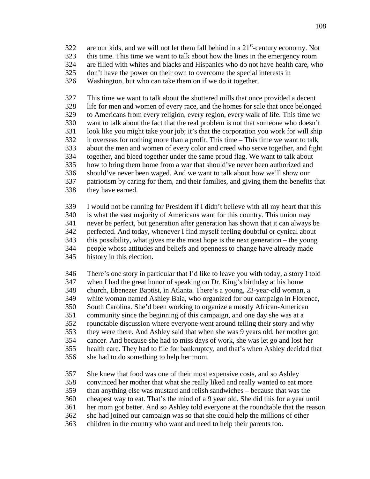$322$  are our kids, and we will not let them fall behind in a  $21<sup>st</sup>$ -century economy. Not

323 this time. This time we want to talk about how the lines in the emergency room

324 are filled with whites and blacks and Hispanics who do not have health care, who

325 don't have the power on their own to overcome the special interests in

326 Washington, but who can take them on if we do it together.

327 This time we want to talk about the shuttered mills that once provided a decent 328 life for men and women of every race, and the homes for sale that once belonged 329 to Americans from every religion, every region, every walk of life. This time we 330 want to talk about the fact that the real problem is not that someone who doesn't 331 look like you might take your job; it's that the corporation you work for will ship 332 it overseas for nothing more than a profit. This time – This time we want to talk 333 about the men and women of every color and creed who serve together, and fight 334 together, and bleed together under the same proud flag. We want to talk about 335 how to bring them home from a war that should've never been authorized and 336 should've never been waged. And we want to talk about how we'll show our 337 patriotism by caring for them, and their families, and giving them the benefits that 338 they have earned.

339 I would not be running for President if I didn't believe with all my heart that this 340 is what the vast majority of Americans want for this country. This union may 341 never be perfect, but generation after generation has shown that it can always be 342 perfected. And today, whenever I find myself feeling doubtful or cynical about 343 this possibility, what gives me the most hope is the next generation – the young 344 people whose attitudes and beliefs and openness to change have already made 345 history in this election.

346 There's one story in particular that I'd like to leave you with today, a story I told 347 when I had the great honor of speaking on Dr. King's birthday at his home 348 church, Ebenezer Baptist, in Atlanta. There's a young, 23-year-old woman, a 349 white woman named Ashley Baia, who organized for our campaign in Florence, 350 South Carolina. She'd been working to organize a mostly African-American 351 community since the beginning of this campaign, and one day she was at a 352 roundtable discussion where everyone went around telling their story and why 353 they were there. And Ashley said that when she was 9 years old, her mother got 354 cancer. And because she had to miss days of work, she was let go and lost her 355 health care. They had to file for bankruptcy, and that's when Ashley decided that 356 she had to do something to help her mom. 357 She knew that food was one of their most expensive costs, and so Ashley 358 convinced her mother that what she really liked and really wanted to eat more 359 than anything else was mustard and relish sandwiches – because that was the

360 cheapest way to eat. That's the mind of a 9 year old. She did this for a year until

361 her mom got better. And so Ashley told everyone at the roundtable that the reason

362 she had joined our campaign was so that she could help the millions of other

363 children in the country who want and need to help their parents too.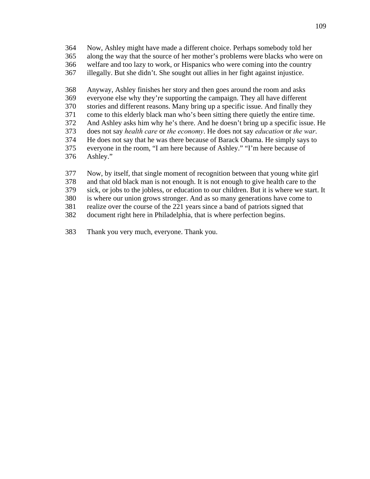364 Now, Ashley might have made a different choice. Perhaps somebody told her 365 along the way that the source of her mother's problems were blacks who were on

366 welfare and too lazy to work, or Hispanics who were coming into the country

367 illegally. But she didn't. She sought out allies in her fight against injustice.

368 Anyway, Ashley finishes her story and then goes around the room and asks 369 everyone else why they're supporting the campaign. They all have different 370 stories and different reasons. Many bring up a specific issue. And finally they 371 come to this elderly black man who's been sitting there quietly the entire time. 372 And Ashley asks him why he's there. And he doesn't bring up a specific issue. He 373 does not say *health care* or *the economy*. He does not say *education* or *the war*. 374 He does not say that he was there because of Barack Obama. He simply says to 375 everyone in the room, "I am here because of Ashley." "I'm here because of 376 Ashley."

377 Now, by itself, that single moment of recognition between that young white girl

378 and that old black man is not enough. It is not enough to give health care to the

379 sick, or jobs to the jobless, or education to our children. But it is where we start. It

380 is where our union grows stronger. And as so many generations have come to

381 realize over the course of the 221 years since a band of patriots signed that

382 document right here in Philadelphia, that is where perfection begins.

383 Thank you very much, everyone. Thank you.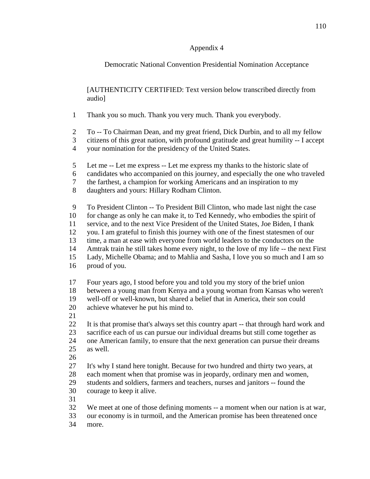#### Appendix 4

# Democratic National Convention Presidential Nomination Acceptance

[AUTHENTICITY CERTIFIED: Text version below transcribed directly from audio]

- 1 Thank you so much. Thank you very much. Thank you everybody.
- 2 To -- To Chairman Dean, and my great friend, Dick Durbin, and to all my fellow
- 3 citizens of this great nation, with profound gratitude and great humility -- I accept
- 4 your nomination for the presidency of the United States.
- 5 Let me -- Let me express -- Let me express my thanks to the historic slate of
- 6 candidates who accompanied on this journey, and especially the one who traveled
- 7 the farthest, a champion for working Americans and an inspiration to my
- 8 daughters and yours: Hillary Rodham Clinton.

9 To President Clinton -- To President Bill Clinton, who made last night the case 10 for change as only he can make it, to Ted Kennedy, who embodies the spirit of 11 service, and to the next Vice President of the United States, Joe Biden, I thank 12 you. I am grateful to finish this journey with one of the finest statesmen of our 13 time, a man at ease with everyone from world leaders to the conductors on the 14 Amtrak train he still takes home every night, to the love of my life -- the next First 15 Lady, Michelle Obama; and to Mahlia and Sasha, I love you so much and I am so 16 proud of you. 17 Four years ago, I stood before you and told you my story of the brief union 18 between a young man from Kenya and a young woman from Kansas who weren't 19 well-off or well-known, but shared a belief that in America, their son could 20 achieve whatever he put his mind to. 21 22 It is that promise that's always set this country apart -- that through hard work and 23 sacrifice each of us can pursue our individual dreams but still come together as 24 one American family, to ensure that the next generation can pursue their dreams 25 as well. 26 27 It's why I stand here tonight. Because for two hundred and thirty two years, at 28 each moment when that promise was in jeopardy, ordinary men and women, 29 students and soldiers, farmers and teachers, nurses and janitors -- found the 30 courage to keep it alive. 31

- 32 We meet at one of those defining moments -- a moment when our nation is at war,
- 33 our economy is in turmoil, and the American promise has been threatened once
- 34 more.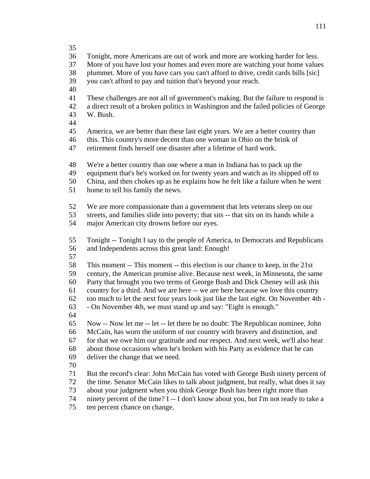35 36 Tonight, more Americans are out of work and more are working harder for less. 37 More of you have lost your homes and even more are watching your home values 38 plummet. More of you have cars you can't afford to drive, credit cards bills [sic] 39 you can't afford to pay and tuition that's beyond your reach. 40 41 These challenges are not all of government's making. But the failure to respond is 42 a direct result of a broken politics in Washington and the failed policies of George 43 W. Bush. 44 45 America, we are better than these last eight years. We are a better country than 46 this. This country's more decent than one woman in Ohio on the brink of 47 retirement finds herself one disaster after a lifetime of hard work. 48 We're a better country than one where a man in Indiana has to pack up the 49 equipment that's he's worked on for twenty years and watch as its shipped off to 50 China, and then chokes up as he explains how he felt like a failure when he went 51 home to tell his family the news. 52 We are more compassionate than a government that lets veterans sleep on our 53 streets, and families slide into poverty; that sits -- that sits on its hands while a 54 major American city drowns before our eyes. 55 Tonight -- Tonight I say to the people of America, to Democrats and Republicans 56 and Independents across this great land: Enough! 57 58 This moment -- This moment -- this election is our chance to keep, in the 21st 59 century, the American promise alive. Because next week, in Minnesota, the same 60 Party that brought you two terms of George Bush and Dick Cheney will ask this 61 country for a third. And we are here -- we are here because we love this country 62 too much to let the next four years look just like the last eight. On November 4th - 63 - On November 4th, we must stand up and say: "Eight is enough." 64 65 Now -- Now let me -- let -- let there be no doubt: The Republican nominee, John 66 McCain, has worn the uniform of our country with bravery and distinction, and 67 for that we owe him our gratitude and our respect. And next week, we'll also hear 68 about those occasions when he's broken with his Party as evidence that he can 69 deliver the change that we need. 70 71 But the record's clear: John McCain has voted with George Bush ninety percent of 72 the time. Senator McCain likes to talk about judgment, but really, what does it say 73 about your judgment when you think George Bush has been right more than 74 ninety percent of the time? I -- I don't know about you, but I'm not ready to take a 75 ten percent chance on change.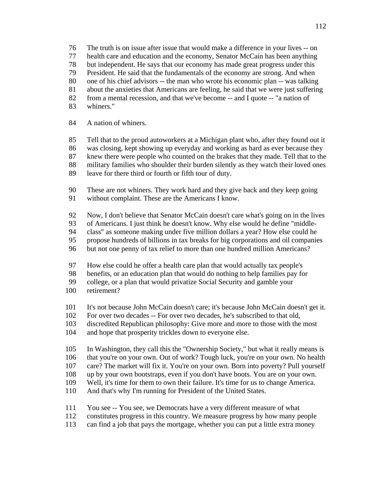76 The truth is on issue after issue that would make a difference in your lives -- on 77 health care and education and the economy, Senator McCain has been anything 78 but independent. He says that our economy has made great progress under this 79 President. He said that the fundamentals of the economy are strong. And when 80 one of his chief advisors -- the man who wrote his economic plan -- was talking 81 about the anxieties that Americans are feeling, he said that we were just suffering 82 from a mental recession, and that we've become -- and I quote -- "a nation of 83 whiners."

84 A nation of whiners.

85 Tell that to the proud autoworkers at a Michigan plant who, after they found out it

86 was closing, kept showing up everyday and working as hard as ever because they

87 knew there were people who counted on the brakes that they made. Tell that to the

88 military families who shoulder their burden silently as they watch their loved ones

89 leave for there third or fourth or fifth tour of duty.

90 These are not whiners. They work hard and they give back and they keep going 91 without complaint. These are the Americans I know.

92 Now, I don't believe that Senator McCain doesn't care what's going on in the lives

93 of Americans. I just think he doesn't know. Why else would he define "middle-

94 class" as someone making under five million dollars a year? How else could he

95 propose hundreds of billions in tax breaks for big corporations and oil companies

96 but not one penny of tax relief to more than one hundred million Americans?

97 How else could he offer a health care plan that would actually tax people's

98 benefits, or an education plan that would do nothing to help families pay for

99 college, or a plan that would privatize Social Security and gamble your

100 retirement?

101 It's not because John McCain doesn't care; it's because John McCain doesn't get it.

102 For over two decades -- For over two decades, he's subscribed to that old,

103 discredited Republican philosophy: Give more and more to those with the most

104 and hope that prosperity trickles down to everyone else.

105 In Washington, they call this the "Ownership Society," but what it really means is

106 that you're on your own. Out of work? Tough luck, you're on your own. No health

107 care? The market will fix it. You're on your own. Born into poverty? Pull yourself

108 up by your own bootstraps, even if you don't have boots. You are on your own.

109 Well, it's time for them to own their failure. It's time for us to change America.

110 And that's why I'm running for President of the United States.

111 You see -- You see, we Democrats have a very different measure of what

112 constitutes progress in this country. We measure progress by how many people

113 can find a job that pays the mortgage, whether you can put a little extra money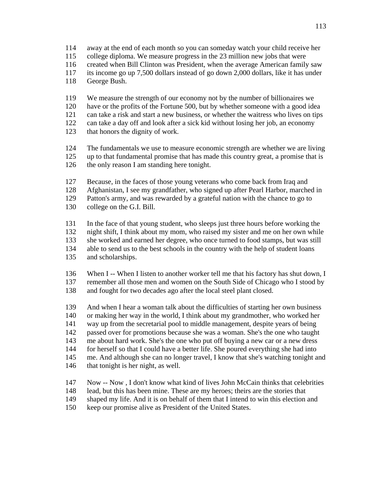114 away at the end of each month so you can someday watch your child receive her

115 college diploma. We measure progress in the 23 million new jobs that were

- 116 created when Bill Clinton was President, when the average American family saw
- 117 its income go up 7,500 dollars instead of go down 2,000 dollars, like it has under
- 118 George Bush.
- 119 We measure the strength of our economy not by the number of billionaires we
- 120 have or the profits of the Fortune 500, but by whether someone with a good idea
- 121 can take a risk and start a new business, or whether the waitress who lives on tips
- 122 can take a day off and look after a sick kid without losing her job, an economy
- 123 that honors the dignity of work.
- 124 The fundamentals we use to measure economic strength are whether we are living
- 125 up to that fundamental promise that has made this country great, a promise that is
- 126 the only reason I am standing here tonight.
- 127 Because, in the faces of those young veterans who come back from Iraq and
- 128 Afghanistan, I see my grandfather, who signed up after Pearl Harbor, marched in
- 129 Patton's army, and was rewarded by a grateful nation with the chance to go to
- 130 college on the G.I. Bill.
- 131 In the face of that young student, who sleeps just three hours before working the
- 132 night shift, I think about my mom, who raised my sister and me on her own while
- 133 she worked and earned her degree, who once turned to food stamps, but was still
- 134 able to send us to the best schools in the country with the help of student loans
- 135 and scholarships.
- 136 When I -- When I listen to another worker tell me that his factory has shut down, I
- 137 remember all those men and women on the South Side of Chicago who I stood by
- 138 and fought for two decades ago after the local steel plant closed.
- 139 And when I hear a woman talk about the difficulties of starting her own business 140 or making her way in the world, I think about my grandmother, who worked her
- 141 way up from the secretarial pool to middle management, despite years of being
- 142 passed over for promotions because she was a woman. She's the one who taught
- 143 me about hard work. She's the one who put off buying a new car or a new dress
- 144 for herself so that I could have a better life. She poured everything she had into
- 145 me. And although she can no longer travel, I know that she's watching tonight and
- 
- 146 that tonight is her night, as well.
- 147 Now -- Now , I don't know what kind of lives John McCain thinks that celebrities
- 148 lead, but this has been mine. These are my heroes; theirs are the stories that
- 149 shaped my life. And it is on behalf of them that I intend to win this election and
- 150 keep our promise alive as President of the United States.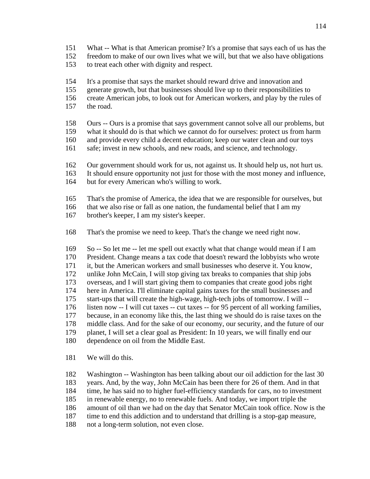- 151 What -- What is that American promise? It's a promise that says each of us has the
- 152 freedom to make of our own lives what we will, but that we also have obligations
- 153 to treat each other with dignity and respect.
- 154 It's a promise that says the market should reward drive and innovation and
- 155 generate growth, but that businesses should live up to their responsibilities to
- 156 create American jobs, to look out for American workers, and play by the rules of
- 157 the road.
- 158 Ours -- Ours is a promise that says government cannot solve all our problems, but
- 159 what it should do is that which we cannot do for ourselves: protect us from harm
- 160 and provide every child a decent education; keep our water clean and our toys
- 161 safe; invest in new schools, and new roads, and science, and technology.
- 162 Our government should work for us, not against us. It should help us, not hurt us.
- 163 It should ensure opportunity not just for those with the most money and influence,
- 164 but for every American who's willing to work.
- 165 That's the promise of America, the idea that we are responsible for ourselves, but
- 166 that we also rise or fall as one nation, the fundamental belief that I am my
- 167 brother's keeper, I am my sister's keeper.
- 168 That's the promise we need to keep. That's the change we need right now.

169 So -- So let me -- let me spell out exactly what that change would mean if I am 170 President. Change means a tax code that doesn't reward the lobbyists who wrote 171 it, but the American workers and small businesses who deserve it. You know, 172 unlike John McCain, I will stop giving tax breaks to companies that ship jobs 173 overseas, and I will start giving them to companies that create good jobs right 174 here in America. I'll eliminate capital gains taxes for the small businesses and 175 start-ups that will create the high-wage, high-tech jobs of tomorrow. I will -- 176 listen now -- I will cut taxes -- cut taxes -- for 95 percent of all working families, 177 because, in an economy like this, the last thing we should do is raise taxes on the 178 middle class. And for the sake of our economy, our security, and the future of our 179 planet, I will set a clear goal as President: In 10 years, we will finally end our 180 dependence on oil from the Middle East.

181 We will do this.

182 Washington -- Washington has been talking about our oil addiction for the last 30 183 years. And, by the way, John McCain has been there for 26 of them. And in that 184 time, he has said no to higher fuel-efficiency standards for cars, no to investment 185 in renewable energy, no to renewable fuels. And today, we import triple the 186 amount of oil than we had on the day that Senator McCain took office. Now is the 187 time to end this addiction and to understand that drilling is a stop-gap measure, 188 not a long-term solution, not even close.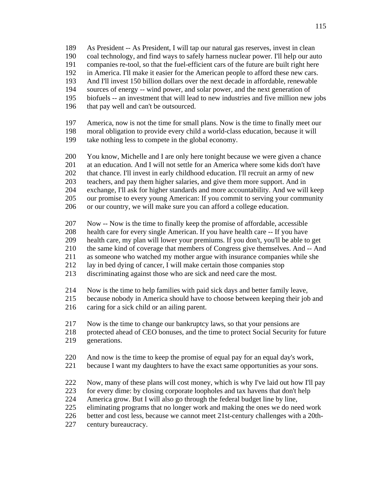- 190 coal technology, and find ways to safely harness nuclear power. I'll help our auto
- 191 companies re-tool, so that the fuel-efficient cars of the future are built right here
- 192 in America. I'll make it easier for the American people to afford these new cars.
- 193 And I'll invest 150 billion dollars over the next decade in affordable, renewable
- 194 sources of energy -- wind power, and solar power, and the next generation of
- 195 biofuels -- an investment that will lead to new industries and five million new jobs
- 196 that pay well and can't be outsourced.
- 197 America, now is not the time for small plans. Now is the time to finally meet our
- 198 moral obligation to provide every child a world-class education, because it will
- 199 take nothing less to compete in the global economy.
- 200 You know, Michelle and I are only here tonight because we were given a chance
- 201 at an education. And I will not settle for an America where some kids don't have
- 202 that chance. I'll invest in early childhood education. I'll recruit an army of new
- 203 teachers, and pay them higher salaries, and give them more support. And in
- 204 exchange, I'll ask for higher standards and more accountability. And we will keep
- 205 our promise to every young American: If you commit to serving your community
- 206 or our country, we will make sure you can afford a college education.
- 207 Now -- Now is the time to finally keep the promise of affordable, accessible
- 208 health care for every single American. If you have health care -- If you have
- 209 health care, my plan will lower your premiums. If you don't, you'll be able to get
- 210 the same kind of coverage that members of Congress give themselves. And -- And
- 211 as someone who watched my mother argue with insurance companies while she
- 212 lay in bed dying of cancer, I will make certain those companies stop
- 213 discriminating against those who are sick and need care the most.
- 214 Now is the time to help families with paid sick days and better family leave,
- 215 because nobody in America should have to choose between keeping their job and
- 216 caring for a sick child or an ailing parent.
- 217 Now is the time to change our bankruptcy laws, so that your pensions are
- 218 protected ahead of CEO bonuses, and the time to protect Social Security for future
- 219 generations.
- 220 And now is the time to keep the promise of equal pay for an equal day's work,
- 221 because I want my daughters to have the exact same opportunities as your sons.
- 222 Now, many of these plans will cost money, which is why I've laid out how I'll pay
- 223 for every dime: by closing corporate loopholes and tax havens that don't help
- 224 America grow. But I will also go through the federal budget line by line,
- 225 eliminating programs that no longer work and making the ones we do need work
- 226 better and cost less, because we cannot meet 21st-century challenges with a 20th-
- 227 century bureaucracy.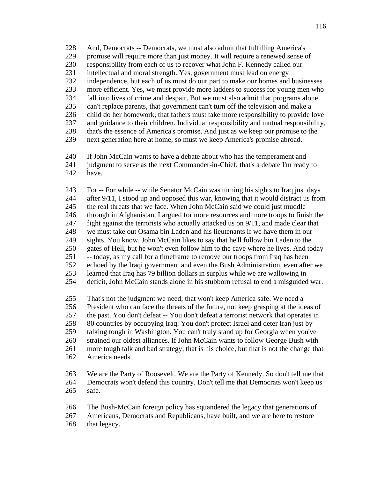229 promise will require more than just money. It will require a renewed sense of 230 responsibility from each of us to recover what John F. Kennedy called our 231 intellectual and moral strength. Yes, government must lead on energy 232 independence, but each of us must do our part to make our homes and businesses 233 more efficient. Yes, we must provide more ladders to success for young men who 234 fall into lives of crime and despair. But we must also admit that programs alone 235 can't replace parents, that government can't turn off the television and make a 236 child do her homework, that fathers must take more responsibility to provide love 237 and guidance to their children. Individual responsibility and mutual responsibility, 238 that's the essence of America's promise. And just as we keep our promise to the 239 next generation here at home, so must we keep America's promise abroad. 240 If John McCain wants to have a debate about who has the temperament and 241 judgment to serve as the next Commander-in-Chief, that's a debate I'm ready to

228 And, Democrats -- Democrats, we must also admit that fulfilling America's

242 have.

243 For -- For while -- while Senator McCain was turning his sights to Iraq just days 244 after 9/11, I stood up and opposed this war, knowing that it would distract us from 245 the real threats that we face. When John McCain said we could just muddle 246 through in Afghanistan, I argued for more resources and more troops to finish the 247 fight against the terrorists who actually attacked us on 9/11, and made clear that 248 we must take out Osama bin Laden and his lieutenants if we have them in our 249 sights. You know, John McCain likes to say that he'll follow bin Laden to the 250 gates of Hell, but he won't even follow him to the cave where he lives. And today 251 -- today, as my call for a timeframe to remove our troops from Iraq has been 252 echoed by the Iraqi government and even the Bush Administration, even after we 253 learned that Iraq has 79 billion dollars in surplus while we are wallowing in 254 deficit, John McCain stands alone in his stubborn refusal to end a misguided war.

255 That's not the judgment we need; that won't keep America safe. We need a 256 President who can face the threats of the future, not keep grasping at the ideas of 257 the past. You don't defeat -- You don't defeat a terrorist network that operates in 258 80 countries by occupying Iraq. You don't protect Israel and deter Iran just by 259 talking tough in Washington. You can't truly stand up for Georgia when you've 260 strained our oldest alliances. If John McCain wants to follow George Bush with 261 more tough talk and bad strategy, that is his choice, but that is not the change that 262 America needs.

263 We are the Party of Roosevelt. We are the Party of Kennedy. So don't tell me that 264 Democrats won't defend this country. Don't tell me that Democrats won't keep us 265 safe.

266 The Bush-McCain foreign policy has squandered the legacy that generations of

267 Americans, Democrats and Republicans, have built, and we are here to restore

268 that legacy.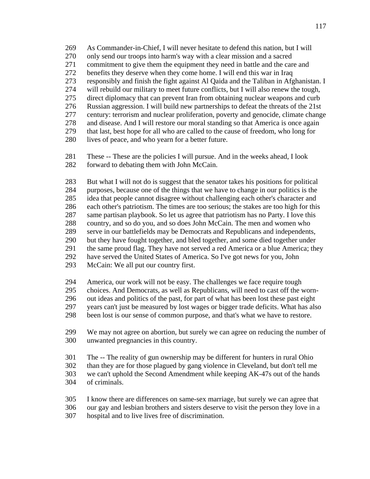269 As Commander-in-Chief, I will never hesitate to defend this nation, but I will 270 only send our troops into harm's way with a clear mission and a sacred 271 commitment to give them the equipment they need in battle and the care and 272 benefits they deserve when they come home. I will end this war in Iraq 273 responsibly and finish the fight against Al Qaida and the Taliban in Afghanistan. I 274 will rebuild our military to meet future conflicts, but I will also renew the tough, 275 direct diplomacy that can prevent Iran from obtaining nuclear weapons and curb 276 Russian aggression. I will build new partnerships to defeat the threats of the 21st 277 century: terrorism and nuclear proliferation, poverty and genocide, climate change 278 and disease. And I will restore our moral standing so that America is once again 279 that last, best hope for all who are called to the cause of freedom, who long for 280 lives of peace, and who yearn for a better future.

281 These -- These are the policies I will pursue. And in the weeks ahead, I look 282 forward to debating them with John McCain.

283 But what I will not do is suggest that the senator takes his positions for political 284 purposes, because one of the things that we have to change in our politics is the 285 idea that people cannot disagree without challenging each other's character and 286 each other's patriotism. The times are too serious; the stakes are too high for this 287 same partisan playbook. So let us agree that patriotism has no Party. I love this 288 country, and so do you, and so does John McCain. The men and women who 289 serve in our battlefields may be Democrats and Republicans and independents, 290 but they have fought together, and bled together, and some died together under 291 the same proud flag. They have not served a red America or a blue America; they 292 have served the United States of America. So I've got news for you, John 293 McCain: We all put our country first.

294 America, our work will not be easy. The challenges we face require tough 295 choices. And Democrats, as well as Republicans, will need to cast off the worn-296 out ideas and politics of the past, for part of what has been lost these past eight 297 years can't just be measured by lost wages or bigger trade deficits. What has also 298 been lost is our sense of common purpose, and that's what we have to restore.

299 We may not agree on abortion, but surely we can agree on reducing the number of 300 unwanted pregnancies in this country.

301 The -- The reality of gun ownership may be different for hunters in rural Ohio

302 than they are for those plagued by gang violence in Cleveland, but don't tell me

303 we can't uphold the Second Amendment while keeping AK-47s out of the hands

304 of criminals.

305 I know there are differences on same-sex marriage, but surely we can agree that

306 our gay and lesbian brothers and sisters deserve to visit the person they love in a

307 hospital and to live lives free of discrimination.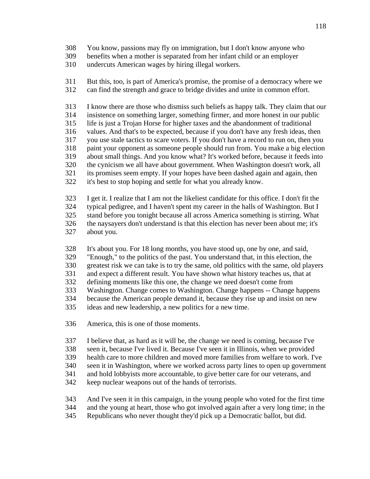308 You know, passions may fly on immigration, but I don't know anyone who

309 benefits when a mother is separated from her infant child or an employer

310 undercuts American wages by hiring illegal workers.

311 But this, too, is part of America's promise, the promise of a democracy where we 312 can find the strength and grace to bridge divides and unite in common effort.

313 I know there are those who dismiss such beliefs as happy talk. They claim that our 314 insistence on something larger, something firmer, and more honest in our public 315 life is just a Trojan Horse for higher taxes and the abandonment of traditional 316 values. And that's to be expected, because if you don't have any fresh ideas, then 317 you use stale tactics to scare voters. If you don't have a record to run on, then you 318 paint your opponent as someone people should run from. You make a big election 319 about small things. And you know what? It's worked before, because it feeds into 320 the cynicism we all have about government. When Washington doesn't work, all 321 its promises seem empty. If your hopes have been dashed again and again, then 322 it's best to stop hoping and settle for what you already know.

323 I get it. I realize that I am not the likeliest candidate for this office. I don't fit the 324 typical pedigree, and I haven't spent my career in the halls of Washington. But I 325 stand before you tonight because all across America something is stirring. What 326 the naysayers don't understand is that this election has never been about me; it's 327 about you.

328 It's about you. For 18 long months, you have stood up, one by one, and said,

329 "Enough," to the politics of the past. You understand that, in this election, the

330 greatest risk we can take is to try the same, old politics with the same, old players

331 and expect a different result. You have shown what history teaches us, that at

332 defining moments like this one, the change we need doesn't come from 333 Washington. Change comes to Washington. Change happens -- Change happens

334 because the American people demand it, because they rise up and insist on new

335 ideas and new leadership, a new politics for a new time.

336 America, this is one of those moments.

337 I believe that, as hard as it will be, the change we need is coming, because I've

338 seen it, because I've lived it. Because I've seen it in Illinois, when we provided

339 health care to more children and moved more families from welfare to work. I've

340 seen it in Washington, where we worked across party lines to open up government

341 and hold lobbyists more accountable, to give better care for our veterans, and

342 keep nuclear weapons out of the hands of terrorists.

343 And I've seen it in this campaign, in the young people who voted for the first time

344 and the young at heart, those who got involved again after a very long time; in the

345 Republicans who never thought they'd pick up a Democratic ballot, but did.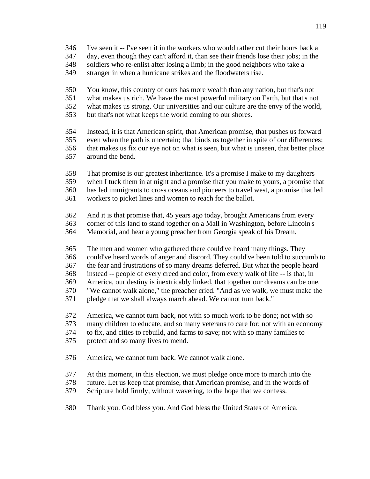346 I've seen it -- I've seen it in the workers who would rather cut their hours back a

347 day, even though they can't afford it, than see their friends lose their jobs; in the

348 soldiers who re-enlist after losing a limb; in the good neighbors who take a

349 stranger in when a hurricane strikes and the floodwaters rise.

350 You know, this country of ours has more wealth than any nation, but that's not

- 351 what makes us rich. We have the most powerful military on Earth, but that's not
- 352 what makes us strong. Our universities and our culture are the envy of the world,
- 353 but that's not what keeps the world coming to our shores.

354 Instead, it is that American spirit, that American promise, that pushes us forward 355 even when the path is uncertain; that binds us together in spite of our differences; 356 that makes us fix our eye not on what is seen, but what is unseen, that better place 357 around the bend.

- 358 That promise is our greatest inheritance. It's a promise I make to my daughters
- 359 when I tuck them in at night and a promise that you make to yours, a promise that
- 360 has led immigrants to cross oceans and pioneers to travel west, a promise that led
- 361 workers to picket lines and women to reach for the ballot.
- 362 And it is that promise that, 45 years ago today, brought Americans from every
- 363 corner of this land to stand together on a Mall in Washington, before Lincoln's
- 364 Memorial, and hear a young preacher from Georgia speak of his Dream.
- 365 The men and women who gathered there could've heard many things. They
- 366 could've heard words of anger and discord. They could've been told to succumb to
- 367 the fear and frustrations of so many dreams deferred. But what the people heard
- 368 instead -- people of every creed and color, from every walk of life -- is that, in
- 369 America, our destiny is inextricably linked, that together our dreams can be one.
- 370 "We cannot walk alone," the preacher cried. "And as we walk, we must make the
- 371 pledge that we shall always march ahead. We cannot turn back."
- 372 America, we cannot turn back, not with so much work to be done; not with so
- 373 many children to educate, and so many veterans to care for; not with an economy
- 374 to fix, and cities to rebuild, and farms to save; not with so many families to
- 375 protect and so many lives to mend.
- 376 America, we cannot turn back. We cannot walk alone.
- 377 At this moment, in this election, we must pledge once more to march into the
- 378 future. Let us keep that promise, that American promise, and in the words of
- 379 Scripture hold firmly, without wavering, to the hope that we confess.
- 380 Thank you. God bless you. And God bless the United States of America.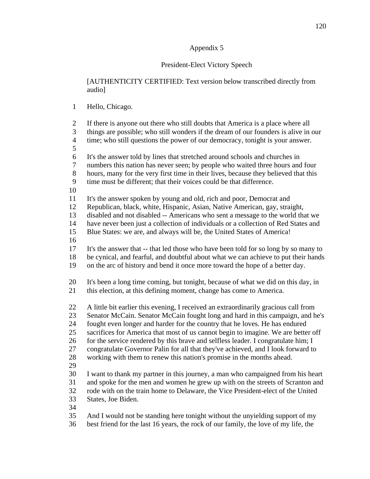#### Appendix 5

## President-Elect Victory Speech

[AUTHENTICITY CERTIFIED: Text version below transcribed directly from audio]

1 Hello, Chicago.

2 If there is anyone out there who still doubts that America is a place where all 3 things are possible; who still wonders if the dream of our founders is alive in our 4 time; who still questions the power of our democracy, tonight is your answer. 5 6 It's the answer told by lines that stretched around schools and churches in 7 numbers this nation has never seen; by people who waited three hours and four 8 hours, many for the very first time in their lives, because they believed that this 9 time must be different; that their voices could be that difference. 10 11 It's the answer spoken by young and old, rich and poor, Democrat and 12 Republican, black, white, Hispanic, Asian, Native American, gay, straight, 13 disabled and not disabled -- Americans who sent a message to the world that we 14 have never been just a collection of individuals or a collection of Red States and 15 Blue States: we are, and always will be, the United States of America! 16 17 It's the answer that -- that led those who have been told for so long by so many to 18 be cynical, and fearful, and doubtful about what we can achieve to put their hands 19 on the arc of history and bend it once more toward the hope of a better day. 20 It's been a long time coming, but tonight, because of what we did on this day, in 21 this election, at this defining moment, change has come to America. 22 A little bit earlier this evening, I received an extraordinarily gracious call from 23 Senator McCain. Senator McCain fought long and hard in this campaign, and he's 24 fought even longer and harder for the country that he loves. He has endured 25 sacrifices for America that most of us cannot begin to imagine. We are better off 26 for the service rendered by this brave and selfless leader. I congratulate him; I 27 congratulate Governor Palin for all that they've achieved, and I look forward to 28 working with them to renew this nation's promise in the months ahead. 29 30 I want to thank my partner in this journey, a man who campaigned from his heart 31 and spoke for the men and women he grew up with on the streets of Scranton and 32 rode with on the train home to Delaware, the Vice President-elect of the United 33 States, Joe Biden. 34 35 And I would not be standing here tonight without the unyielding support of my 36 best friend for the last 16 years, the rock of our family, the love of my life, the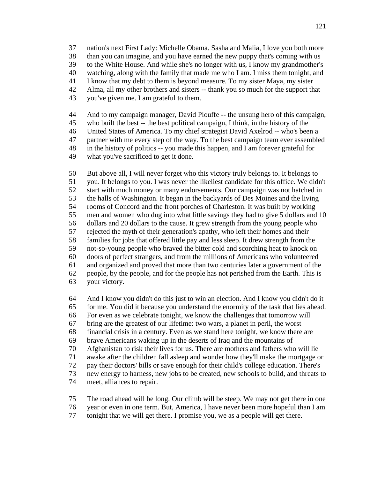37 nation's next First Lady: Michelle Obama. Sasha and Malia, I love you both more 38 than you can imagine, and you have earned the new puppy that's coming with us

39 to the White House. And while she's no longer with us, I know my grandmother's

40 watching, along with the family that made me who I am. I miss them tonight, and 41 I know that my debt to them is beyond measure. To my sister Maya, my sister

- 42 Alma, all my other brothers and sisters -- thank you so much for the support that
- 43 you've given me. I am grateful to them.

44 And to my campaign manager, David Plouffe -- the unsung hero of this campaign, 45 who built the best -- the best political campaign, I think, in the history of the 46 United States of America. To my chief strategist David Axelrod -- who's been a 47 partner with me every step of the way. To the best campaign team ever assembled 48 in the history of politics -- you made this happen, and I am forever grateful for

49 what you've sacrificed to get it done.

50 But above all, I will never forget who this victory truly belongs to. It belongs to 51 you. It belongs to you. I was never the likeliest candidate for this office. We didn't 52 start with much money or many endorsements. Our campaign was not hatched in 53 the halls of Washington. It began in the backyards of Des Moines and the living 54 rooms of Concord and the front porches of Charleston. It was built by working 55 men and women who dug into what little savings they had to give 5 dollars and 10 56 dollars and 20 dollars to the cause. It grew strength from the young people who 57 rejected the myth of their generation's apathy, who left their homes and their 58 families for jobs that offered little pay and less sleep. It drew strength from the 59 not-so-young people who braved the bitter cold and scorching heat to knock on 60 doors of perfect strangers, and from the millions of Americans who volunteered 61 and organized and proved that more than two centuries later a government of the 62 people, by the people, and for the people has not perished from the Earth. This is 63 your victory.

64 And I know you didn't do this just to win an election. And I know you didn't do it 65 for me. You did it because you understand the enormity of the task that lies ahead. 66 For even as we celebrate tonight, we know the challenges that tomorrow will 67 bring are the greatest of our lifetime: two wars, a planet in peril, the worst 68 financial crisis in a century. Even as we stand here tonight, we know there are 69 brave Americans waking up in the deserts of Iraq and the mountains of 70 Afghanistan to risk their lives for us. There are mothers and fathers who will lie 71 awake after the children fall asleep and wonder how they'll make the mortgage or 72 pay their doctors' bills or save enough for their child's college education. There's 73 new energy to harness, new jobs to be created, new schools to build, and threats to 74 meet, alliances to repair.

75 The road ahead will be long. Our climb will be steep. We may not get there in one

76 year or even in one term. But, America, I have never been more hopeful than I am

77 tonight that we will get there. I promise you, we as a people will get there.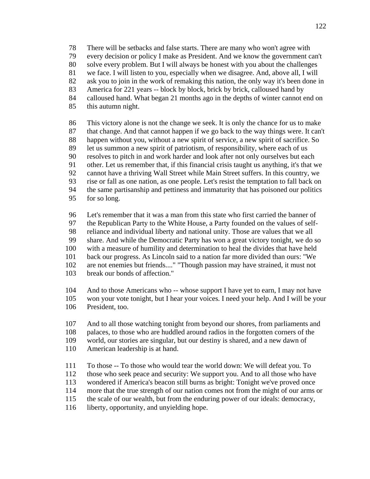78 There will be setbacks and false starts. There are many who won't agree with

79 every decision or policy I make as President. And we know the government can't

80 solve every problem. But I will always be honest with you about the challenges

81 we face. I will listen to you, especially when we disagree. And, above all, I will

- 82 ask you to join in the work of remaking this nation, the only way it's been done in
- 83 America for 221 years -- block by block, brick by brick, calloused hand by
- 84 calloused hand. What began 21 months ago in the depths of winter cannot end on
- 85 this autumn night.

86 This victory alone is not the change we seek. It is only the chance for us to make 87 that change. And that cannot happen if we go back to the way things were. It can't 88 happen without you, without a new spirit of service, a new spirit of sacrifice. So 89 let us summon a new spirit of patriotism, of responsibility, where each of us 90 resolves to pitch in and work harder and look after not only ourselves but each 91 other. Let us remember that, if this financial crisis taught us anything, it's that we 92 cannot have a thriving Wall Street while Main Street suffers. In this country, we 93 rise or fall as one nation, as one people. Let's resist the temptation to fall back on 94 the same partisanship and pettiness and immaturity that has poisoned our politics 95 for so long.

96 Let's remember that it was a man from this state who first carried the banner of 97 the Republican Party to the White House, a Party founded on the values of self-98 reliance and individual liberty and national unity. Those are values that we all<br>99 share. And while the Democratic Party has won a great victory tonight, we do share. And while the Democratic Party has won a great victory tonight, we do so

- 100 with a measure of humility and determination to heal the divides that have held 101 back our progress. As Lincoln said to a nation far more divided than ours: "We
- 102 are not enemies but friends...." "Though passion may have strained, it must not
- 103 break our bonds of affection."

104 And to those Americans who -- whose support I have yet to earn, I may not have

105 won your vote tonight, but I hear your voices. I need your help. And I will be your 106 President, too.

- 107 And to all those watching tonight from beyond our shores, from parliaments and
- 108 palaces, to those who are huddled around radios in the forgotten corners of the
- 109 world, our stories are singular, but our destiny is shared, and a new dawn of
- 110 American leadership is at hand.
- 111 To those -- To those who would tear the world down: We will defeat you. To
- 112 those who seek peace and security: We support you. And to all those who have
- 113 wondered if America's beacon still burns as bright: Tonight we've proved once
- 114 more that the true strength of our nation comes not from the might of our arms or
- 115 the scale of our wealth, but from the enduring power of our ideals: democracy,
- 116 liberty, opportunity, and unyielding hope.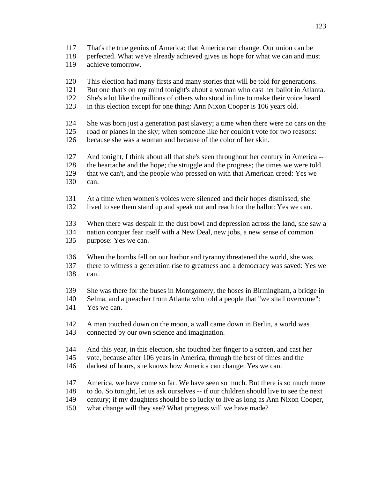- 117 That's the true genius of America: that America can change. Our union can be
- 118 perfected. What we've already achieved gives us hope for what we can and must
- 119 achieve tomorrow.
- 120 This election had many firsts and many stories that will be told for generations.
- 121 But one that's on my mind tonight's about a woman who cast her ballot in Atlanta.
- 122 She's a lot like the millions of others who stood in line to make their voice heard
- 123 in this election except for one thing: Ann Nixon Cooper is 106 years old.
- 124 She was born just a generation past slavery; a time when there were no cars on the
- 125 road or planes in the sky; when someone like her couldn't vote for two reasons:
- 126 because she was a woman and because of the color of her skin.
- 127 And tonight, I think about all that she's seen throughout her century in America --
- 128 the heartache and the hope; the struggle and the progress; the times we were told
- 129 that we can't, and the people who pressed on with that American creed: Yes we
- 130 can.
- 131 At a time when women's voices were silenced and their hopes dismissed, she
- 132 lived to see them stand up and speak out and reach for the ballot: Yes we can.
- 133 When there was despair in the dust bowl and depression across the land, she saw a 134 nation conquer fear itself with a New Deal, new jobs, a new sense of common 135 purpose: Yes we can.
- 
- 136 When the bombs fell on our harbor and tyranny threatened the world, she was
- 137 there to witness a generation rise to greatness and a democracy was saved: Yes we 138 can.
- 139 She was there for the buses in Montgomery, the hoses in Birmingham, a bridge in
- 140 Selma, and a preacher from Atlanta who told a people that "we shall overcome":
- 141 Yes we can.
- 142 A man touched down on the moon, a wall came down in Berlin, a world was 143 connected by our own science and imagination.
- 144 And this year, in this election, she touched her finger to a screen, and cast her
- 145 vote, because after 106 years in America, through the best of times and the
- 146 darkest of hours, she knows how America can change: Yes we can.
- 147 America, we have come so far. We have seen so much. But there is so much more
- 148 to do. So tonight, let us ask ourselves -- if our children should live to see the next
- 149 century; if my daughters should be so lucky to live as long as Ann Nixon Cooper,
- 150 what change will they see? What progress will we have made?